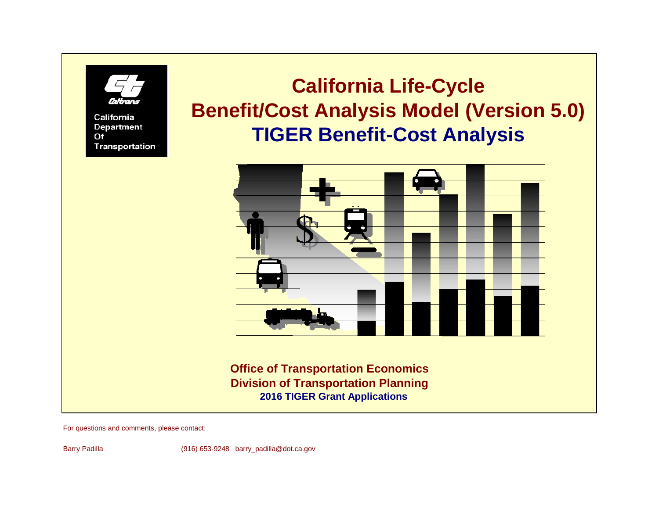# **California Life-Cycle Benefit/Cost Analysis Model (Version 5.0) TIGER Benefit-Cost Analysis**



**Office of Transportation Economics Division of Transportation Planning 2016 TIGER Grant Applications**

For questions and comments, please contact:

California **Department** 

**Transportation** 

 $Of$ 

Barry Padilla (916) 653-9248 barry\_padilla@dot.ca.gov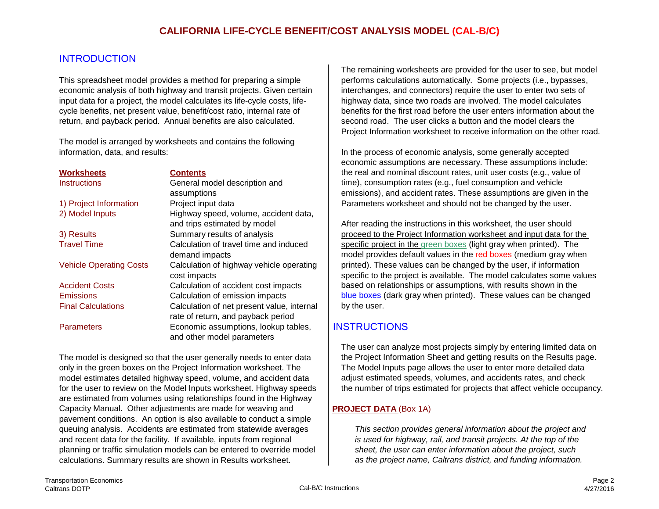# **INTRODUCTION**

This spreadsheet model provides a method for preparing a simple performs calculations automatically. Some projects (i.e., bypasses, economic analysis of both highway and transit projects. Given certain interchanges, and connectors) require the user to enter two sets of input data for a project, the model calculates its life-cycle costs, life- highway data, since two roads are involved. The model calculates cycle benefits, net present value, benefit/cost ratio, internal rate of benefits for the first road before the user enters information about the return, and payback period. Annual benefits are also calculated. Second road. The user clicks a button and the model clears the

The model is arranged by worksheets and contains the following information, data, and results: In the process of economic analysis, some generally accepted

| <b>Worksheets</b>              | <b>Contents</b>                            |
|--------------------------------|--------------------------------------------|
| <b>Instructions</b>            | General model description and              |
|                                | assumptions                                |
| 1) Project Information         | Project input data                         |
| 2) Model Inputs                | Highway speed, volume, accident data,      |
|                                | and trips estimated by model               |
| 3) Results                     | Summary results of analysis                |
| <b>Travel Time</b>             | Calculation of travel time and induced     |
|                                | demand impacts                             |
| <b>Vehicle Operating Costs</b> | Calculation of highway vehicle operating   |
|                                | cost impacts                               |
| <b>Accident Costs</b>          | Calculation of accident cost impacts       |
| <b>Emissions</b>               | Calculation of emission impacts            |
| <b>Final Calculations</b>      | Calculation of net present value, internal |
|                                | rate of return, and payback period         |
| <b>Parameters</b>              | Economic assumptions, lookup tables,       |
|                                | and other model parameters                 |

The model is designed so that the user generally needs to enter data  $\parallel$  the Project Information Sheet and getting results on the Results page. only in the green boxes on the Project Information worksheet. The The Model Inputs page allows the user to enter more detailed data model estimates detailed highway speed, volume, and accident data and adjust estimated speeds, volumes, and accidents rates, and check are estimated from volumes using relationships found in the Highway Capacity Manual. Other adjustments are made for weaving and **PROJECT DATA** (Box 1A) pavement conditions. An option is also available to conduct a simple queuing analysis. Accidents are estimated from statewide averages *This section provides general information about the project and* and recent data for the facility. If available, inputs from regional *is used for highway, rail, and transit projects. At the top of the* planning or traffic simulation models can be entered to override model *sheet, the user can enter information about the project, such* calculations. Summary results are shown in Results worksheet. *as the project name, Caltrans district, and funding information.*

The remaining worksheets are provided for the user to see, but model Project Information worksheet to receive information on the other road.

economic assumptions are necessary. These assumptions include: the real and nominal discount rates, unit user costs (e.g., value of time), consumption rates (e.g., fuel consumption and vehicle emissions), and accident rates. These assumptions are given in the Parameters worksheet and should not be changed by the user.

After reading the instructions in this worksheet, the user should proceed to the Project Information worksheet and input data for the specific project in the green boxes (light gray when printed). The model provides default values in the red boxes (medium gray when printed). These values can be changed by the user, if information specific to the project is available. The model calculates some values based on relation ships or assumptions, with results shown in the blue boxes (dark gray when printed). These values can be changed by the user.

# **INSTRUCTIONS**

The user can analyze most projects simply by entering limited data on for the user to review on the Model Inputs worksheet. Highway speeds the number of trips estimated for projects that affect vehicle occupancy.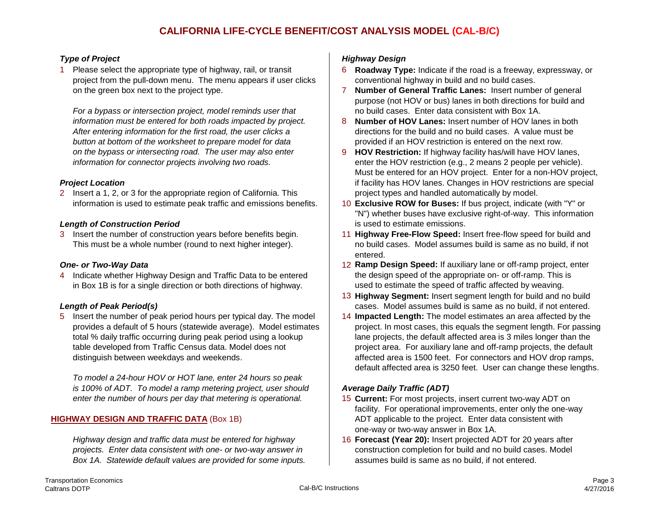1 Please select the appropriate type of highway, rail, or transit 6 **Roadway Type:** Indicate if the road is a freeway, expressway, or project from the pull-down menu. The menu appears if user clicks conventional highway in build and no build cases. on the green box next to the project type. 7 **Number of General Traffic Lanes:** Insert number of general

*For a bypass or intersection project, model reminds user that* no build cases. Enter data consistent with Box 1A. *After entering information for the first road, the user clicks a* directions for the build and no build cases. A value must be *button at bottom of the worksheet to prepare model for data* provided if an HOV restriction is entered on the next row.

2 Insert a 1, 2, or 3 for the appropriate region of California. This project types and handled automatically by model. information is used to estimate peak traffic and emissions benefits. 10 **Exclusive ROW for Buses:** If bus project, indicate (with "Y" or

This must be a whole number (round to next higher integer).

4 Indicate whether Highway Design and Traffic Data to be entered the design speed of the appropriate on- or off-ramp. This is in Box 1B is for a single direction or both directions of highway. used to estimate the speed of traffic affected by weaving.

5 Insert the number of peak period hours per typical day. The model 14 **Impacted Length:** The model estimates an area affected by the total % daily traffic occurring during peak period using a lookup lane projects, the default affected area is 3 miles longer than the

*To model a 24-hour HOV or HOT lane, enter 24 hours so peak is 100% of ADT. To model a ramp metering project, user should Average Daily Traffic (ADT) enter the number of hours per day that metering is operational.* 15 **Current:** For most projects, insert current two-way ADT on

*Highway design and traffic data must be entered for highway* 16 **Forecast (Year 20):** Insert projected ADT for 20 years after *projects. Enter data consistent with one- or two-way answer in* construction completion for build and no build cases. Model *Box 1A. Statewide default values are provided for some inputs.* assumes build is same as no build, if not entered.

### *Type of Project Highway Design*

- 
- purpose (not HOV or bus) lanes in both directions for build and
- *information must be entered for both roads impacted by project.* 8 **Number of HOV Lanes:** Insert number of HOV lanes in both
- *on the bypass or intersecting road. The user may also enter* 9 **HOV Restriction:** If highway facility has/will have HOV lanes, *information for connector projects involving two roads.* enter the HOV restriction (e.g., 2 means 2 people per vehicle). Must be entered for an HOV project. Enter for a non-HOV project, **Project Location in the set of the set of the set of the set of the set of the set of the set of the set of the set of the set of the set of the set of the set of the set of the set of the set of the set of the set of t**
- "N") whether buses have exclusive right-of-way. This information **Length of Construction Period** is used to estimate emissions.
- 3 Insert the number of construction years before benefits begin. 11 **Highway Free-Flow Speed:** Insert free-flow speed for build and entered.
- **One- or Two-Way Data** 12 **Ramp Design Speed:** If auxiliary lane or off-ramp project, enter
- 13 **Highway Segment:** Insert segment length for build and no build **Length of Peak Period(s) cases. Model assumes build is same as no build, if not entered.** 
	- provides a default of 5 hours (statewide average). Model estimates | project. In most cases, this equals the segment length. For passing table developed from Traffic Census data. Model does not project area. For auxiliary lane and off-ramp projects, the default distinguish between weekdays and weekends.  $\blacksquare$  affected area is 1500 feet. For connectors and HOV drop ramps, default affected area is 3250 feet. User can change these lengths.

- facility. For operational improvements, enter only the one-way **HIGHWAY DESIGN AND TRAFFIC DATA** (Box 1B) ADT applicable to the project. Enter data consistent with one-way or two-way answer in Box 1A.
	-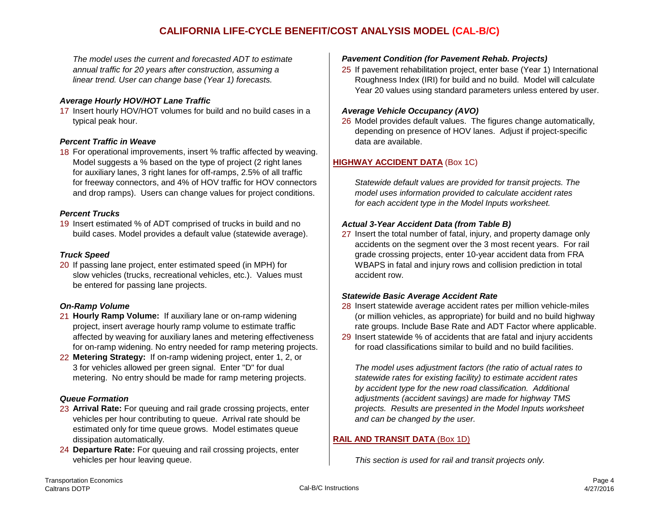# **CALIFORNIA LIFE-CYCLE BENEFIT/COST ANALYSIS MODEL (CAL-B/C)**

*The model uses the current and forecasted ADT to estimate Pavement Condition (for Pavement Rehab. Projects)*

### *Average Hourly HOV/HOT Lane Traffic*

17 Insert hourly HOV/HOT volumes for build and no build cases in a *Average Vehicle Occupancy (AVO)* typical peak hour. 26 Model provides default values. The figures change automatically,

### **Percent Traffic in Weave data are available. data are available. data are available.**

18 For operational improvements, insert % traffic affected by weaving. Model suggests a % based on the type of project (2 right lanes **HIGHWAY ACCIDENT DATA** (Box 1C) for auxiliary lanes, 3 right lanes for off-ramps, 2.5% of all traffic for freeway connectors, and 4% of HOV traffic for HOV connectors *Statewide default values are provided for transit projects. The* and drop ramps). Users can change values for project conditions. *model uses information provided to calculate accident rates*

### *Percent Trucks*

19 Insert estimated % of ADT comprised of trucks in build and no **Actual 3-Year Accident Data (from Table B)** build cases. Model provides a default value (statewide average). <sup>27</sup> Insert the total number of fatal, injury, and property damage only

20 If passing lane project, enter estimated speed (in MPH) for WBAPS in fatal and injury rows and collision prediction in total slow vehicles (trucks, recreational vehicles, etc.). Values must accident row. be entered for passing lane projects.

- for on-ramp widening. No entry needed for ramp metering projects.  $\parallel$  for road classifications similar to build and no build facilities.
- 22 **Metering Strategy:** If on-ramp widening project, enter 1, 2, or 3 for vehicles allowed per green signal. Enter "D" for dual *The model uses adjustment factors (the ratio of actual rates to*  metering. No entry should be made for ramp metering projects. *statewide rates for existing facility) to estimate accident rates*

- 23 **Arrival Rate:** For queuing and rail grade crossing projects, enter *projects. Results are presented in the Model Inputs worksheet* vehicles per hour contributing to queue. Arrival rate should be *and can be changed by the user.* estimated only for time queue grows. Model estimates queue dissipation automatically. **RAIL AND TRANSIT DATA** (Box 1D)
- 24 **Departure Rate:** For queuing and rail crossing projects, enter vehicles per hour leaving queue. *This section is used for rail and transit projects only.*

*annual traffic for 20 years after construction, assuming a* 25 If pavement rehabilitation project, enter base (Year 1) International *linear trend. User can change base (Year 1) forecasts.* The Roughness Index (IRI) for build and no build. Model will calculate Year 20 values using standard parameters unless entered by user.

depending on presence of HOV lanes. Adjust if project-specific

*for each accident type in the Model Inputs worksheet.*

accidents on the segment over the 3 most recent years. For rail **Truck Speed** Grade grade crossing projects, enter 10-year accident data from FRA

### *Statewide Basic Average Accident Rate*

- **On-Ramp Volume**<br>21 **Hourly Ramp Volume:** If auxiliary lane or on-ramp widening (or million vehicles, as appropriate) for build and no build highwa (or million vehicles, as appropriate) for build and no build highway project, insert average hourly ramp volume to estimate traffic rate of the groups. Include Base Rate and ADT Factor where applicable.
	- affected by weaving for auxiliary lanes and metering effectiveness 29 Insert statewide % of accidents that are fatal and injury accidents

*by accident type for the new road classification. Additional Queue Formation adjustments (accident savings) are made for highway TMS*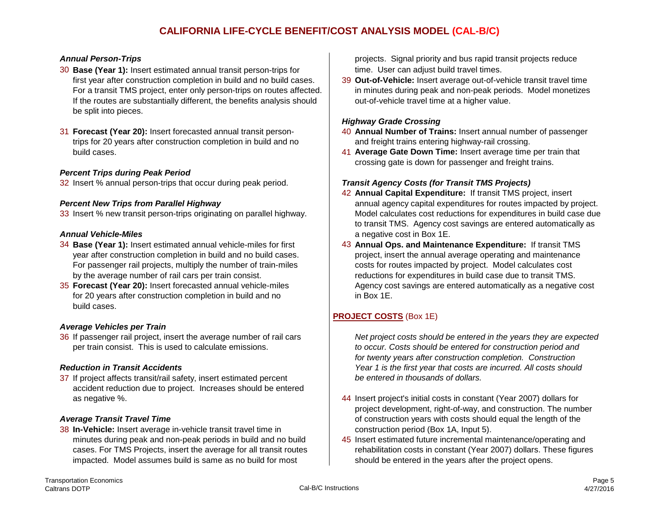- 30 **Base (Year 1):** Insert estimated annual transit person-trips for time. User can adjust build travel times. first year after construction completion in build and no build cases. 39 **Out-of-Vehicle:** Insert average out-of-vehicle transit travel time For a transit TMS project, enter only person-trips on routes affected. in minutes during peak and non-peak periods. Model monetizes If the routes are substantially different, the benefits analysis should out-of-vehicle tra If the routes are substantially different, the benefits analysis should be split into pieces.
- trips for 20 years after construction completion in build and no

### *Percent Trips during Peak Period*

32 Insert % annual person-trips that occur during peak period. *Transit Agency Costs (for Transit TMS Projects)*

- 
- for 20 years after construction completion in build and no in Box 1E. build cases.

### *Average Vehicles per Train*

36 If passenger rail project, insert the average number of rail cars *Net project costs should be entered in the years they are expected* per train consist. This is used to calculate emissions. *to occur. Costs should be entered for construction period and*

37 If project affects transit/rail safety, insert estimated percent *be entered in thousands of dollars.* accident reduction due to project. Increases should be entered

38 **In-Vehicle:** Insert average in-vehicle transit travel time in construction period (Box 1A, Input 5). impacted. Model assumes build is same as no build for most should be entered in the years after the project opens.

**Annual Person-Trips projects projects.** Signal priority and bus rapid transit projects reduce

### *Highway Grade Crossing*

- 31 **Forecast (Year 20):** Insert forecasted annual transit person- 40 **Annual Number of Trains:** Insert annual number of passenger
	- build cases. 41 **Average Gate Down Time:** Insert average time per train that crossing gate is down for passenger and freight trains.

- 42 **Annual Capital Expenditure:** If transit TMS project, insert **Percent New Trips from Parallel Highway** annual agency capital expenditures for routes impacted by project. 33 Insert % new transit person-trips originating on parallel highway. Model calculates cost reductions for expenditures in build case due to transit TMS. Agency cost savings are entered automatically as **Annual Vehicle-Miles** a negative cost in Box 1E.
- 34 **Base (Year 1):** Insert estimated annual vehicle-miles for first 43 **Annual Ops. and Maintenance Expenditure:** If transit TMS year after construction completion in build and no build cases. project, insert the annual average operating and maintenance For passenger rail projects, multiply the number of train-miles costs for routes impacted by project. Model calculates cost by the average number of rail cars per train consist. The reductions for expenditures in build case due to transit TMS. 35 **Forecast (Year 20):** Insert forecasted annual vehicle-miles Agency cost savings are entered automatically as a negative cost

## **PROJECT COSTS** (Box 1E)

*for twenty years after construction completion. Construction Reduction in Transit Accidents Year 1 is the first year that costs are incurred. All costs should*

- as negative %. 44 Insert project's initial costs in constant (Year 2007) dollars for project development, right-of-way, and construction. The number **Average Transit Travel Time of construction years with costs should equal the length of the** 
	- minutes during peak and non-peak periods in build and no build  $\vert$  45 Insert estimated future incremental maintenance/operating and cases. For TMS Projects, insert the average for all transit routes rehabilitation costs in constant (Year 2007) dollars. These figures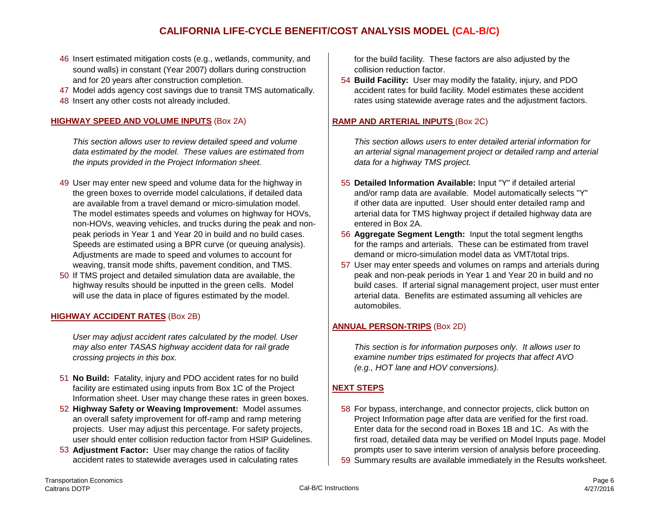# **CALIFORNIA LIFE-CYCLE BENEFIT/COST ANALYSIS MODEL (CAL-B/C)**

- 46 Insert estimated mitigation costs (e.g., wetlands, community, and for the build facility. These factors are also adjusted by the sound walls) in constant (Year 2007) dollars during construction collision reduction factor.
- 47 Model adds agency cost savings due to transit TMS automatically.<br>48 Insert any other costs not already included.
- 

### **HIGHWAY SPEED AND VOLUME INPUTS** (Box 2A) **RAMP AND ARTERIAL INPUTS** (Box 2C)

*the inputs provided in the Project Information sheet. data for a highway TMS project.*

- 49 User may enter new speed and volume data for the highway in 55 **Detailed Information Available:** Input "Y" if detailed arterial non-HOVs, weaving vehicles, and trucks during the peak and non- $\parallel$  entered in Box 2A. Speeds are estimated using a BPR curve (or queuing analysis). Adjustments are made to speed and volumes to account for demand or micro-simulation model data as VMT/total trips.
- 

### **HIGHWAY ACCIDENT RATES** (Box 2B)

*User may adjust accident rates calculated by the model. User crossing projects in this box. examine number trips estimated for projects that affect AVO*

- 51 **No Build:** Fatality, injury and PDO accident rates for no build facility are estimated using inputs from Box 1C of the Project **NEXT STEPS** Information sheet. User may change these rates in green boxes.
- 52 **Highway Safety or Weaving Improvement:** Model assumes 58 For bypass, interchange, and connector projects, click button on
- 

and for 20 years after construction completion.<br>Model adds agency cost savings due to transit TMS automatically.<br>Model adds agency cost savings due to transit TMS automatically.<br>accident rates for build facility. Model est rates using statewide average rates and the adjustment factors.

*This section allows user to review detailed speed and volume This section allows users to enter detailed arterial information for data estimated by the model. These values are estimated from an arterial signal management project or detailed ramp and arterial*

- the green boxes to override model calculations, if detailed data and/or ramp data are available. Model automatically selects "Y" are available from a travel demand or micro-simulation model. if other data are inputted. User should enter detailed ramp and The model estimates speeds and volumes on highway for HOVs, arterial data for TMS highway project if detailed highway data are
- peak periods in Year 1 and Year 20 in build and no build cases. 56 **Aggregate Segment Length:** Input the total segment lengths
- weaving, transit mode shifts, pavement condition, and TMS.  $\vert$  57 User may enter speeds and volumes on ramps and arterials during 50 If TMS project and detailed simulation data are available, the peak and non-peak periods in Year 1 and Year 20 in build and no highway results should be inputted in the green cells. Model build cases. If arterial signal management project, user must enter will use the data in place of figures estimated by the model. and arterial data. Benefits are estimated assuming all vehicles are automobiles.

### **ANNUAL PERSON-TRIPS** (Box 2D)

*may also enter TASAS highway accident data for rail grade This section is for information purposes only. It allows user to (e.g., HOT lane and HOV conversions).*

- an overall safety improvement for off-ramp and ramp metering Project Information page after data are verified for the first road. projects. User may adjust this percentage. For safety projects, Enter data for the second road in Boxes 1B and 1C. As with the user should enter collision reduction factor from HSIP Guidelines. First road, detailed data may be verified on Model Inputs page. Model 53 **Adjustment Factor:** User may change the ratios of facility prompts user to save interim version of analysis before proceeding.
	- accident rates to statewide averages used in calculating rates **59 Summary results are available immediately** in the Results worksheet.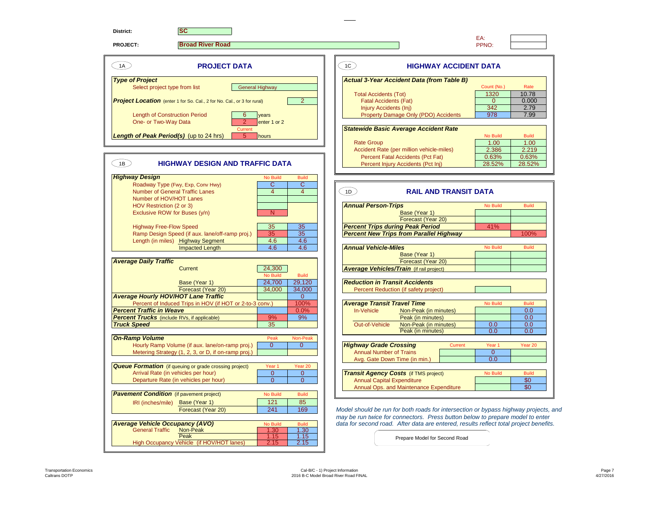| District:<br><b>SC</b>                                                                                          |                                                                                                       | EA:                                  |  |
|-----------------------------------------------------------------------------------------------------------------|-------------------------------------------------------------------------------------------------------|--------------------------------------|--|
| <b>Broad River Road</b><br><b>PROJECT:</b>                                                                      |                                                                                                       | PPNO:                                |  |
| 1A<br><b>PROJECT DATA</b>                                                                                       | $\left( 1C \right)$<br><b>HIGHWAY ACCIDENT DATA</b>                                                   |                                      |  |
| <b>Type of Project</b>                                                                                          | Actual 3-Year Accident Data (from Table B)                                                            |                                      |  |
| <b>General Highway</b><br>Select project type from list                                                         |                                                                                                       | Count (No.)<br>Rate<br>1320<br>10.78 |  |
| <b>Project Location</b> (enter 1 for So. Cal., 2 for No. Cal., or 3 for rural)                                  | <b>Total Accidents (Tot)</b><br>2 <sup>1</sup><br><b>Fatal Accidents (Fat)</b>                        | $\overline{0}$<br>0.000              |  |
|                                                                                                                 | <b>Injury Accidents (Inj)</b>                                                                         | 342<br>2.79                          |  |
| <b>Length of Construction Period</b><br>6<br>vears                                                              | Property Damage Only (PDO) Accidents                                                                  | 978<br>7.99                          |  |
| One- or Two-Way Data<br>$\mathcal{P}$<br>enter 1 or 2                                                           |                                                                                                       |                                      |  |
| Current<br>Length of Peak Period(s) (up to 24 hrs)<br>5 <sup>1</sup><br>hours                                   | <b>Statewide Basic Average Accident Rate</b>                                                          | No Build<br><b>Build</b>             |  |
|                                                                                                                 | <b>Rate Group</b>                                                                                     | 1.00<br>1.00                         |  |
|                                                                                                                 | Accident Rate (per million vehicle-miles)                                                             | 2.386<br>2.219                       |  |
| <b>HIGHWAY DESIGN AND TRAFFIC DATA</b>                                                                          | Percent Fatal Accidents (Pct Fat)                                                                     | 0.63%<br>0.63%                       |  |
| $\overline{\phantom{a}}$ 1B $\overline{\phantom{a}}$                                                            | Percent Injury Accidents (Pct Inj)                                                                    | 28.52%<br>28.52%                     |  |
| <b>Highway Design</b><br><b>No Build</b>                                                                        | <b>Build</b>                                                                                          |                                      |  |
| $\mathbf{C}$<br>Roadway Type (Fwy, Exp, Conv Hwy)                                                               | $\overline{C}$                                                                                        |                                      |  |
| <b>Number of General Traffic Lanes</b><br>$\overline{4}$                                                        | (1D)<br><b>RAIL AND TRANSIT DATA</b><br>$\overline{4}$                                                |                                      |  |
| Number of HOV/HOT Lanes<br>HOV Restriction (2 or 3)                                                             | <b>Annual Person-Trips</b>                                                                            | No Build<br><b>Build</b>             |  |
| Exclusive ROW for Buses (y/n)<br>N                                                                              | Base (Year 1)                                                                                         |                                      |  |
|                                                                                                                 | Forecast (Year 20)                                                                                    |                                      |  |
| <b>Highway Free-Flow Speed</b><br>35 <sub>2</sub>                                                               | 35<br><b>Percent Trips during Peak Period</b>                                                         | 41%                                  |  |
| Ramp Design Speed (if aux. lane/off-ramp proj.)<br>35<br>4.6<br>Length (in miles) Highway Segment               | 35<br><b>Percent New Trips from Parallel Highway</b><br>4.6                                           | 100%                                 |  |
| <b>Impacted Length</b><br>4.6                                                                                   | 4.6<br><b>Annual Vehicle-Miles</b>                                                                    | No Build<br><b>Build</b>             |  |
|                                                                                                                 | Base (Year 1)                                                                                         |                                      |  |
| <b>Average Daily Traffic</b>                                                                                    | Forecast (Year 20)                                                                                    |                                      |  |
| 24,300<br><b>Current</b><br><b>No Build</b>                                                                     | <b>Average Vehicles/Train</b> (if rail project)<br><b>Build</b>                                       |                                      |  |
| 24,700<br>Base (Year 1)                                                                                         | 29,120<br><b>Reduction in Transit Accidents</b>                                                       |                                      |  |
| Forecast (Year 20)<br>34.000                                                                                    | 34,000<br>Percent Reduction (if safety project)                                                       |                                      |  |
| <b>Average Hourly HOV/HOT Lane Traffic</b>                                                                      | $\overline{0}$                                                                                        |                                      |  |
| Percent of Induced Trips in HOV (if HOT or 2-to-3 conv.)<br><b>Percent Traffic in Weave</b>                     | 100%<br><b>Average Transit Travel Time</b><br>0.0%<br>In-Vehicle<br>Non-Peak (in minutes)             | No Build<br><b>Build</b><br>0.0      |  |
| <b>Percent Trucks</b> (include RVs, if applicable)<br>9%                                                        | 9%<br>Peak (in minutes)                                                                               | 0.0                                  |  |
| 35<br><b>Truck Speed</b>                                                                                        | Out-of-Vehicle<br>Non-Peak (in minutes)                                                               | 0.0<br>0.0                           |  |
|                                                                                                                 | Peak (in minutes)                                                                                     | 0.0<br>0.0                           |  |
| <b>On-Ramp Volume</b><br>Peak<br>$\Omega$<br>Hourly Ramp Volume (if aux. lane/on-ramp proj.)                    | Non-Peak<br>$\Omega$<br><b>Highway Grade Crossing</b><br>Current                                      | Year <sub>1</sub><br>Year 20         |  |
| Metering Strategy (1, 2, 3, or D, if on-ramp proj.)                                                             | <b>Annual Number of Trains</b>                                                                        | $\overline{0}$                       |  |
|                                                                                                                 | Avg. Gate Down Time (in min.)                                                                         | 0.0                                  |  |
| <b>Queue Formation</b> (if queuing or grade crossing project)<br>Year <sub>1</sub>                              | Year 20                                                                                               |                                      |  |
| Arrival Rate (in vehicles per hour)<br>$\overline{0}$                                                           | $\overline{0}$<br><b>Transit Agency Costs (if TMS project)</b>                                        | No Build<br><b>Build</b>             |  |
| Departure Rate (in vehicles per hour)<br>$\overline{0}$                                                         | $\overline{0}$<br><b>Annual Capital Expenditure</b><br>Annual Ops. and Maintenance Expenditure        | \$0<br>\$0                           |  |
| <b>Pavement Condition</b> (if pavement project)<br><b>No Build</b>                                              | <b>Build</b>                                                                                          |                                      |  |
|                                                                                                                 | 85                                                                                                    |                                      |  |
| 121<br>Base (Year 1)<br>IRI (inches/mile)                                                                       |                                                                                                       |                                      |  |
| 241<br>Forecast (Year 20)                                                                                       | 169<br>Model should be run for both roads for intersection or bypass highway projects, and            |                                      |  |
|                                                                                                                 | may be run twice for connectors. Press button below to prepare model to enter                         |                                      |  |
| <b>Average Vehicle Occupancy (AVO)</b><br><b>No Build</b>                                                       | data for second road. After data are entered, results reflect total project benefits.<br><b>Build</b> |                                      |  |
| Non-Peak<br><b>General Traffic</b><br>1.30<br>Peak<br>1.15<br>High Occupancy Vehicle (if HOV/HOT lanes)<br>2.15 | 1.30<br>1.15<br>Prepare Model for Second Road<br>2.15                                                 |                                      |  |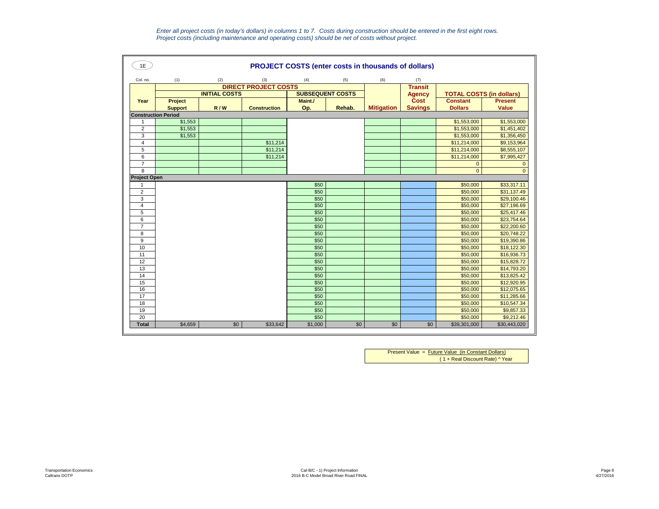*Enter all project costs (in today's dollars) in columns 1 to 7. Costs during construction should be entered in the first eight rows. Project costs (including maintenance and operating costs) should be net of costs without project.*

| 1E                         | <b>PROJECT COSTS (enter costs in thousands of dollars)</b> |                      |                             |                         |        |                   |                |                                 |                |  |  |
|----------------------------|------------------------------------------------------------|----------------------|-----------------------------|-------------------------|--------|-------------------|----------------|---------------------------------|----------------|--|--|
| Col. no.                   | (1)                                                        | (2)                  | (3)                         | (4)                     | (5)    | (6)               | (7)            |                                 |                |  |  |
|                            |                                                            |                      | <b>DIRECT PROJECT COSTS</b> |                         |        |                   | <b>Transit</b> |                                 |                |  |  |
|                            |                                                            | <b>INITIAL COSTS</b> |                             | <b>SUBSEQUENT COSTS</b> |        |                   | <b>Agency</b>  | <b>TOTAL COSTS (in dollars)</b> |                |  |  |
| Year                       | Project                                                    |                      |                             | Maint./                 |        |                   | Cost           | <b>Constant</b>                 | <b>Present</b> |  |  |
|                            | <b>Support</b>                                             | R/W                  | <b>Construction</b>         | Op.                     | Rehab. | <b>Mitigation</b> | <b>Savings</b> | <b>Dollars</b>                  | <b>Value</b>   |  |  |
| <b>Construction Period</b> |                                                            |                      |                             |                         |        |                   |                |                                 |                |  |  |
| $\mathbf{1}$               | \$1,553                                                    |                      |                             |                         |        |                   |                | \$1,553,000                     | \$1,553,000    |  |  |
| $\overline{2}$             | \$1,553                                                    |                      |                             |                         |        |                   |                | \$1,553,000                     | \$1,451,402    |  |  |
| 3                          | \$1,553                                                    |                      |                             |                         |        |                   |                | \$1,553,000                     | \$1,356,450    |  |  |
| $\overline{4}$             |                                                            |                      | \$11,214                    |                         |        |                   |                | \$11,214,000                    | \$9,153,964    |  |  |
| $\sqrt{5}$                 |                                                            |                      | \$11,214                    |                         |        |                   |                | \$11,214,000                    | \$8,555,107    |  |  |
| 6                          |                                                            |                      | \$11,214                    |                         |        |                   |                | \$11,214,000                    | \$7,995,427    |  |  |
| $\overline{7}$             |                                                            |                      |                             |                         |        |                   |                | $\mathbf{0}$                    | $\mathbf 0$    |  |  |
| 8                          |                                                            |                      |                             |                         |        |                   |                | $\Omega$                        | $\Omega$       |  |  |
| <b>Project Open</b>        |                                                            |                      |                             |                         |        |                   |                |                                 |                |  |  |
| $\mathbf{1}$               |                                                            |                      |                             | \$50                    |        |                   |                | \$50,000                        | \$33,317.11    |  |  |
| $\overline{2}$             |                                                            |                      |                             | \$50                    |        |                   |                | \$50,000                        | \$31,137.49    |  |  |
| 3                          |                                                            |                      |                             | \$50                    |        |                   |                | \$50,000                        | \$29,100.46    |  |  |
| 4                          |                                                            |                      |                             | \$50                    |        |                   |                | \$50,000                        | \$27,196.69    |  |  |
| 5                          |                                                            |                      |                             | \$50                    |        |                   |                | \$50,000                        | \$25,417.46    |  |  |
| 6                          |                                                            |                      |                             | \$50                    |        |                   |                | \$50,000                        | \$23,754.64    |  |  |
| $\overline{7}$             |                                                            |                      |                             | \$50                    |        |                   |                | \$50,000                        | \$22,200.60    |  |  |
| 8                          |                                                            |                      |                             | \$50                    |        |                   |                | \$50,000                        | \$20,748.22    |  |  |
| 9                          |                                                            |                      |                             | \$50                    |        |                   |                | \$50,000                        | \$19,390.86    |  |  |
| 10                         |                                                            |                      |                             | \$50                    |        |                   |                | \$50,000                        | \$18,122.30    |  |  |
| 11                         |                                                            |                      |                             | \$50                    |        |                   |                | \$50,000                        | \$16,936.73    |  |  |
| 12                         |                                                            |                      |                             | \$50                    |        |                   |                | \$50,000                        | \$15,828.72    |  |  |
| 13                         |                                                            |                      |                             | \$50                    |        |                   |                | \$50,000                        | \$14,793.20    |  |  |
| 14                         |                                                            |                      |                             | \$50                    |        |                   |                | \$50,000                        | \$13,825.42    |  |  |
| 15                         |                                                            |                      |                             | \$50                    |        |                   |                | \$50,000                        | \$12,920.95    |  |  |
| 16                         |                                                            |                      |                             | \$50                    |        |                   |                | \$50,000                        | \$12,075.65    |  |  |
| 17                         |                                                            |                      |                             | \$50                    |        |                   |                | \$50,000                        | \$11,285.66    |  |  |
| 18                         |                                                            |                      |                             | \$50                    |        |                   |                | \$50,000                        | \$10,547.34    |  |  |
| 19                         |                                                            |                      |                             | \$50                    |        |                   |                | \$50,000                        | \$9,857.33     |  |  |
| 20                         |                                                            |                      |                             | \$50                    |        |                   |                | \$50,000                        | \$9,212.46     |  |  |
| <b>Total</b>               | \$4,659                                                    | \$0                  | \$33,642                    | \$1,000                 | \$0    | \$0               | \$0            | \$39,301,000                    | \$30,443,020   |  |  |

Present Value = Future Value (in Constant Dollars) ( 1 + Real Discount Rate) ^ Year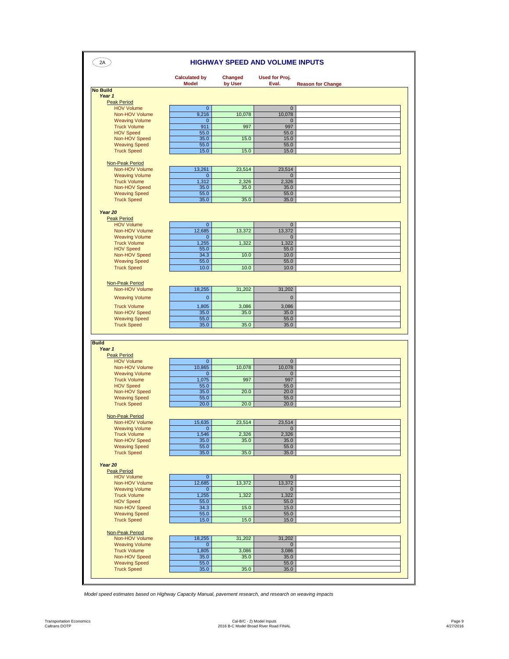| 2A                                         |                                      |                           | <b>HIGHWAY SPEED AND VOLUME INPUTS</b>                     |  |
|--------------------------------------------|--------------------------------------|---------------------------|------------------------------------------------------------|--|
|                                            | <b>Calculated by</b><br><b>Model</b> | <b>Changed</b><br>by User | <b>Used for Proj.</b><br>Eval.<br><b>Reason for Change</b> |  |
| <b>No Build</b>                            |                                      |                           |                                                            |  |
| Year 1                                     |                                      |                           |                                                            |  |
| <b>Peak Period</b>                         |                                      |                           |                                                            |  |
| <b>HOV Volume</b>                          | $\pmb{0}$                            |                           | $\mathbf 0$                                                |  |
| Non-HOV Volume                             | 9,216                                | 10,078                    | 10,078                                                     |  |
| <b>Weaving Volume</b>                      |                                      | $\mathbf 0$               | $\mathbf{0}$                                               |  |
| <b>Truck Volume</b>                        | 911                                  | 997                       | 997                                                        |  |
| <b>HOV Speed</b>                           | 55.0                                 |                           | 55.0                                                       |  |
| Non-HOV Speed                              | 35.0                                 | 15.0                      | 15.0                                                       |  |
| <b>Weaving Speed</b><br><b>Truck Speed</b> | 55.0<br>15.0                         | 15.0                      | 55.0<br>15.0                                               |  |
|                                            |                                      |                           |                                                            |  |
| Non-Peak Period                            |                                      |                           |                                                            |  |
| Non-HOV Volume                             | 13,261                               | 23,514                    | 23,514                                                     |  |
| <b>Weaving Volume</b>                      |                                      | $\mathbf 0$               | $\mathbf{0}$                                               |  |
| <b>Truck Volume</b>                        | 1,312                                | 2,326                     | 2,326                                                      |  |
| Non-HOV Speed                              | 35.0                                 | 35.0                      | 35.0                                                       |  |
| <b>Weaving Speed</b>                       | 55.0                                 |                           | 55.0                                                       |  |
| <b>Truck Speed</b>                         | 35.0                                 | 35.0                      | 35.0                                                       |  |
|                                            |                                      |                           |                                                            |  |
| Year 20                                    |                                      |                           |                                                            |  |
| <b>Peak Period</b>                         |                                      |                           |                                                            |  |
| <b>HOV Volume</b>                          | $\pmb{0}$                            |                           | $\mathbf 0$                                                |  |
| Non-HOV Volume                             | 12,685                               | 13,372                    | 13,372                                                     |  |
| <b>Weaving Volume</b>                      | $\mathbf{0}$                         |                           | $\mathbf{0}$                                               |  |
| <b>Truck Volume</b><br><b>HOV Speed</b>    | 1,255<br>55.0                        | 1,322                     | 1,322                                                      |  |
| Non-HOV Speed                              | 34.3                                 | 10.0                      | 55.0<br>10.0                                               |  |
| <b>Weaving Speed</b>                       | 55.0                                 |                           | 55.0                                                       |  |
| <b>Truck Speed</b>                         | 10.0                                 | 10.0                      | 10.0                                                       |  |
|                                            |                                      |                           |                                                            |  |
|                                            |                                      |                           |                                                            |  |
| <b>Non-Peak Period</b>                     |                                      |                           |                                                            |  |
| Non-HOV Volume                             | 18,255                               | 31,202                    | 31,202                                                     |  |
| <b>Weaving Volume</b>                      | $\mathbf 0$                          |                           | $\mathbf 0$                                                |  |
| <b>Truck Volume</b>                        | 1,805                                | 3,086                     | 3,086                                                      |  |
| Non-HOV Speed                              | 35.0                                 | 35.0                      | 35.0                                                       |  |
| <b>Weaving Speed</b>                       | 55.0                                 |                           | 55.0                                                       |  |
| <b>Truck Speed</b>                         | 35.0                                 | 35.0                      | 35.0                                                       |  |
|                                            |                                      |                           |                                                            |  |
|                                            |                                      |                           |                                                            |  |
| <b>Build</b>                               |                                      |                           |                                                            |  |
| Year 1                                     |                                      |                           |                                                            |  |
| <b>Peak Period</b>                         |                                      |                           |                                                            |  |
| <b>HOV Volume</b>                          |                                      | $\pmb{0}$                 | $\overline{0}$                                             |  |
| Non-HOV Volume                             | 10,865                               | 10,078                    | 10,078                                                     |  |
| <b>Weaving Volume</b>                      | $\pmb{0}$                            | 997                       | $\mathsf{O}\xspace$                                        |  |
| <b>Truck Volume</b>                        | 1,075                                |                           | 997                                                        |  |
| <b>HOV Speed</b><br>Non-HOV Speed          | 55.0<br>35.0                         | 20.0                      | 55.0<br>20.0                                               |  |
| <b>Weaving Speed</b>                       | 55.0                                 |                           | 55.0                                                       |  |
| <b>Truck Speed</b>                         | 20.0                                 | 20.0                      | 20.0                                                       |  |
|                                            |                                      |                           |                                                            |  |
| <b>Non-Peak Period</b>                     |                                      |                           |                                                            |  |
| Non-HOV Volume                             | 15,635                               | 23,514                    | 23,514                                                     |  |
| <b>Weaving Volume</b>                      |                                      | $\overline{0}$            | $\overline{0}$                                             |  |
| <b>Truck Volume</b>                        | 1,546                                | 2,326                     | 2,326                                                      |  |
| Non-HOV Speed                              | 35.0                                 | 35.0                      | 35.0                                                       |  |
| <b>Weaving Speed</b>                       | 55.0                                 |                           | 55.0                                                       |  |
| <b>Truck Speed</b>                         | 35.0                                 | 35.0                      | 35.0                                                       |  |
|                                            |                                      |                           |                                                            |  |
| Year 20                                    |                                      |                           |                                                            |  |
| <b>Peak Period</b>                         |                                      |                           |                                                            |  |
| <b>HOV Volume</b>                          |                                      | $\overline{0}$            | $\overline{0}$                                             |  |
| Non-HOV Volume                             | 12,685                               | 13,372                    | 13,372                                                     |  |
| <b>Weaving Volume</b>                      |                                      | $\overline{0}$            | $\mathbf{0}$                                               |  |
| <b>Truck Volume</b>                        | 1,255                                | 1,322                     | 1,322                                                      |  |
| <b>HOV Speed</b>                           | 55.0                                 |                           | 55.0                                                       |  |
| Non-HOV Speed                              | 34.3                                 | 15.0                      | 15.0                                                       |  |
| <b>Weaving Speed</b>                       | 55.0                                 |                           | 55.0                                                       |  |
| <b>Truck Speed</b>                         | 15.0                                 | 15.0                      | 15.0                                                       |  |
|                                            |                                      |                           |                                                            |  |
| <b>Non-Peak Period</b>                     |                                      |                           |                                                            |  |
| Non-HOV Volume                             | 18,255                               | 31,202                    | 31,202                                                     |  |
| <b>Weaving Volume</b>                      |                                      | $\overline{0}$            | $\overline{0}$                                             |  |
| <b>Truck Volume</b>                        | 1,805                                | 3,086                     | 3,086                                                      |  |
| Non-HOV Speed                              | 35.0                                 | 35.0                      | 35.0                                                       |  |
| <b>Weaving Speed</b>                       | 55.0                                 |                           | 55.0                                                       |  |
|                                            |                                      |                           |                                                            |  |
| <b>Truck Speed</b>                         | 35.0                                 | 35.0                      | 35.0                                                       |  |

*Model speed estimates based on Highway Capacity Manual, pavement research, and research on weaving impacts*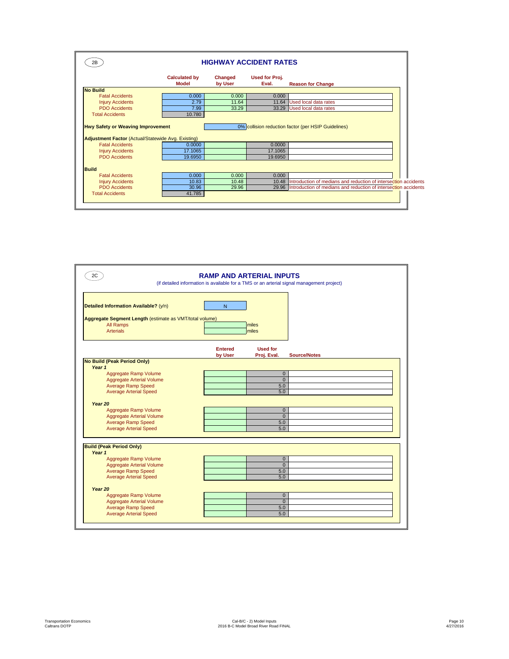| 2В.                                                                                                   |                               |                    | <b>HIGHWAY ACCIDENT RATES</b> |                                                                       |
|-------------------------------------------------------------------------------------------------------|-------------------------------|--------------------|-------------------------------|-----------------------------------------------------------------------|
|                                                                                                       | <b>Calculated by</b><br>Model | Changed<br>by User | Used for Proj.<br>Eval.       | <b>Reason for Change</b>                                              |
| <b>No Build</b>                                                                                       |                               |                    |                               |                                                                       |
| <b>Fatal Accidents</b>                                                                                | 0.000                         | 0.000              | 0.000                         |                                                                       |
| <b>Injury Accidents</b>                                                                               | 2.79                          | 11.64              | 11.64                         | Used local data rates                                                 |
| <b>PDO</b> Accidents                                                                                  | 7.99                          | 33.29              |                               | 33.29 Used local data rates                                           |
| <b>Hwy Safety or Weaving Improvement</b><br><b>Adjustment Factor (Actual/Statewide Avg. Existing)</b> |                               |                    |                               | 0% collision reduction factor (per HSIP Guidelines)                   |
| <b>Fatal Accidents</b>                                                                                | 0.0000                        |                    | 0.0000                        |                                                                       |
| <b>Injury Accidents</b><br><b>PDO</b> Accidents                                                       | 17.1065<br>19,6950            |                    | 17.1065<br>19.6950            |                                                                       |
| <b>Build</b><br><b>Fatal Accidents</b>                                                                | 0.000                         | 0.000              | 0.000                         |                                                                       |
| <b>Injury Accidents</b>                                                                               | 10.83                         | 10.48              | 10.48                         | Introduction of medians and reduction of intersection accidents       |
| <b>PDO</b> Accidents                                                                                  | 30.96                         | 29.96              |                               | 29.96 Introduction of medians and reduction of intersection accidents |
| <b>Total Accidents</b>                                                                                | 41.785                        |                    |                               |                                                                       |

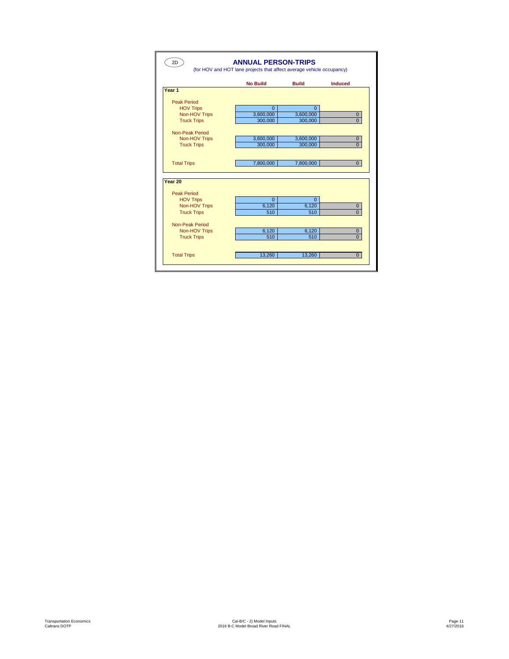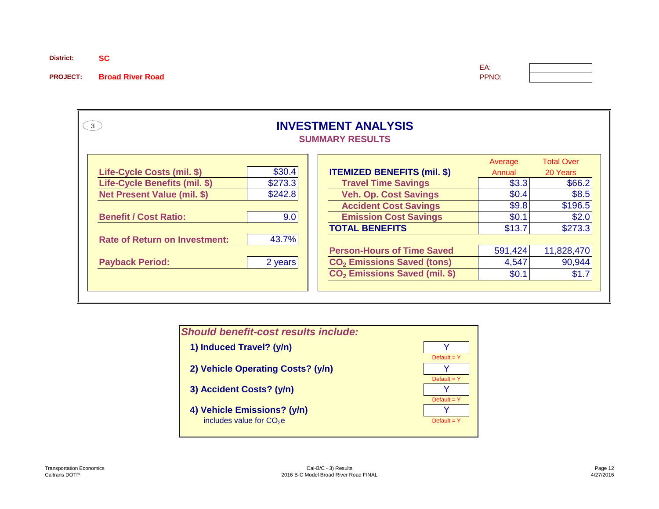**District: SC**

**PROJECT:** Broad River Road

| ٠<br>۰. |  |
|---------|--|

| <b>INVESTMENT ANALYSIS</b><br>(3)<br><b>SUMMARY RESULTS</b> |         |                                           |         |            |  |  |  |  |  |  |
|-------------------------------------------------------------|---------|-------------------------------------------|---------|------------|--|--|--|--|--|--|
| <b>Total Over</b><br>Average                                |         |                                           |         |            |  |  |  |  |  |  |
| Life-Cycle Costs (mil. \$)                                  | \$30.4  | <b>ITEMIZED BENEFITS (mil. \$)</b>        | Annual  | 20 Years   |  |  |  |  |  |  |
| Life-Cycle Benefits (mil. \$)                               | \$273.3 | <b>Travel Time Savings</b>                | \$3.3   | \$66.2     |  |  |  |  |  |  |
| <b>Net Present Value (mil. \$)</b>                          | \$242.8 | <b>Veh. Op. Cost Savings</b>              | \$0.4   | \$8.5      |  |  |  |  |  |  |
|                                                             |         | <b>Accident Cost Savings</b>              | \$9.8   | \$196.5    |  |  |  |  |  |  |
| <b>Benefit / Cost Ratio:</b>                                | 9.0     | <b>Emission Cost Savings</b>              | \$0.1   | \$2.0      |  |  |  |  |  |  |
|                                                             |         | <b>TOTAL BENEFITS</b>                     | \$13.7  | \$273.3    |  |  |  |  |  |  |
| <b>Rate of Return on Investment:</b>                        | 43.7%   |                                           |         |            |  |  |  |  |  |  |
|                                                             |         | <b>Person-Hours of Time Saved</b>         | 591,424 | 11,828,470 |  |  |  |  |  |  |
| <b>Payback Period:</b>                                      | 2 years | CO <sub>2</sub> Emissions Saved (tons)    | 4,547   | 90,944     |  |  |  |  |  |  |
|                                                             |         | CO <sub>2</sub> Emissions Saved (mil. \$) | \$0.1   | \$1.7      |  |  |  |  |  |  |
|                                                             |         |                                           |         |            |  |  |  |  |  |  |

| <b>Should benefit-cost results include:</b> |               |
|---------------------------------------------|---------------|
| 1) Induced Travel? (y/n)                    |               |
|                                             | Default = $Y$ |
| 2) Vehicle Operating Costs? (y/n)           |               |
|                                             | Default = $Y$ |
| 3) Accident Costs? (y/n)                    |               |
| 4) Vehicle Emissions? (y/n)                 | Default = $Y$ |
| includes value for $CO2e$                   | Default = $Y$ |
|                                             |               |
|                                             |               |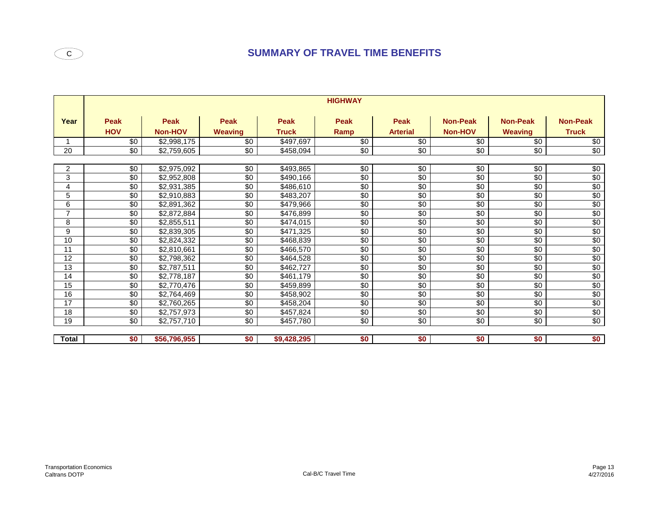# **C** SUMMARY OF TRAVEL TIME BENEFITS

|                | <b>HIGHWAY</b>            |                        |                        |                      |                 |                         |                                   |                                   |                                 |  |  |  |
|----------------|---------------------------|------------------------|------------------------|----------------------|-----------------|-------------------------|-----------------------------------|-----------------------------------|---------------------------------|--|--|--|
| Year           | <b>Peak</b><br><b>HOV</b> | <b>Peak</b><br>Non-HOV | Peak<br><b>Weaving</b> | Peak<br><b>Truck</b> | Peak<br>Ramp    | Peak<br><b>Arterial</b> | <b>Non-Peak</b><br><b>Non-HOV</b> | <b>Non-Peak</b><br><b>Weaving</b> | <b>Non-Peak</b><br><b>Truck</b> |  |  |  |
|                | \$0                       | \$2,998,175            | \$0                    | \$497,697            | \$0             | \$0                     | \$0                               | \$0                               | $\overline{30}$                 |  |  |  |
| 20             | $\sqrt{6}$                | \$2,759,605            | \$0                    | \$458,094            | $\sqrt{6}$      | $\sqrt{6}$              | $\sqrt{6}$                        | $\sqrt{6}$                        | $\sqrt{60}$                     |  |  |  |
|                |                           |                        |                        |                      |                 |                         |                                   |                                   |                                 |  |  |  |
| 2              | $\sqrt{6}$                | \$2,975,092            | $\sqrt{6}$             | \$493,865            | $\sqrt{6}$      | $\sqrt{6}$              | $\sqrt{6}$                        | $\sqrt{6}$                        | $\sqrt{6}$                      |  |  |  |
| 3              | \$0                       | \$2,952,808            | \$0                    | \$490,166            | \$0             | \$0                     | \$0                               | \$0                               | \$0                             |  |  |  |
| 4              | \$0                       | \$2,931,385            | $\sqrt{6}$             | \$486,610            | \$0             | \$0                     | \$0                               | \$0                               | \$0                             |  |  |  |
| 5              | \$0                       | \$2,910,883            | $\sqrt{6}$             | \$483,207            | \$0             | $\sqrt{6}$              | $\sqrt{6}$                        | $\sqrt{6}$                        | $\sqrt{6}$                      |  |  |  |
| 6              | $\sqrt{6}$                | \$2,891,362            | $\sqrt{6}$             | \$479,966            | $\sqrt{6}$      | $\sqrt{6}$              | \$0                               | $\sqrt{6}$                        | \$0                             |  |  |  |
| $\overline{7}$ | $\sqrt{6}$                | \$2,872,884            | $\sqrt{6}$             | \$476,899            | $\sqrt{6}$      | $\sqrt{6}$              | \$0                               | $\sqrt{6}$                        | \$0                             |  |  |  |
| 8              | $\sqrt{6}$                | \$2,855,511            | \$0                    | \$474,015            | $\sqrt{6}$      | \$0                     | \$0                               | $\sqrt{6}$                        | \$0                             |  |  |  |
| 9              | $\sqrt{6}$                | \$2,839,305            | $\sqrt{6}$             | \$471,325            | $\sqrt{6}$      | $\sqrt{6}$              | $\sqrt{6}$                        | $\sqrt{6}$                        | $\sqrt{6}$                      |  |  |  |
| 10             | $\sqrt{6}$                | \$2,824,332            | $\sqrt{6}$             | \$468,839            | $\overline{60}$ | \$0                     | \$0                               | \$0                               | \$0                             |  |  |  |
| 11             | $\sqrt{6}$                | \$2,810,661            | $\sqrt{6}$             | \$466,570            | $\sqrt{6}$      | \$0                     | \$0                               | $\sqrt{6}$                        | \$0                             |  |  |  |
| 12             | $\sqrt{6}$                | \$2,798,362            | $\sqrt{6}$             | \$464,528            | $\sqrt{6}$      | \$0                     | \$0                               | $\sqrt{6}$                        | \$0                             |  |  |  |
| 13             | \$0                       | \$2,787,511            | \$0                    | \$462,727            | \$0             | \$0                     | $\sqrt{6}$                        | \$0                               | $\sqrt{6}$                      |  |  |  |
| 14             | \$0                       | \$2,778,187            | \$0                    | \$461,179            | \$0             | \$0                     | \$0                               | \$0                               | \$0                             |  |  |  |
| 15             | $\sqrt{6}$                | \$2,770,476            | $\sqrt{6}$             | \$459,899            | $\sqrt{6}$      | $\sqrt{6}$              | \$0                               | $\sqrt{6}$                        | $\sqrt{6}$                      |  |  |  |
| 16             | \$0                       | \$2,764,469            | \$0                    | \$458,902            | \$0             | $\sqrt{6}$              | $\sqrt{6}$                        | \$0                               | $\sqrt{6}$                      |  |  |  |
| 17             | $\sqrt{6}$                | \$2,760,265            | $\sqrt{6}$             | \$458,204            | $\sqrt{6}$      | $\sqrt{6}$              | \$0                               | $\sqrt{6}$                        | \$0                             |  |  |  |
| 18             | $\sqrt{6}$                | \$2,757,973            | $\sqrt{6}$             | \$457,824            | $\sqrt{6}$      | $\sqrt{6}$              | $\sqrt{6}$                        | $\sqrt{6}$                        | $\sqrt{6}$                      |  |  |  |
| 19             | $\overline{50}$           | \$2,757,710            | $\sqrt{6}$             | \$457,780            | $\sqrt{6}$      | $\sqrt{50}$             | $\sqrt{6}$                        | $\sqrt{6}$                        | $\sqrt{6}$                      |  |  |  |
|                |                           |                        |                        |                      |                 |                         |                                   |                                   |                                 |  |  |  |
| <b>Total</b>   | \$0                       | \$56,796,955           | \$0                    | \$9,428,295          | \$0             | \$0                     | \$0                               | \$0                               | \$0                             |  |  |  |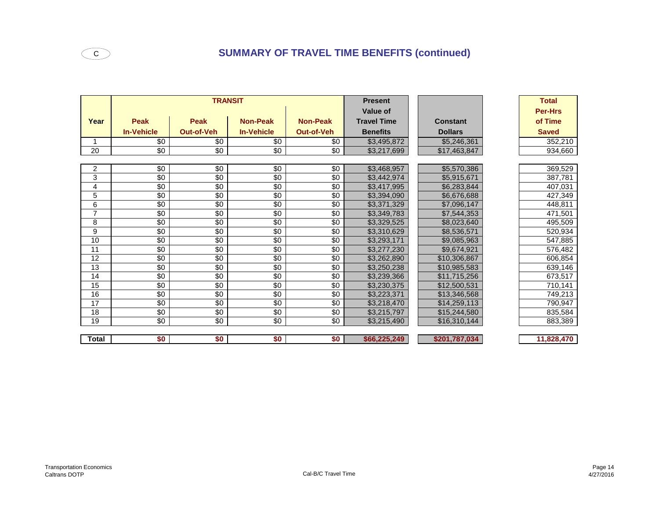|                |                   | <b>TRANSIT</b>    |                   |                   | <b>Present</b>     |                 | <b>Total</b>   |
|----------------|-------------------|-------------------|-------------------|-------------------|--------------------|-----------------|----------------|
|                |                   |                   |                   |                   | Value of           |                 | <b>Per-Hrs</b> |
| Year           | <b>Peak</b>       | <b>Peak</b>       | <b>Non-Peak</b>   | <b>Non-Peak</b>   | <b>Travel Time</b> | <b>Constant</b> | of Time        |
|                | <b>In-Vehicle</b> | <b>Out-of-Veh</b> | <b>In-Vehicle</b> | <b>Out-of-Veh</b> | <b>Benefits</b>    | <b>Dollars</b>  | <b>Saved</b>   |
|                | \$0               | \$0               | \$0               | \$0               | \$3,495,872        | \$5,246,361     | 352,210        |
| 20             | \$0               | $\sqrt{6}$        | $\sqrt{6}$        | \$0               | \$3,217,699        | \$17,463,847    | 934,660        |
|                |                   |                   |                   |                   |                    |                 |                |
| $\mathbf{2}$   | \$0               | \$0               | \$0               | \$0               | \$3,468,957        | \$5,570,386     | 369,529        |
| 3              | $\sqrt{6}$        | $\sqrt{6}$        | $\sqrt{6}$        | $\sqrt{6}$        | \$3,442,974        | \$5,915,671     | 387,781        |
| 4              | $\sqrt{6}$        | $\sqrt{6}$        | $\sqrt{6}$        | $\sqrt{6}$        | \$3,417,995        | \$6,283,844     | 407,031        |
| $\overline{5}$ | \$0               | $\sqrt{50}$       | $\sqrt{6}$        | \$0               | \$3,394,090        | \$6,676,688     | 427,349        |
| 6              | \$0               | \$0               | $\sqrt{6}$        | \$0               | \$3,371,329        | \$7,096,147     | 448,811        |
| $\overline{7}$ | $\sqrt{6}$        | $\sqrt{6}$        | $\sqrt{6}$        | $\sqrt{6}$        | \$3,349,783        | \$7,544,353     | 471,501        |
| 8              | \$0               | $\sqrt{6}$        | $\sqrt{6}$        | \$0               | \$3,329,525        | \$8,023,640     | 495,509        |
| 9              | \$0               | \$0               | \$0               | \$0               | \$3,310,629        | \$8,536,571     | 520,934        |
| 10             | $\overline{30}$   | $\sqrt{6}$        | $\sqrt{6}$        | \$0               | \$3,293,171        | \$9,085,963     | 547,885        |
| 11             | $\overline{30}$   | $\sqrt{6}$        | $\sqrt{6}$        | \$0               | \$3,277,230        | \$9,674,921     | 576,482        |
| 12             | $\overline{30}$   | $\sqrt{6}$        | $\sqrt{6}$        | \$0               | \$3,262,890        | \$10,306,867    | 606,854        |
| 13             | $\overline{50}$   | $\sqrt{6}$        | $\sqrt{6}$        | \$0               | \$3,250,238        | \$10,985,583    | 639,146        |
| 14             | \$0               | \$0               | \$0               | \$0               | \$3,239,366        | \$11,715,256    | 673,517        |
| 15             | $\sqrt{6}$        | $\sqrt{6}$        | $\sqrt{6}$        | \$0               | \$3,230,375        | \$12,500,531    | 710,141        |
| 16             | $\overline{30}$   | $\sqrt{6}$        | $\sqrt{6}$        | $\sqrt{6}$        | \$3,223,371        | \$13,346,568    | 749,213        |
| 17             | \$0               | \$0               | \$0               | \$0               | \$3,218,470        | \$14,259,113    | 790,947        |
| 18             | \$0               | $\sqrt{6}$        | $\sqrt{6}$        | \$0               | \$3,215,797        | \$15,244,580    | 835,584        |
| 19             | $\overline{30}$   | $\overline{30}$   | $\overline{30}$   | $\sqrt{6}$        | \$3,215,490        | \$16,310,144    | 883,389        |
|                |                   |                   |                   |                   |                    |                 |                |
| <b>Total</b>   | \$0               | \$0               | \$0               | \$0               | \$66,225,249       | \$201,787,034   | 11,828,470     |

Transportation Economics

 $\overline{\mathsf{c}}$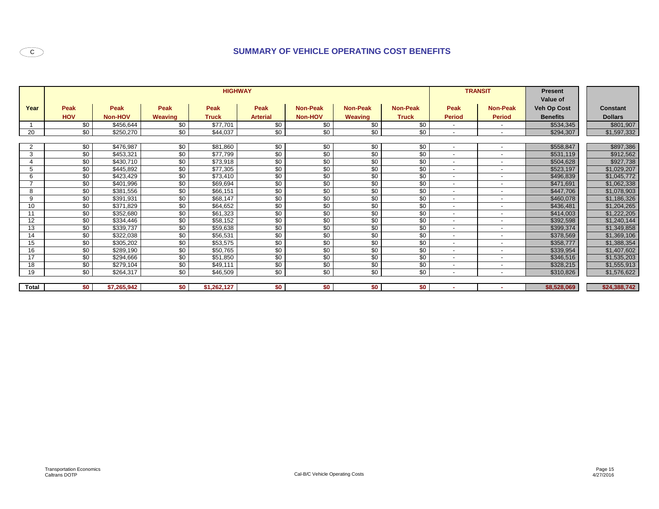# **SUMMARY OF VEHICLE OPERATING COST BENEFITS**

|                |                 |             |                | <b>HIGHWAY</b> |                 |                 |                 |                 |                          | <b>TRANSIT</b>           | <b>Present</b><br>Value of |                 |
|----------------|-----------------|-------------|----------------|----------------|-----------------|-----------------|-----------------|-----------------|--------------------------|--------------------------|----------------------------|-----------------|
| Year           | Peak            | Peak        | Peak           | Peak           | Peak            | <b>Non-Peak</b> | <b>Non-Peak</b> | <b>Non-Peak</b> | <b>Peak</b>              | <b>Non-Peak</b>          | Veh Op Cost                | <b>Constant</b> |
|                | <b>HOV</b>      | Non-HOV     | <b>Weaving</b> | <b>Truck</b>   | <b>Arterial</b> | Non-HOV         | Weaving         | <b>Truck</b>    | <b>Period</b>            | <b>Period</b>            | <b>Benefits</b>            | <b>Dollars</b>  |
|                | \$0             | \$456,644   | \$0            | \$77,701       | \$0             | \$0             | \$0             | \$0             | $\sim$                   | $\overline{\phantom{a}}$ | \$534,345                  | \$801,907       |
| 20             | \$0             | \$250,270   | \$0            | \$44,037       | \$0             | \$0             | \$0             | \$0             | $\overline{\phantom{a}}$ | $\overline{\phantom{a}}$ | \$294,307                  | \$1,597,332     |
|                |                 |             |                |                |                 |                 |                 |                 |                          |                          |                            |                 |
| $\overline{2}$ | \$0             | \$476,987   | \$0            | \$81,860       | \$0             | \$0             | \$0             | \$0             | $\overline{\phantom{a}}$ | $\overline{\phantom{a}}$ | \$558,847                  | \$897,386       |
| 3              | \$0             | \$453,321   | \$0            | \$77,799       | $\overline{50}$ | \$0             | \$0             | \$0             | $\overline{\phantom{a}}$ | $\overline{\phantom{a}}$ | \$531,119                  | \$912,562       |
| 4              | \$0             | \$430,710   | \$0            | \$73,918       | \$0             | \$0             | \$0             | \$0             | $\overline{\phantom{a}}$ | $\overline{\phantom{a}}$ | \$504,628                  | \$927,738       |
| 5              | $\sqrt{6}$      | \$445,892   | \$0            | \$77,305       | \$0             | \$0             | $\overline{50}$ | $\overline{50}$ | $\overline{\phantom{a}}$ | $\overline{\phantom{a}}$ | \$523,197                  | \$1,029,207     |
| 6              | \$0             | \$423,429   | \$0            | \$73,410       | $\sqrt{50}$     | \$0             | \$0             | \$0             | $\overline{\phantom{a}}$ | $\overline{\phantom{a}}$ | \$496,839                  | \$1,045,772     |
| $\overline{ }$ | \$0             | \$401,996   | \$0            | \$69,694       | \$0             | \$0             | \$0             | \$0             | $\overline{\phantom{a}}$ | $\overline{\phantom{a}}$ | \$471,691                  | \$1,062,338     |
| 8              | \$0             | \$381,556   | \$0            | \$66,151       | \$0             | \$0             | \$0             | \$0             | $\overline{\phantom{a}}$ | $\overline{\phantom{a}}$ | \$447,706                  | \$1,078,903     |
| 9              | $\overline{50}$ | \$391,931   | \$0            | \$68,147       | \$0             | \$0             | $\overline{50}$ | $\overline{50}$ | $\overline{\phantom{a}}$ | $\overline{\phantom{a}}$ | \$460,078                  | \$1,186,326     |
| 10             | \$0             | \$371,829   | \$0            | \$64,652       | \$0             | \$0             | \$0             | \$0             | $\overline{\phantom{a}}$ | $\overline{\phantom{a}}$ | \$436,481                  | \$1,204,265     |
| 11             | $\sqrt{60}$     | \$352,680   | \$0            | \$61,323       | \$0             | \$0             | $\overline{50}$ | $\overline{50}$ | $\overline{\phantom{a}}$ | $\overline{\phantom{a}}$ | \$414,003                  | \$1,222,205     |
| 12             | \$0             | \$334,446   | \$0            | \$58,152       | $\overline{50}$ | \$0             | \$0             | \$0             | $\overline{\phantom{a}}$ | $\sim$                   | \$392,598                  | \$1,240,144     |
| 13             | $\overline{50}$ | \$339,737   | \$0            | \$59,638       | \$0             | \$0             | \$0             | \$0             | $\overline{\phantom{a}}$ | $\overline{\phantom{a}}$ | \$399,374                  | \$1,349,858     |
| 14             | $\sqrt{60}$     | \$322,038   | \$0            | \$56,531       | $\sqrt{50}$     | \$0             | \$0             | $\overline{50}$ | $\overline{\phantom{a}}$ | $\overline{\phantom{a}}$ | \$378,569                  | \$1,369,106     |
| 15             | \$0             | \$305,202   | \$0            | \$53,575       | $\overline{50}$ | \$0             | \$0             | \$0             | $\overline{\phantom{a}}$ | $\sim$                   | \$358,777                  | \$1,388,354     |
| 16             | $\sqrt{6}$      | \$289,190   | \$0            | \$50,765       | $\overline{50}$ | \$0             | $\overline{50}$ | \$0             | $\overline{\phantom{a}}$ | $\overline{\phantom{a}}$ | \$339,954                  | \$1,407,602     |
| 17             | \$0             | \$294,666   | \$0            | \$51,850       | \$0             | \$0             | \$0             | \$0             | $\overline{\phantom{a}}$ | $\overline{\phantom{a}}$ | \$346,516                  | \$1,535,203     |
| 18             | \$0             | \$279,104   | \$0            | \$49,111       | $\sqrt{50}$     | \$0             | \$0             | \$0             | $\overline{\phantom{a}}$ | $\overline{\phantom{a}}$ | \$328,215                  | \$1,555,913     |
| 19             | \$0             | \$264,317   | \$0            | \$46,509       | \$0             | $\overline{50}$ | $\overline{50}$ | \$0             | $\overline{\phantom{a}}$ | $\overline{\phantom{a}}$ | \$310,826                  | \$1,576,622     |
|                |                 |             |                |                |                 |                 |                 |                 |                          |                          |                            |                 |
| Total          | \$0             | \$7,265,942 | \$0            | \$1,262,127    | \$0             | \$0             | \$0             | \$0             | ۰.                       | $\overline{\phantom{a}}$ | \$8,528,069                | \$24,388,742    |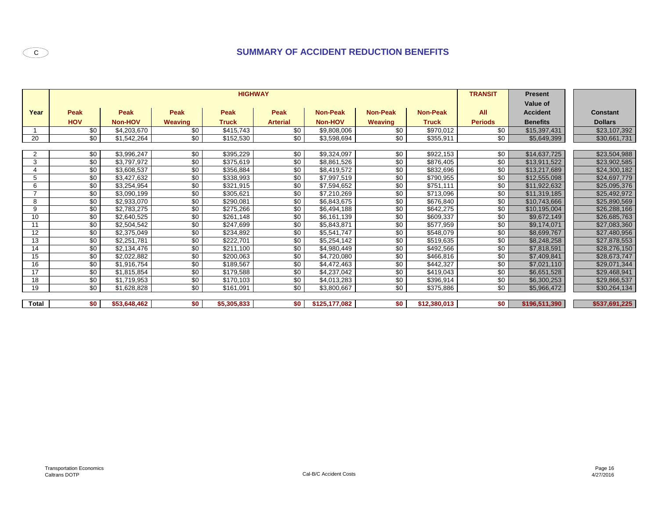# **SUMMARY OF ACCIDENT REDUCTION BENEFITS**

|                |             |                |                | <b>TRANSIT</b> | <b>Present</b><br>Value of |                 |                 |                 |                |                              |                 |
|----------------|-------------|----------------|----------------|----------------|----------------------------|-----------------|-----------------|-----------------|----------------|------------------------------|-----------------|
| Year           | <b>Peak</b> | <b>Peak</b>    | <b>Peak</b>    | Peak           | <b>Peak</b>                | <b>Non-Peak</b> | <b>Non-Peak</b> | <b>Non-Peak</b> | <b>All</b>     | <b>Accident</b>              | <b>Constant</b> |
|                | <b>HOV</b>  | <b>Non-HOV</b> | <b>Weaving</b> | <b>Truck</b>   | <b>Arterial</b>            | <b>Non-HOV</b>  | <b>Weaving</b>  | <b>Truck</b>    | <b>Periods</b> | <b>Benefits</b>              | <b>Dollars</b>  |
|                | \$0         | \$4,203,670    | \$0            | \$415,743      | \$0                        | \$9,808,006     | \$0             | \$970,012       | \$0            | \$15,397,431                 | \$23,107,392    |
| 20             | \$0         | \$1,542,264    | \$0            | \$152,530      | \$0                        | \$3,598,694     | \$0             | \$355,911       | \$0            | \$5,649,399                  | \$30,661,731    |
|                |             |                |                |                |                            |                 |                 |                 |                |                              |                 |
| $\overline{2}$ | \$0         | \$3,996,247    | \$0            | \$395,229      | \$0                        | \$9,324,097     | \$0             | \$922,153       | \$0            | \$14,637,725                 | \$23,504,988    |
| 3              | \$0         | \$3,797,972    | \$0            | \$375,619      | \$0                        | \$8,861,526     | \$0             | \$876,405       | \$0            | \$13,911,522                 | \$23,902,585    |
|                | \$0         | \$3,608,537    | \$0            | \$356,884      | \$0                        | \$8,419,572     | \$0             | \$832,696       | \$0            | \$13,217,689                 | \$24,300,182    |
| 5              | \$0         | \$3,427,632    | \$0            | \$338,993      | \$0                        | \$7,997,519     | \$0             | \$790,955       | \$0            |                              | \$24,697,779    |
| 6              | \$0         | \$3,254,954    | \$0            | \$321,915      | \$0                        | \$7,594,652     | \$0             | \$751,111       | \$0            | \$12,555,098<br>\$11,922,632 | \$25,095,376    |
|                | \$0         | \$3,090,199    | \$0            | \$305,621      | \$0                        | \$7,210,269     | \$0             | \$713,096       | \$0            |                              | \$25,492,972    |
|                |             | \$2,933,070    | \$0            | \$290,081      | \$0                        | \$6,843,675     | \$0             |                 | \$0            | \$11,319,185                 |                 |
| 8              | \$0         |                |                |                |                            |                 |                 | \$676,840       |                | \$10,743,666                 | \$25,890,569    |
| 9              | \$0         | \$2,783,275    | \$0            | \$275,266      | \$0                        | \$6,494,188     | \$0             | \$642,275       | \$0            | \$10,195,004                 | \$26,288,166    |
| 10             | \$0         | \$2,640,525    | \$0            | \$261,148      | \$0                        | \$6,161,139     | \$0             | \$609,337       | \$0            | \$9,672,149                  | \$26,685,763    |
| 11             | \$0         | \$2,504,542    | \$0            | \$247,699      | \$0                        | \$5,843,871     | \$0             | \$577,959       | \$0            | \$9,174,071                  | \$27,083,360    |
| 12             | \$0         | \$2,375,049    | \$0            | \$234,892      | \$0                        | \$5,541,747     | \$0             | \$548,079       | \$0            | \$8,699,767                  | \$27,480,956    |
| 13             | \$0         | \$2,251,781    | \$0            | \$222,701      | \$0                        | \$5,254,142     | \$0             | \$519,635       | \$0            | \$8,248,258                  | \$27,878,553    |
| 14             | \$0         | \$2,134,476    | \$0            | \$211,100      | \$0                        | \$4,980,449     | \$0             | \$492,566       | \$0            | \$7,818,591                  | \$28,276,150    |
| 15             | \$0         | \$2,022,882    | \$0            | \$200,063      | \$0                        | \$4,720,080     | \$0             | \$466,816       | \$0            | \$7,409,841                  | \$28,673,747    |
| 16             | \$0         | \$1,916,754    | \$0            | \$189,567      | \$0                        | \$4,472,463     | \$0             | \$442,327       | \$0            | \$7,021,110                  | \$29,071,344    |
| 17             | \$0         | \$1,815,854    | \$0            | \$179,588      | \$0                        | \$4,237,042     | \$0             | \$419,043       | \$0            | \$6,651,528                  | \$29,468,941    |
| 18             | \$0         | \$1,719,953    | \$0            | \$170,103      | \$0                        | \$4,013,283     | \$0             | \$396,914       | \$0            | \$6,300,253                  | \$29,866,537    |
| 19             | \$0         | \$1,628,828    | \$0            | \$161,091      | \$0                        | \$3,800,667     | \$0             | \$375,886       | \$0            | \$5,966,472                  | \$30,264,134    |
|                |             |                |                |                |                            |                 |                 |                 |                |                              |                 |
| <b>Total</b>   | \$0         | \$53,648,462   | \$0            | \$5,305,833    | \$0                        | \$125,177,082   | \$0             | \$12,380,013    | \$0            | \$196,511,390                | \$537,691,225   |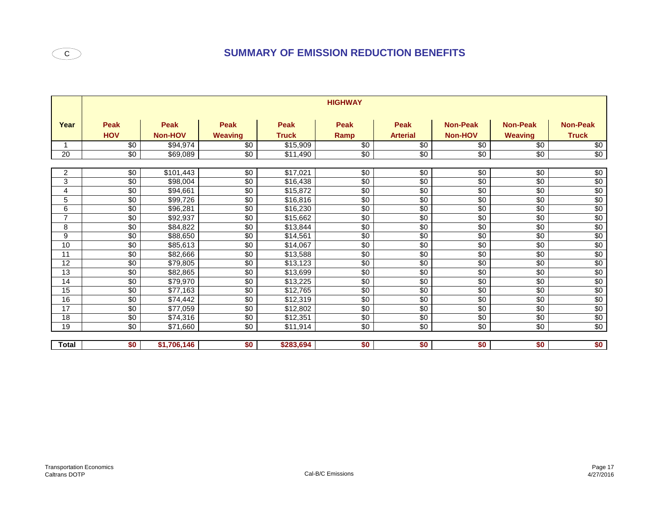|                | <b>HIGHWAY</b>            |                               |                        |                             |                     |                                |                                   |                                   |                                 |  |  |
|----------------|---------------------------|-------------------------------|------------------------|-----------------------------|---------------------|--------------------------------|-----------------------------------|-----------------------------------|---------------------------------|--|--|
| Year           | <b>Peak</b><br><b>HOV</b> | <b>Peak</b><br><b>Non-HOV</b> | Peak<br><b>Weaving</b> | <b>Peak</b><br><b>Truck</b> | <b>Peak</b><br>Ramp | <b>Peak</b><br><b>Arterial</b> | <b>Non-Peak</b><br><b>Non-HOV</b> | <b>Non-Peak</b><br><b>Weaving</b> | <b>Non-Peak</b><br><b>Truck</b> |  |  |
|                | $\sqrt{6}$                | \$94,974                      | \$0                    | \$15,909                    | $\overline{50}$     | \$0                            | $\sqrt{6}$                        | $\overline{50}$                   | $\sqrt{6}$                      |  |  |
| 20             | $\sqrt{6}$                | \$69,089                      | $\sqrt{6}$             | \$11,490                    | \$0                 | \$0                            | $\sqrt{6}$                        | $\sqrt[6]{}$                      | \$0                             |  |  |
|                |                           |                               |                        |                             |                     |                                |                                   |                                   |                                 |  |  |
| 2              | $\sqrt{6}$                | \$101,443                     | $\sqrt{6}$             | \$17,021                    | $\sqrt{6}$          | $\sqrt{6}$                     | $\sqrt{6}$                        | $\sqrt{6}$                        | $\sqrt{6}$                      |  |  |
| 3              | $\sqrt{6}$                | \$98,004                      | $\sqrt{6}$             | \$16,438                    | $\sqrt{6}$          | $\sqrt{6}$                     | $\sqrt{6}$                        | $\sqrt{6}$                        | \$0                             |  |  |
| 4              | $\sqrt{6}$                | \$94,661                      | \$0                    | \$15,872                    | $\sqrt{6}$          | \$0                            | $\sqrt{6}$                        | $\sqrt{6}$                        | \$0                             |  |  |
| 5              | $\sqrt{6}$                | \$99,726                      | \$0                    | \$16,816                    | \$0                 | \$0                            | $\sqrt{6}$                        | \$0                               | $\overline{60}$                 |  |  |
| 6              | $\sqrt{6}$                | \$96,281                      | $\overline{50}$        | \$16,230                    | $\sqrt{6}$          | $\sqrt{6}$                     | \$0                               | $\sqrt{6}$                        | \$0                             |  |  |
| $\overline{7}$ | \$0                       | \$92,937                      | $\sqrt{6}$             | \$15,662                    | $\sqrt{6}$          | $\sqrt{6}$                     | $\overline{50}$                   | $\sqrt{6}$                        | $rac{$0}{$0}$                   |  |  |
| 8              | $\sqrt{6}$                | \$84,822                      | $\sqrt{6}$             | \$13,844                    | $\sqrt{6}$          | $\sqrt{6}$                     | $\sqrt{6}$                        | $\sqrt{6}$                        |                                 |  |  |
| 9              | \$0                       | \$88,650                      | $\sqrt{6}$             | \$14,561                    | \$0                 | $\sqrt{6}$                     | \$0                               | $\sqrt{6}$                        | $\overline{60}$                 |  |  |
| 10             | \$0                       | \$85,613                      | $\sqrt{6}$             | \$14,067                    | $\overline{50}$     | $\sqrt{6}$                     | \$0                               | \$0                               | \$0                             |  |  |
| 11             | \$0                       | \$82,666                      | \$0                    | \$13,588                    | $\sqrt{6}$          | $\sqrt{6}$                     | $\sqrt{6}$                        | $\sqrt{6}$                        | $\overline{30}$                 |  |  |
| 12             | \$0                       | \$79,805                      | \$0                    | \$13,123                    | \$0                 | \$0                            | \$0                               | \$0                               | \$0                             |  |  |
| 13             | \$0                       | \$82,865                      | \$0                    | \$13,699                    | $\overline{60}$     | $\sqrt{6}$                     | $\overline{50}$                   | \$0                               | $\frac{$0}{$0}$                 |  |  |
| 14             | \$0                       | \$79,970                      | $\sqrt{6}$             | \$13,225                    | $\overline{60}$     | $\sqrt{6}$                     | \$0                               | $\sqrt{6}$                        |                                 |  |  |
| 15             | \$0                       | \$77,163                      | \$0                    | \$12,765                    | \$0                 | \$0                            | $\sqrt{6}$                        | \$0                               | \$0                             |  |  |
| 16             | \$0                       | \$74,442                      | $\sqrt{6}$             | \$12,319                    | $\overline{50}$     | $\sqrt{6}$                     | \$0                               | \$0                               | \$0                             |  |  |
| 17             | $\sqrt{6}$                | \$77,059                      | \$0                    | \$12,802                    | \$0                 | \$0                            | $\sqrt{6}$                        | \$0                               | \$0                             |  |  |
| 18             | $\sqrt{6}$                | \$74,316                      | $\sqrt{6}$             | \$12,351                    | $\sqrt{6}$          | $\sqrt{6}$                     | \$0                               | $\sqrt{6}$                        | \$0                             |  |  |
| 19             | \$0                       | \$71,660                      | \$0                    | \$11,914                    | \$0                 | \$0                            | \$0                               | \$0                               | \$0                             |  |  |
|                |                           |                               |                        |                             |                     |                                |                                   |                                   |                                 |  |  |
| <b>Total</b>   | \$0                       | \$1,706,146                   | \$0                    | \$283,694                   | \$0                 | \$0                            | \$0                               | \$0                               | \$0                             |  |  |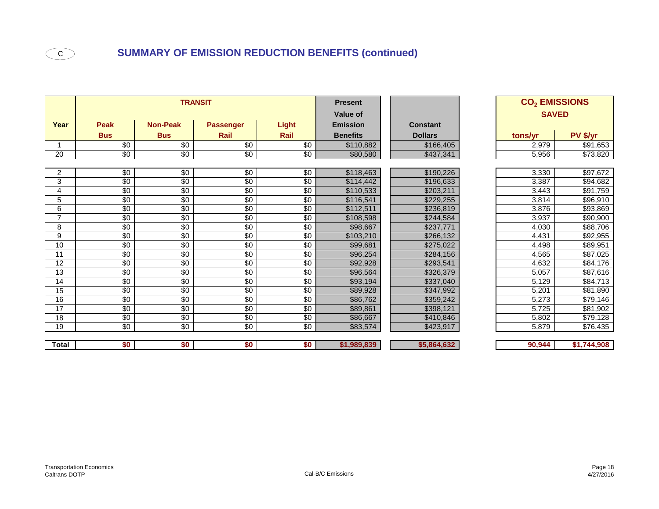|                |             |                 | <b>TRANSIT</b>   |              | <b>Present</b>  |                 |              | CO <sub>2</sub> EMISSIONS |             |
|----------------|-------------|-----------------|------------------|--------------|-----------------|-----------------|--------------|---------------------------|-------------|
|                |             |                 |                  |              | Value of        |                 | <b>SAVED</b> |                           |             |
| Year           | <b>Peak</b> | <b>Non-Peak</b> | <b>Passenger</b> | <b>Light</b> | <b>Emission</b> | <b>Constant</b> |              |                           |             |
|                | <b>Bus</b>  | <b>Bus</b>      | Rail             | Rail         | <b>Benefits</b> | <b>Dollars</b>  |              | tons/yr                   | PV \$/yr    |
| 1              | $\sqrt{6}$  | $\sqrt{6}$      | $\sqrt{6}$       | $\sqrt{6}$   | \$110,882       | \$166,405       |              | 2,979                     | \$91,653    |
| 20             | $\sqrt{6}$  | $\sqrt{6}$      | \$0              | $\sqrt{6}$   | \$80,580        | \$437,341       |              | 5,956                     | \$73,820    |
|                |             |                 |                  |              |                 |                 |              |                           |             |
| $\overline{a}$ | $\sqrt{6}$  | $\sqrt{6}$      | $\sqrt{6}$       | $\sqrt{6}$   | \$118,463       | \$190,226       |              | 3,330                     |             |
| 3              | \$0         | \$0             | $\sqrt{6}$       | \$0          | \$114,442       | \$196,633       |              | 3,387                     | \$94,682    |
| 4              | $\sqrt{6}$  | \$0             | $\sqrt{6}$       | $\sqrt{6}$   | \$110,533       | \$203,211       |              | 3,443                     | \$91,759    |
| 5              | \$0         | \$0             | $\sqrt{6}$       | $\sqrt{6}$   | \$116,541       | \$229,255       |              | 3,814                     | \$96,910    |
| 6              | \$0         | \$0             | \$0              | \$0          | \$112,511       | \$236,819       |              | 3,876                     | \$93,869    |
| $\overline{7}$ | $\sqrt{6}$  | $\sqrt{6}$      | $\sqrt{6}$       | $\sqrt{6}$   | \$108,598       | \$244,584       |              | 3,937                     | \$90,900    |
| 8              | \$0         | \$0             | \$0              | \$0          | \$98,667        | \$237,771       |              | 4,030                     | \$88,706    |
| 9              | $\sqrt{6}$  | $\sqrt{6}$      | $\sqrt{6}$       | $\sqrt{6}$   | \$103,210       | \$266,132       |              | 4,431                     | \$92,955    |
| 10             | $\sqrt{6}$  | \$0             | $\sqrt{6}$       | $\sqrt{6}$   | \$99,681        | \$275,022       |              | 4,498                     | \$89,951    |
| 11             | \$0         | \$0             | $\sqrt{6}$       | \$0          | \$96,254        | \$284,156       |              | 4,565                     | \$87,025    |
| 12             | \$0         | \$0             | \$0              | \$0          | \$92,928        | \$293,541       |              | 4,632                     | \$84,176    |
| 13             | \$0         | \$0             | \$0              | \$0          | \$96,564        | \$326,379       |              | 5,057                     | \$87,616    |
| 14             | $\sqrt{6}$  | $\sqrt{6}$      | $\sqrt{6}$       | $\sqrt{6}$   | \$93,194        | \$337,040       |              | 5,129                     | \$84,713    |
| 15             | $\sqrt{6}$  | $\sqrt{6}$      | $\sqrt{6}$       | $\sqrt{6}$   | \$89,928        | \$347,992       |              | 5,201                     | \$81,890    |
| 16             | $\sqrt{6}$  | \$0             | $\sqrt{6}$       | $\sqrt{6}$   | \$86,762        | \$359,242       |              | 5,273                     | \$79,146    |
| 17             | $\sqrt{6}$  | \$0             | $\sqrt{6}$       | \$0          | \$89,861        | \$398,121       |              | 5,725                     | \$81,902    |
| 18             | $\sqrt{6}$  | \$0             | $\sqrt{6}$       | \$0          | \$86,667        | \$410,846       |              | 5,802                     | \$79,128    |
| 19             | \$0         | \$0             | \$0              | \$0          | \$83,574        | \$423,917       |              | 5,879                     | \$76,435    |
|                |             |                 |                  |              |                 |                 |              |                           |             |
| <b>Total</b>   | \$0         | \$0             | \$0              | \$0          | \$1,989,839     | \$5,864,632     |              | 90,944                    | \$1,744,908 |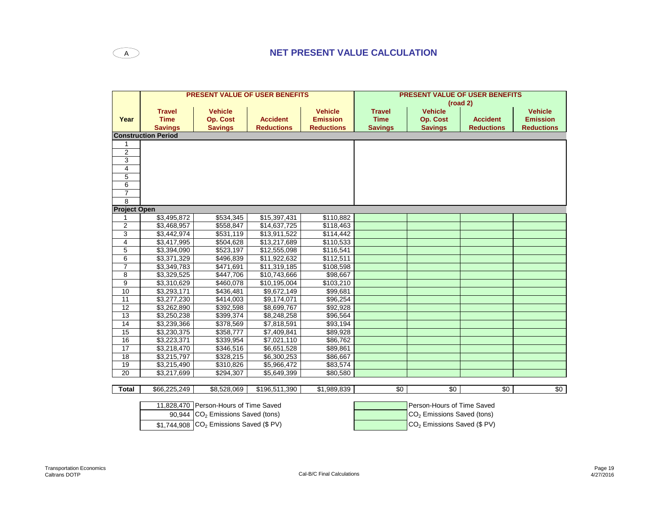|                     |                            | <b>PRESENT VALUE OF USER BENEFITS</b>      |                   |                   | <b>PRESENT VALUE OF USER BENEFITS</b><br>(road 2) |                                         |                   |                   |  |  |
|---------------------|----------------------------|--------------------------------------------|-------------------|-------------------|---------------------------------------------------|-----------------------------------------|-------------------|-------------------|--|--|
|                     | <b>Travel</b>              | <b>Vehicle</b>                             |                   | <b>Vehicle</b>    | <b>Travel</b>                                     | <b>Vehicle</b>                          |                   | <b>Vehicle</b>    |  |  |
| Year                | <b>Time</b>                | <b>Op. Cost</b>                            | <b>Accident</b>   | <b>Emission</b>   | <b>Time</b>                                       | <b>Op. Cost</b>                         | <b>Accident</b>   | <b>Emission</b>   |  |  |
|                     | <b>Savings</b>             | <b>Savings</b>                             | <b>Reductions</b> | <b>Reductions</b> | <b>Savings</b>                                    | <b>Savings</b>                          | <b>Reductions</b> | <b>Reductions</b> |  |  |
|                     | <b>Construction Period</b> |                                            |                   |                   |                                                   |                                         |                   |                   |  |  |
| 1                   |                            |                                            |                   |                   |                                                   |                                         |                   |                   |  |  |
| $\overline{2}$      |                            |                                            |                   |                   |                                                   |                                         |                   |                   |  |  |
| $\overline{3}$      |                            |                                            |                   |                   |                                                   |                                         |                   |                   |  |  |
| 4                   |                            |                                            |                   |                   |                                                   |                                         |                   |                   |  |  |
| 5                   |                            |                                            |                   |                   |                                                   |                                         |                   |                   |  |  |
| 6                   |                            |                                            |                   |                   |                                                   |                                         |                   |                   |  |  |
| $\overline{7}$      |                            |                                            |                   |                   |                                                   |                                         |                   |                   |  |  |
| 8                   |                            |                                            |                   |                   |                                                   |                                         |                   |                   |  |  |
| <b>Project Open</b> |                            |                                            |                   |                   |                                                   |                                         |                   |                   |  |  |
|                     | \$3,495,872                | \$534,345                                  | \$15,397,431      | \$110,882         |                                                   |                                         |                   |                   |  |  |
| $\overline{2}$      | \$3,468,957                | \$558,847                                  | \$14,637,725      | \$118,463         |                                                   |                                         |                   |                   |  |  |
| 3                   | \$3,442,974                | \$531,119                                  | \$13,911,522      | \$114,442         |                                                   |                                         |                   |                   |  |  |
| $\overline{4}$      | \$3,417,995                | \$504,628                                  | \$13,217,689      | \$110,533         |                                                   |                                         |                   |                   |  |  |
| 5                   | \$3,394,090                | \$523,197                                  | \$12,555,098      | \$116,541         |                                                   |                                         |                   |                   |  |  |
| 6                   | \$3,371,329                | \$496,839                                  | \$11,922,632      | \$112,511         |                                                   |                                         |                   |                   |  |  |
| $\overline{7}$      | \$3,349,783                | \$471,691                                  | \$11,319,185      | \$108,598         |                                                   |                                         |                   |                   |  |  |
| 8                   | \$3,329,525                | \$447,706                                  | \$10,743,666      | \$98,667          |                                                   |                                         |                   |                   |  |  |
| 9                   | $\overline{$3,310,629}$    | \$460,078                                  | \$10,195,004      | \$103,210         |                                                   |                                         |                   |                   |  |  |
| 10                  | \$3,293,171                | \$436,481                                  | \$9,672,149       | \$99,681          |                                                   |                                         |                   |                   |  |  |
| 11                  | \$3,277,230                | \$414,003                                  | \$9,174,071       | \$96,254          |                                                   |                                         |                   |                   |  |  |
| 12                  | \$3,262,890                | \$392,598                                  | \$8,699,767       | \$92,928          |                                                   |                                         |                   |                   |  |  |
| 13                  | \$3,250,238                | \$399,374                                  | \$8,248,258       | \$96,564          |                                                   |                                         |                   |                   |  |  |
| 14                  | \$3,239,366                | \$378,569                                  | \$7,818,591       | \$93,194          |                                                   |                                         |                   |                   |  |  |
| 15                  | \$3,230,375                | \$358,777                                  | \$7,409,841       | \$89,928          |                                                   |                                         |                   |                   |  |  |
| 16                  | \$3,223,371                | \$339,954                                  | \$7,021,110       | \$86,762          |                                                   |                                         |                   |                   |  |  |
| 17                  | \$3,218,470                | \$346,516                                  | \$6,651,528       | \$89,861          |                                                   |                                         |                   |                   |  |  |
| $\overline{18}$     | \$3,215,797                | \$328,215                                  | \$6,300,253       | \$86,667          |                                                   |                                         |                   |                   |  |  |
| 19                  | \$3,215,490                | \$310,826                                  | \$5,966,472       | \$83,574          |                                                   |                                         |                   |                   |  |  |
| 20                  | \$3,217,699                | \$294,307                                  | \$5,649,399       | \$80,580          |                                                   |                                         |                   |                   |  |  |
|                     |                            |                                            |                   |                   |                                                   |                                         |                   |                   |  |  |
| <b>Total</b>        | \$66,225,249               | \$8,528,069                                | \$196,511,390     | \$1,989,839       | \$0                                               | \$0                                     | \$0               | $\sqrt{60}$       |  |  |
|                     |                            |                                            |                   |                   |                                                   |                                         |                   |                   |  |  |
|                     |                            | 11,828,470 Person-Hours of Time Saved      |                   |                   |                                                   | Person-Hours of Time Saved              |                   |                   |  |  |
|                     | 90.944                     | CO <sub>2</sub> Emissions Saved (tons)     |                   |                   |                                                   | CO <sub>2</sub> Emissions Saved (tons)  |                   |                   |  |  |
|                     |                            | $$1,744,908$ $CO2$ Emissions Saved (\$ PV) |                   |                   |                                                   | CO <sub>2</sub> Emissions Saved (\$ PV) |                   |                   |  |  |
|                     |                            |                                            |                   |                   |                                                   |                                         |                   |                   |  |  |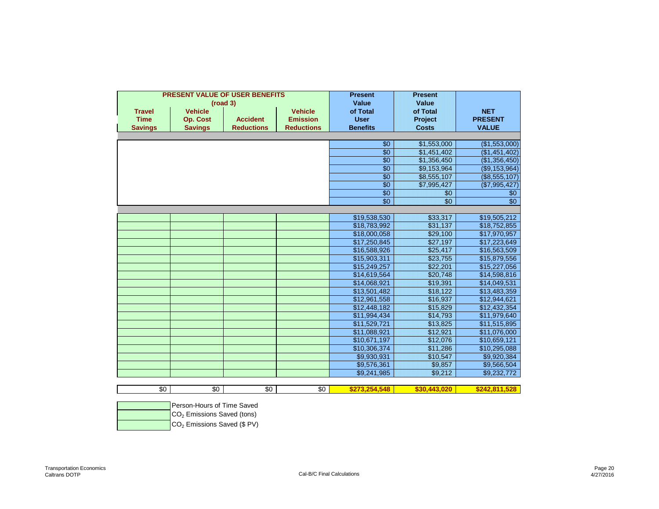|                |                            | PRESENT VALUE OF USER BENEFITS<br>(road 3) | <b>Present</b><br>Value | <b>Present</b><br>Value |                 |                 |
|----------------|----------------------------|--------------------------------------------|-------------------------|-------------------------|-----------------|-----------------|
| <b>Travel</b>  | <b>Vehicle</b>             |                                            | <b>Vehicle</b>          | of Total                | of Total        | <b>NET</b>      |
| <b>Time</b>    | <b>Op. Cost</b>            | <b>Accident</b>                            | <b>Emission</b>         | <b>User</b>             | Project         | <b>PRESENT</b>  |
| <b>Savings</b> | <b>Savings</b>             | <b>Reductions</b>                          | <b>Reductions</b>       | <b>Benefits</b>         | <b>Costs</b>    | <b>VALUE</b>    |
|                |                            |                                            |                         |                         |                 |                 |
|                |                            |                                            |                         | $\sqrt{$0}$             | \$1,553,000     | (\$1,553,000)   |
|                |                            |                                            |                         | $\overline{30}$         | \$1,451,402     | (\$1,451,402)   |
|                |                            |                                            |                         | $\overline{30}$         | \$1,356,450     | (\$1,356,450)   |
|                |                            |                                            |                         | $\overline{30}$         | \$9,153,964     | (\$9,153,964)   |
|                |                            |                                            |                         | $\overline{30}$         | \$8,555,107     | (\$8,555,107)   |
|                |                            |                                            |                         | $\overline{$}$ 0        | \$7,995,427     | (\$7,995,427)   |
|                |                            |                                            |                         | $\overline{30}$         | \$0             | \$0             |
|                |                            |                                            |                         | $\overline{50}$         | $\overline{50}$ | $\overline{$}0$ |
|                |                            |                                            |                         |                         |                 |                 |
|                |                            |                                            |                         | \$19,538,530            | \$33,317        | \$19,505,212    |
|                |                            |                                            |                         | \$18,783,992            | \$31,137        | \$18,752,855    |
|                |                            |                                            |                         | \$18,000,058            | \$29,100        | \$17,970,957    |
|                |                            |                                            |                         | \$17,250,845            | \$27,197        | \$17,223,649    |
|                |                            |                                            |                         | \$16,588,926            | \$25,417        | \$16,563,509    |
|                |                            |                                            |                         | \$15,903,311            | \$23,755        | \$15,879,556    |
|                |                            |                                            |                         | \$15,249,257            | \$22,201        | \$15,227,056    |
|                |                            |                                            |                         | \$14,619,564            | \$20,748        | \$14,598,816    |
|                |                            |                                            |                         | \$14,068,921            | \$19,391        | \$14,049,531    |
|                |                            |                                            |                         | \$13,501,482            | \$18,122        | \$13,483,359    |
|                |                            |                                            |                         | \$12,961,558            | \$16,937        | \$12,944,621    |
|                |                            |                                            |                         | \$12,448,182            | \$15,829        | \$12,432,354    |
|                |                            |                                            |                         | \$11,994,434            | \$14,793        | \$11,979,640    |
|                |                            |                                            |                         | \$11,529,721            | \$13,825        | \$11,515,895    |
|                |                            |                                            |                         | \$11,088,921            | \$12,921        | \$11,076,000    |
|                |                            |                                            |                         | \$10,671,197            | \$12,076        | \$10,659,121    |
|                |                            |                                            |                         | \$10,306,374            | \$11,286        | \$10,295,088    |
|                |                            |                                            |                         | \$9,930,931             | \$10,547        | \$9,920,384     |
|                |                            |                                            |                         | \$9,576,361             | \$9,857         | \$9,566,504     |
|                |                            |                                            |                         | \$9,241,985             | \$9,212         | \$9,232,772     |
|                |                            |                                            |                         |                         |                 |                 |
| $\sqrt{6}$     | \$0                        | \$0                                        | \$0                     | \$273.254.548           | \$30.443.020    | \$242.811.528   |
|                | Person-Houre of Time Saved |                                            |                         |                         |                 |                 |

| Person-Hours of Time Saved                     |
|------------------------------------------------|
| $\vert$ CO <sub>2</sub> Emissions Saved (tons) |
| CO <sub>2</sub> Emissions Saved (\$ PV)        |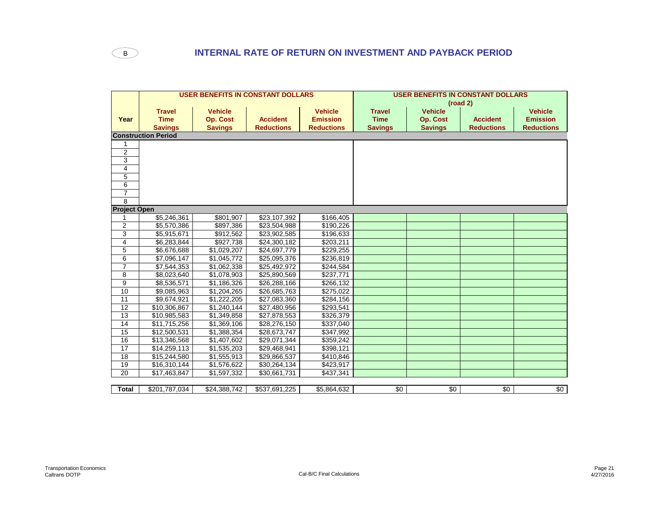

|                     |                            |                 | <b>USER BENEFITS IN CONSTANT DOLLARS</b> |                   | <b>USER BENEFITS IN CONSTANT DOLLARS</b> |                 |                   |                   |
|---------------------|----------------------------|-----------------|------------------------------------------|-------------------|------------------------------------------|-----------------|-------------------|-------------------|
|                     |                            |                 |                                          |                   | (road 2)                                 |                 |                   |                   |
|                     | <b>Travel</b>              | <b>Vehicle</b>  |                                          | <b>Vehicle</b>    | <b>Travel</b>                            | <b>Vehicle</b>  |                   | <b>Vehicle</b>    |
| Year                | <b>Time</b>                | <b>Op. Cost</b> | <b>Accident</b>                          | <b>Emission</b>   | <b>Time</b>                              | <b>Op. Cost</b> | <b>Accident</b>   | <b>Emission</b>   |
|                     | <b>Savings</b>             | <b>Savings</b>  | <b>Reductions</b>                        | <b>Reductions</b> | <b>Savings</b>                           | <b>Savings</b>  | <b>Reductions</b> | <b>Reductions</b> |
|                     | <b>Construction Period</b> |                 |                                          |                   |                                          |                 |                   |                   |
|                     |                            |                 |                                          |                   |                                          |                 |                   |                   |
| $\overline{2}$      |                            |                 |                                          |                   |                                          |                 |                   |                   |
| 3                   |                            |                 |                                          |                   |                                          |                 |                   |                   |
| 4                   |                            |                 |                                          |                   |                                          |                 |                   |                   |
| 5                   |                            |                 |                                          |                   |                                          |                 |                   |                   |
| 6                   |                            |                 |                                          |                   |                                          |                 |                   |                   |
| $\overline{7}$      |                            |                 |                                          |                   |                                          |                 |                   |                   |
| 8                   |                            |                 |                                          |                   |                                          |                 |                   |                   |
| <b>Project Open</b> |                            |                 |                                          |                   |                                          |                 |                   |                   |
|                     | \$5,246,361                | \$801,907       | \$23,107,392                             | \$166,405         |                                          |                 |                   |                   |
| 2                   | \$5,570,386                | \$897,386       | \$23,504,988                             | \$190,226         |                                          |                 |                   |                   |
| 3                   | \$5,915,671                | \$912,562       | \$23,902,585                             | \$196,633         |                                          |                 |                   |                   |
| 4                   | \$6,283,844                | \$927,738       | \$24,300,182                             | \$203,211         |                                          |                 |                   |                   |
| 5                   | \$6,676,688                | \$1,029,207     | \$24,697,779                             | \$229,255         |                                          |                 |                   |                   |
| 6                   | \$7,096,147                | \$1,045,772     | \$25,095,376                             | \$236,819         |                                          |                 |                   |                   |
| $\overline{7}$      | \$7,544,353                | \$1,062,338     | \$25,492,972                             | \$244,584         |                                          |                 |                   |                   |
| 8                   | \$8,023,640                | \$1,078,903     | \$25,890,569                             | \$237,771         |                                          |                 |                   |                   |
| 9                   | \$8,536,571                | \$1,186,326     | \$26,288,166                             | \$266,132         |                                          |                 |                   |                   |
| 10                  | \$9,085,963                | \$1,204,265     | \$26,685,763                             | \$275,022         |                                          |                 |                   |                   |
| 11                  | \$9,674,921                | \$1,222,205     | \$27,083,360                             | \$284,156         |                                          |                 |                   |                   |
| 12                  | \$10,306,867               | \$1,240,144     | \$27,480,956                             | \$293,541         |                                          |                 |                   |                   |
| $\overline{13}$     | \$10,985,583               | \$1,349,858     | \$27,878,553                             | \$326,379         |                                          |                 |                   |                   |
| 14                  | \$11,715,256               | \$1,369,106     | \$28,276,150                             | \$337,040         |                                          |                 |                   |                   |
| 15                  | \$12,500,531               | \$1,388,354     | \$28,673,747                             | \$347,992         |                                          |                 |                   |                   |
| 16                  | \$13,346,568               | \$1,407,602     | \$29,071,344                             | \$359,242         |                                          |                 |                   |                   |
| 17                  | \$14,259,113               | \$1,535,203     | \$29,468,941                             | \$398,121         |                                          |                 |                   |                   |
| 18                  | \$15,244,580               | \$1,555,913     | \$29,866,537                             | \$410,846         |                                          |                 |                   |                   |
| 19                  | \$16,310,144               | \$1,576,622     | \$30,264,134                             | \$423,917         |                                          |                 |                   |                   |
| 20                  | \$17,463,847               | \$1,597,332     | \$30,661,731                             | \$437,341         |                                          |                 |                   |                   |
|                     |                            |                 |                                          |                   |                                          |                 |                   |                   |
| Total               | \$201,787,034              | \$24,388,742    | \$537,691,225                            | \$5,864,632       | \$0                                      | \$0             | \$0               | \$0               |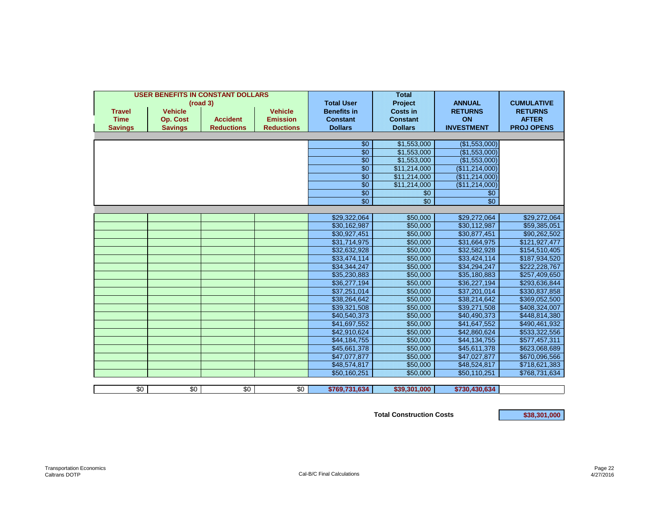|                | <b>USER BENEFITS IN CONSTANT DOLLARS</b> |                   |                   |                        | <b>Total</b>               |                                |                   |
|----------------|------------------------------------------|-------------------|-------------------|------------------------|----------------------------|--------------------------------|-------------------|
|                |                                          | (road 3)          |                   | <b>Total User</b>      | Project                    | <b>ANNUAL</b>                  | <b>CUMULATIVE</b> |
| <b>Travel</b>  | <b>Vehicle</b>                           |                   | <b>Vehicle</b>    | <b>Benefits in</b>     | <b>Costs in</b>            | <b>RETURNS</b>                 | <b>RETURNS</b>    |
| <b>Time</b>    | <b>Op. Cost</b>                          | <b>Accident</b>   | <b>Emission</b>   | <b>Constant</b>        | <b>Constant</b>            | ON                             | <b>AFTER</b>      |
| <b>Savings</b> | <b>Savings</b>                           | <b>Reductions</b> | <b>Reductions</b> | <b>Dollars</b>         | <b>Dollars</b>             | <b>INVESTMENT</b>              | <b>PROJ OPENS</b> |
|                |                                          |                   |                   |                        |                            |                                |                   |
|                |                                          |                   |                   | \$0<br>$\overline{30}$ | \$1,553,000<br>\$1,553,000 | (\$1,553,000)<br>(\$1,553,000) |                   |
|                |                                          |                   |                   | $\overline{30}$        | \$1,553,000                | (\$1,553,000)                  |                   |
|                |                                          |                   |                   | \$0                    | \$11,214,000               | (\$11,214,000)                 |                   |
|                |                                          |                   |                   | $\sqrt{$0}$            | \$11,214,000               | (\$11,214,000)                 |                   |
|                |                                          |                   |                   | $\sqrt{$0}$            | \$11,214,000               | (\$11,214,000)                 |                   |
|                |                                          |                   |                   | $\sqrt{$0}$            | \$0                        | \$0                            |                   |
|                |                                          |                   |                   | \$0                    | \$0                        | $\overline{30}$                |                   |
|                |                                          |                   |                   |                        |                            |                                |                   |
|                |                                          |                   |                   | \$29,322,064           | \$50,000                   | \$29,272,064                   | \$29,272,064      |
|                |                                          |                   |                   | \$30,162,987           | \$50,000                   | \$30,112,987                   | \$59,385,051      |
|                |                                          |                   |                   | \$30,927,451           | \$50,000                   | \$30,877,451                   | \$90,262,502      |
|                |                                          |                   |                   | \$31,714,975           | \$50,000                   | \$31,664,975                   | \$121,927,477     |
|                |                                          |                   |                   | \$32,632,928           | \$50,000                   | \$32,582,928                   | \$154,510,405     |
|                |                                          |                   |                   | \$33,474,114           | \$50,000                   | \$33,424,114                   | \$187,934,520     |
|                |                                          |                   |                   | \$34,344,247           | \$50,000                   | \$34,294,247                   | \$222,228,767     |
|                |                                          |                   |                   | \$35,230,883           | \$50,000                   | \$35,180,883                   | \$257,409,650     |
|                |                                          |                   |                   | \$36,277,194           | \$50,000                   | \$36,227,194                   | \$293,636,844     |
|                |                                          |                   |                   | \$37,251,014           | \$50,000                   | \$37,201,014                   | \$330,837,858     |
|                |                                          |                   |                   | \$38,264,642           | \$50,000                   | \$38,214,642                   | \$369,052,500     |
|                |                                          |                   |                   | \$39,321,508           | \$50,000                   | \$39,271,508                   | \$408,324,007     |
|                |                                          |                   |                   | \$40,540,373           | \$50,000                   | \$40,490,373                   | \$448,814,380     |
|                |                                          |                   |                   | \$41,697,552           | \$50,000                   | \$41,647,552                   | \$490,461,932     |
|                |                                          |                   |                   | \$42,910,624           | \$50,000                   | \$42,860,624                   | \$533,322,556     |
|                |                                          |                   |                   | \$44,184,755           | \$50,000                   | \$44,134,755                   | \$577,457,311     |
|                |                                          |                   |                   | \$45,661,378           | \$50,000                   | \$45,611,378                   | \$623,068,689     |
|                |                                          |                   |                   | \$47,077,877           | \$50,000                   | \$47,027,877                   | \$670,096,566     |
|                |                                          |                   |                   | \$48,574,817           | \$50,000                   | \$48,524,817                   | \$718,621,383     |
|                |                                          |                   |                   | \$50,160,251           | \$50,000                   | \$50,110,251                   | \$768,731,634     |
|                |                                          |                   |                   |                        |                            |                                |                   |
| \$0            | \$0                                      | \$0               | \$0               | \$769,731,634          | \$39,301,000               | \$730,430,634                  |                   |

Total Construction Costs **838,301,000**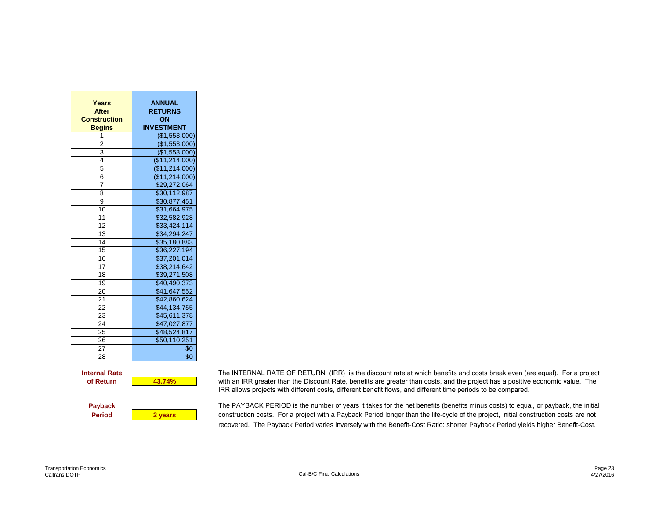| Years<br><b>After</b><br><b>Construction</b><br><b>Begins</b> | <b>ANNUAL</b><br><b>RETURNS</b><br>ON<br><b>INVESTMENT</b> |
|---------------------------------------------------------------|------------------------------------------------------------|
| 1                                                             | (\$1,553,000)                                              |
| 2                                                             | (\$1,553,000)                                              |
| 3                                                             | $(\$1,553,000)$                                            |
| 4                                                             | (\$11,214,000)                                             |
| 5                                                             | (\$11,214,000)                                             |
| 6                                                             | (\$11,214,000)                                             |
| $\overline{7}$                                                | \$29,272,064                                               |
| 8                                                             | \$30,112,987                                               |
| 9                                                             | \$30,877,451                                               |
| 10                                                            | \$31,664,975                                               |
| 11                                                            | \$32,582,928                                               |
| 12                                                            | \$33,424,114                                               |
| 13                                                            | \$34,294,247                                               |
| 14                                                            | \$35,180,883                                               |
| 15                                                            | \$36,227,194                                               |
| 16                                                            | \$37,201,014                                               |
| 17                                                            | \$38,214,642                                               |
| 18                                                            | \$39,271,508                                               |
| 19                                                            | \$40,490,373                                               |
| 20                                                            | \$41,647,552                                               |
| 21                                                            | \$42,860,624                                               |
| 22                                                            | \$44,134,755                                               |
| 23                                                            | \$45,611,378                                               |
| 24                                                            | \$47,027,877                                               |
| 25                                                            | \$48,524,817                                               |
| 26                                                            | \$50,110,251                                               |
| 27                                                            | \$0                                                        |
| 28                                                            | \$0                                                        |

**Internal Rate** The INTERNAL RATE OF RETURN (IRR) is the discount rate at which benefits and costs break even (are equal). For a project with an IRR greater than the Discount Rate, benefits are greater than costs, and the project has a positive economic value. The IRR allows projects with different costs, different benefit flows, and different time periods to be compared.

Payback The PAYBACK PERIOD is the number of years it takes for the net benefits (benefits minus costs) to equal, or payback, the initial **Period 2 years** construction costs. For a project with a Payback Period longer than the life-cycle of the project, initial construction costs are not recovered. The Payback Period varies inversely with the Benefit-Cost Ratio: shorter Payback Period yields higher Benefit-Cost.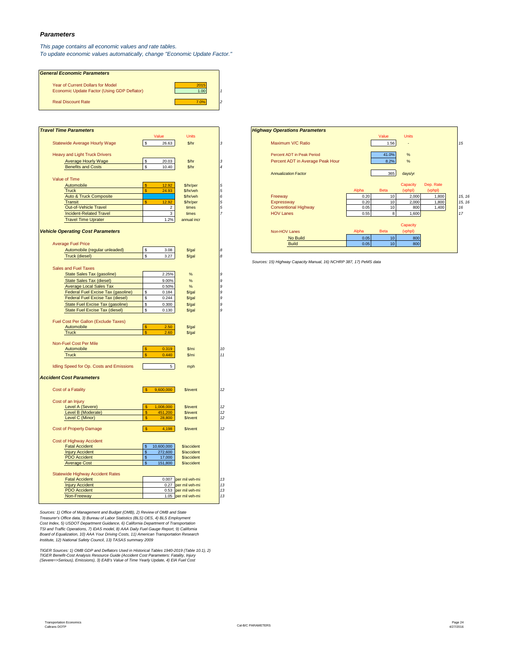### *Parameters*

*This page contains all economic values and rate tables. To update economic values automatically, change "Economic Update Factor."*

| <b>General Economic Parameters</b>                                                      |              |  |
|-----------------------------------------------------------------------------------------|--------------|--|
| <b>Year of Current Dollars for Model</b><br>Economic Update Factor (Using GDP Deflator) | 2015<br>1.00 |  |
| <b>Real Discount Rate</b>                                                               | 7.0%         |  |

| <b>Travel Time Parameters</b>                                                                              |                            |                                            |
|------------------------------------------------------------------------------------------------------------|----------------------------|--------------------------------------------|
|                                                                                                            | Value                      | <b>Units</b>                               |
| Statewide Average Hourly Wage                                                                              | $$\mathbb{S}$$<br>26.63    | \$/hr                                      |
| <b>Heavy and Light Truck Drivers</b>                                                                       |                            |                                            |
| <b>Average Hourly Wage</b>                                                                                 | \$<br>20.03                | \$/hr                                      |
| <b>Benefits and Costs</b>                                                                                  | \$<br>10.40                | \$/hr                                      |
|                                                                                                            |                            |                                            |
| Value of Time                                                                                              |                            |                                            |
| Automobile                                                                                                 | 12.92                      | \$/hr/per                                  |
| <b>Truck</b>                                                                                               | 24.93                      | \$/hr/veh                                  |
| Auto & Truck Composite                                                                                     |                            | \$/hr/veh                                  |
| <b>Transit</b>                                                                                             | 12.92<br>S                 | \$/hr/per                                  |
| Out-of-Vehicle Travel                                                                                      | $\overline{2}$             | times                                      |
| <b>Incident-Related Travel</b>                                                                             | $\mathbf 3$                | times                                      |
| <b>Travel Time Uprater</b>                                                                                 | 1.2%                       | annual incr                                |
|                                                                                                            |                            |                                            |
| <b>Vehicle Operating Cost Parameters</b>                                                                   |                            |                                            |
|                                                                                                            |                            |                                            |
| <b>Average Fuel Price</b>                                                                                  |                            |                                            |
| Automobile (regular unleaded)                                                                              | \$<br>3.08                 | $$$ /gal                                   |
| Truck (diesel)                                                                                             | \$<br>3.27                 | $$$ /gal                                   |
|                                                                                                            |                            |                                            |
| <b>Sales and Fuel Taxes</b>                                                                                |                            |                                            |
| State Sales Tax (gasoline)                                                                                 | 2.25%                      | $\%$                                       |
| <b>State Sales Tax (diesel)</b>                                                                            | 9.00%                      | $\%$                                       |
| <b>Average Local Sales Tax</b>                                                                             | 0.50%                      | $\%$                                       |
|                                                                                                            | \$<br>0.184                | $$$ /gal                                   |
|                                                                                                            |                            |                                            |
| Federal Fuel Excise Tax (gasoline)                                                                         |                            |                                            |
| Federal Fuel Excise Tax (diesel)                                                                           | 0.244<br>\$                | $$$ /gal                                   |
| State Fuel Excise Tax (gasoline)<br>State Fuel Excise Tax (diesel)<br>Fuel Cost Per Gallon (Exclude Taxes) | \$<br>0.300<br>\$<br>0.130 | $$$ /gal<br>$$$ /gal                       |
| Automobile<br><b>Truck</b>                                                                                 | 2.50<br>2.60               | \$/gal<br>$$$ /gal                         |
|                                                                                                            |                            |                                            |
| Non-Fuel Cost Per Mile                                                                                     |                            |                                            |
| Automobile                                                                                                 | 0.319<br>\$                | \$/mi                                      |
| <b>Truck</b>                                                                                               | $\mathsf{s}$<br>0.440      | \$/mi                                      |
| Idling Speed for Op. Costs and Emissions                                                                   | 5                          | mph                                        |
|                                                                                                            |                            |                                            |
| Cost of a Fatality                                                                                         | 9.600.000                  | \$/event                                   |
|                                                                                                            |                            |                                            |
| <b>Accident Cost Parameters</b><br>Cost of an Injury                                                       |                            |                                            |
| Level A (Severe)                                                                                           | 1,008,000<br>S<br>\$.      | \$/event                                   |
| Level B (Moderate)<br>Level C (Minor)                                                                      | 451,200<br>\$.<br>28,800   | \$/event<br>\$/event                       |
| <b>Cost of Property Damage</b>                                                                             | $\mathsf{\$}$<br>4,198     | \$/event                                   |
|                                                                                                            |                            |                                            |
| Cost of Highway Accident                                                                                   |                            |                                            |
| <b>Fatal Accident</b>                                                                                      | 10,600,000<br>\$           | \$/accident                                |
| <b>Injury Accident</b>                                                                                     | \$<br>272,600              | \$/accident                                |
| <b>PDO</b> Accident                                                                                        | \$<br>17,000               | \$/accident                                |
| <b>Average Cost</b>                                                                                        | 151,800<br>\$              | \$/accident                                |
|                                                                                                            |                            |                                            |
| <b>Statewide Highway Accident Rates</b>                                                                    |                            |                                            |
| <b>Fatal Accident</b>                                                                                      |                            | 0.007 per mil veh-mi                       |
| <b>Injury Accident</b><br><b>PDO</b> Accident                                                              |                            | 0.27 per mil veh-mi<br>0.53 per mil veh-mi |

Sources: 1) Office of Management and Budget (OMB), 2) Review of OMB and State<br>Treasure's Office data, 3) Bureau of Labor Statistics (BLS) OES, 4) BLS Employment<br>Cost Index, 5) USDOT Department Guidance, 6) California Depar

TIGER Sources: 1) OMB GDP and Deflators Used in Historical Tables 1940-2019 (Table 10.1), 2)<br>TIGER Benefit-Cost Analysis Resource Guide (Accident Cost Parameters: Fatality, Injury<br>(Severe=>Serious), Emissions), 3) EAB's Va

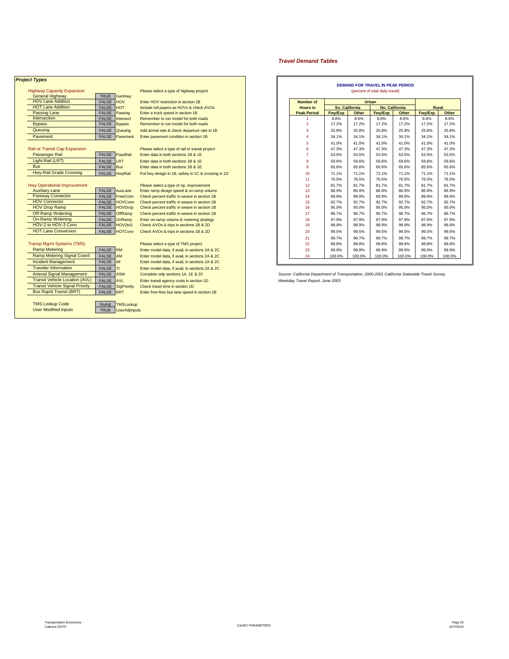### *Project Types*

| $\ldots$                 |              |               |
|--------------------------|--------------|---------------|
| <b>General Highway</b>   | <b>TRUE</b>  | GenHwy        |
| <b>HOV Lane Addition</b> | <b>FALSE</b> | <b>HOV</b>    |
| <b>HOT Lane Addition</b> | <b>FALSE</b> | <b>HOT</b>    |
| <b>Passing Lane</b>      | <b>FALSE</b> | Passing       |
| Intersection             | <b>FALSE</b> | Intersect     |
| <b>Bypass</b>            | <b>FALSE</b> | <b>Bypass</b> |
| Queuina                  | <b>FALSE</b> | Queuina       |
| Pavement                 | <b>FALSE</b> | Pavemer       |

| <b>Passenger Rail</b>   | <b>FALSE</b> Pass |            |
|-------------------------|-------------------|------------|
| Light-Rail (LRT)        | <b>FALSE LRT</b>  |            |
| <b>Bus</b>              | FALSE Bus         |            |
| Hwy-Rail Grade Crossing |                   | Librarie 1 |

| <b>Auxiliary Lane</b>      | FALSE AuxLand |              |
|----------------------------|---------------|--------------|
| <b>Freeway Connector</b>   | <b>FALSE</b>  | FreeCo       |
| <b>HOV Connector</b>       | <b>FALSE</b>  | <b>HOVCo</b> |
| <b>HOV Drop Ramp</b>       | FALSE HOVDr   |              |
| Off-Ramp Widening          | FALSE OffRam  |              |
| On-Ramp Widening           | <b>FALSE</b>  | OnRam        |
| HOV-2 to HOV-3 Conv        | <b>FALSE</b>  | HOV2tc       |
| <b>HOT Lane Conversion</b> | EAL CE        | <b>HOTCO</b> |

| Ramp Metering                                         | <b>FALSE</b>         | <b>RM</b>                                | Enter model data, if avail, in sections 2A & 2C |  | 23                                  | 99.9% |
|-------------------------------------------------------|----------------------|------------------------------------------|-------------------------------------------------|--|-------------------------------------|-------|
| Ramp Metering Signal Coord                            | <b>FALSE</b>         | <b>AM</b>                                | Enter model data, if avail, in sections 2A & 2C |  | 24                                  | 100.0 |
| <b>Incident Management</b>                            | <b>FALSE</b>         | <b>IM</b>                                | Enter model data, if avail, in sections 2A & 2C |  |                                     |       |
| <b>Traveler Information</b>                           | <b>FALSE</b>         | IΤI                                      | Enter model data, if avail, in sections 2A & 2C |  |                                     |       |
| <b>Arterial Signal Management</b>                     | <b>FALSE</b>         | <b>ASM</b>                               | Complete only sections 1A, 1E & 2C              |  | Source: California Department of Ti |       |
| <b>Transit Vehicle Location (AVL)</b>                 | <b>FALSE</b>         | <b>AVL</b>                               | Enter transit agency costs in section 1D        |  | Weekday Travel Report, June 2003    |       |
| <b>Transit Vehicle Signal Priority</b>                | <b>FALSE</b>         | SigPriority                              | Check travel time in section 1D                 |  |                                     |       |
| <b>Bus Rapid Transit (BRT)</b>                        | <b>FALSE</b>         | <b>BRT</b>                               | Enter free-flow bus lane speed in section 1B    |  |                                     |       |
| <b>TMS Lookup Code</b><br><b>User Modified Inputs</b> | NoAdi<br><b>TRUE</b> | <b>TMSLookup</b><br><b>UserAdjInputs</b> |                                                 |  |                                     |       |

Transp Mgmt Systems (TMS) Please select a type of TMS project Enter model data, if avail, in sections 2A & 2C Enter model data, if avail, in sections 2A & 2C<br>Complete only sections 1A, 1E & 2C Bus Rapid Transit (BRT) FALSE BRT ENTERTAINMENT CONTROL TRANSITY OF ENTERTAINMENT CONTROL TO A BRT END OF THE STATE OF THE STATE OF THE STATE OF THE STATE OF THE STATE OF THE STATE OF THE STATE OF THE STATE OF THE STATE OF

| ct lypes                           |                 |                 |                                                     |                  |                    |         |                | <b>DEMAND FOR TRAVEL IN PEAK PERIOD</b> |                       |         |  |
|------------------------------------|-----------------|-----------------|-----------------------------------------------------|------------------|--------------------|---------|----------------|-----------------------------------------|-----------------------|---------|--|
| <b>Highway Capacity Expansion</b>  |                 |                 | Please select a type of highway project             |                  |                    |         |                | (percent of total daily travel)         |                       |         |  |
| <b>General Highway</b>             | TRUE            | GenHwy          |                                                     |                  |                    |         |                |                                         |                       |         |  |
| <b>HOV Lane Addition</b>           | <b>FALSE</b>    | <b>HOV</b>      | Enter HOV restriction in section 1B                 | <b>Number of</b> |                    |         |                |                                         |                       |         |  |
| <b>HOT Lane Addition</b>           | <b>FALSE</b>    | <b>HOT</b>      | Include toll payers as HOVs & check AVOs            |                  | <b>Hours</b> in    |         | So. California |                                         | <b>No. California</b> | Rural   |  |
| <b>Passing Lane</b>                | FALSE Passing   |                 | Enter a truck speed in section 1B                   |                  | <b>Peak Period</b> | Fwy/Exp | Other          | Fwy/Exp                                 | Other                 | Fwy/Exp |  |
| Intersection                       | <b>FALSE</b>    | Intersect       | Remember to run model for both roads                |                  |                    | 8.6%    | 8.6%           | 8.6%                                    | 8.6%                  | 8.6%    |  |
| <b>Bypass</b>                      | <b>FALSE</b>    | <b>Bypass</b>   | Remember to run model for both roads                |                  | 2                  | 17.2%   | 17.2%          | 17.2%                                   | 17.2%                 | 17.2%   |  |
| Queuing                            | <b>FALSE</b>    | Queuing         | Add arrival rate & check departure rate in 1B       |                  | 3                  | 25.8%   | 25.8%          | 25.8%                                   | 25.8%                 | 25.8%   |  |
| Pavement                           |                 | FALSE Pavement  | Enter pavement condition in section 1B              |                  |                    | 34.1%   | 34.1%          | 34.1%                                   | 34.1%                 | 34.1%   |  |
|                                    |                 |                 |                                                     |                  | 5                  | 41.0%   | 41.0%          | 41.0%                                   | 41.0%                 | 41.0%   |  |
| Rail or Transit Cap Expansion      |                 |                 | Please select a type of rail or transit project     |                  | 6                  | 47.3%   | 47.3%          | 47.3%                                   | 47.3%                 | 47.3%   |  |
| <b>Passenger Rail</b>              | FALSE PassRail  |                 | Enter data in both sections 1B & 1E                 |                  |                    | 53.5%   | 53.5%          | 53.5%                                   | 53.5%                 | 53.5%   |  |
| Light-Rail (LRT)                   | FALSE           | LRT             | Enter data in both sections 1B & 1E                 |                  | 8                  | 59.6%   | 59.6%          | 59.6%                                   | 59.6%                 | 59.6%   |  |
| <b>Bus</b>                         | <b>FALSE</b>    | Bus             | Enter data in both sections 1B & 1E                 |                  | 9                  | 65.6%   | 65.6%          | 65.6%                                   | 65.6%                 | 65.6%   |  |
| <b>Hwy-Rail Grade Crossing</b>     | FALSE   HwyRail |                 | Put hwy design in 1B, safety in 1C & crossing in 1D |                  | 10                 | 71.1%   | 71.1%          | 71.1%                                   | 71.1%                 | 71.1%   |  |
|                                    |                 |                 |                                                     |                  | 11                 | 76.5%   | 76.5%          | 76.5%                                   | 76.5%                 | 76.5%   |  |
| <b>Hwy Operational Improvement</b> |                 |                 | Please select a type of op. improvement             |                  | 12                 | 81.7%   | 81.7%          | 81.7%                                   | 81.7%                 | 81.7%   |  |
| <b>Auxiliary Lane</b>              | <b>FALSE</b>    | AuxLane         | Enter ramp design speed & on-ramp volume            |                  | 13                 | 86.9%   | 86.9%          | 86.9%                                   | 86.9%                 | 86.9%   |  |
| <b>Freeway Connector</b>           | <b>FALSE</b>    | FreeConn        | Check percent traffic in weave in section 1B        |                  | 14                 | 89.9%   | 89.9%          | 89.9%                                   | 89.9%                 | 89.9%   |  |
| <b>HOV Connector</b>               | <b>FALSE</b>    | <b>HOVConn</b>  | Check percent traffic in weave in section 1B        |                  | 15                 | 92.7%   | 92.7%          | 92.7%                                   | 92.7%                 | 92.7%   |  |
| <b>HOV Drop Ramp</b>               | <b>FALSE</b>    | <b>HOVDrop</b>  | Check percent traffic in weave in section 1B        |                  | 16                 | 95.0%   | 95.0%          | 95.0%                                   | 95.0%                 | 95.0%   |  |
| Off-Ramp Widening                  | <b>FALSE</b>    | OffRamp         | Check percent traffic in weave in section 1B        |                  | 17                 | 96.7%   | 96.7%          | 96.7%                                   | 96.7%                 | 96.7%   |  |
| On-Ramp Widening                   | <b>FALSE</b>    | OnRamp          | Enter on-ramp volume & metering strategy            |                  | 18                 | 97.9%   | 97.9%          | 97.9%                                   | 97.9%                 | 97.9%   |  |
| HOV-2 to HOV-3 Conv                | <b>FALSE</b>    | HOV2to3         | Check AVOs & trips in sections 1B & 2D              |                  | 19                 | 98.9%   | 98.9%          | 98.9%                                   | 98.9%                 | 98.9%   |  |
| <b>HOT Lane Conversion</b>         |                 | FALSE   HOTConv | Check AVOs & trips in sections 1B & 2D              |                  | 20                 | 99.5%   | 99.5%          | 99.5%                                   | 99.5%                 | 99.5%   |  |
|                                    |                 |                 |                                                     |                  | 21                 | 99.7%   | 99.7%          | 99.7%                                   | 99.7%                 | 99.7%   |  |
| <b>Transp Mgmt Systems (TMS)</b>   |                 |                 | Please select a type of TMS project                 |                  | 22                 | 99.8%   | 99.8%          | 99.8%                                   | 99.8%                 | 99.8%   |  |
| <b>Ramp Metering</b>               | FALSE RM        |                 | Enter model data, if avail, in sections 2A & 2C     |                  | 23                 | 99.9%   | 99.9%          | 99.9%                                   | 99.9%                 | 99.9%   |  |
| <b>Ramp Metering Signal Coord</b>  | <b>FALSE</b>    | AM              | Enter model data, if avail, in sections 2A & 2C     |                  | 24                 | 100.0%  | 100.0%         | 100.0%                                  | 100.0%                | 100.0%  |  |
| <b>Incident Management</b>         | FALSE M         |                 | Enter model data, if avail, in sections 2A & 2C     |                  |                    |         |                |                                         |                       |         |  |

*Travel Demand Tables*

Source: California Department of Transportation, 2000-2001 California Statewide Travel Survey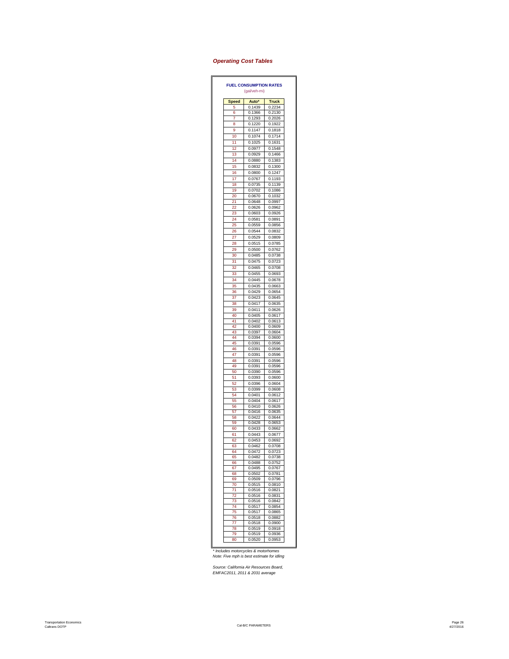### *Operating Cost Tables*

| <b>Speed</b> | Auto*            | <b>Truck</b>     |
|--------------|------------------|------------------|
| 5            | 0.1439           | 0.2234           |
| 6            | 0.1366           | 0.2130           |
| 7            | 0.1293           | 0.2026           |
| 8            | 0.1220           | 0.1922           |
| 9            | 0.1147           | 0.1818           |
| 10           | 0.1074           | 0.1714           |
| 11           | 0.1025           | 0.1631           |
| 12           | 0.0977           | 0.1548           |
| 13<br>14     | 0.0929<br>0.0880 | 0.1466<br>0.1383 |
| 15           | 0.0832           | 0.1300           |
| 16           | 0.0800           | 0.1247           |
| 17           | 0.0767           | 0.1193           |
| 18           | 0.0735           | 0.1139           |
| 19           | 0.0702           | 0.1086           |
| 20           | 0.0670           | 0.1032           |
| 21           | 0.0648           | 0.0997           |
| 22           | 0.0626           | 0.0962           |
| 23           | 0.0603           | 0.0926           |
| 24           | 0.0581           | 0.0891           |
| 25           | 0.0559           | 0.0856           |
| 26           | 0.0544           | 0.0832           |
| 27<br>28     | 0.0529<br>0.0515 | 0.0809<br>0.0785 |
|              |                  | 0.0762           |
| 29<br>30     | 0.0500<br>0.0485 | 0.0738           |
| 31           | 0.0475           | 0.0723           |
| 32           | 0.0465           | 0.0708           |
| 33           | 0.0455           | 0.0693           |
| 34           | 0.0445           | 0.0678           |
| 35           | 0.0435           | 0.0663           |
| 36           | 0.0429           | 0.0654           |
| 37           | 0.0423           | 0.0645           |
| 38           | 0.0417           | 0.0635           |
| 39           | 0.0411           | 0.0626           |
| 40           | 0.0405           | 0.0617           |
| 41           | 0.0402           | 0.0613           |
| 42           | 0.0400           | 0.0609           |
| 43<br>44     | 0.0397<br>0.0394 | 0.0604<br>0.0600 |
| 45           | 0.0391           | 0.0596           |
| 46           | 0.0391           | 0.0596           |
| 47           | 0.0391           | 0.0596           |
| 48           | 0.0391           | 0.0596           |
| 49           | 0.0391           | 0.0596           |
| 50           | 0.0390           | 0.0596           |
| 51           | 0.0393           | 0.0600           |
| 52<br>53     | 0.0396<br>0.0399 | 0.0604<br>0.0608 |
| 54           | 0.0401           | 0.0612           |
| 55           | 0.0404           | 0.0617           |
| 56           | 0.0410           | 0.0626           |
| 57           | 0.0416           | 0.0635           |
| 58           | 0.0422           | 0.0644           |
| 59           | 0.0428           | 0.0653           |
| 60<br>61     | 0.0433<br>0.0443 | 0.0662<br>0.0677 |
| 62           | 0.0453           | 0.0692           |
| 63           | 0.0462           | 0.0708           |
| RΛ           | 0.0472           | 0.0723           |
| 65           | 0.0482           | 0.0738           |
| 66           | 0.0488           | 0.0752           |
| 67           | 0.0495           | 0.0767           |
| 68<br>69     | 0.0502<br>0.0509 | 0.0781<br>0.0796 |
| 70           | 0.0515           | 0.0810           |
| 71           | 0.0516           | 0.0821           |
| 72           | 0.0516           | 0.0831           |
| 73           | 0.0516           | 0.0842           |
| 74           | 0.0517           | 0.0854           |
| 75           | 0.0517           | 0.0865<br>0.0882 |
| 76<br>77     | 0.0518<br>0.0518 | 0.0900           |
|              | 0.0519           | 0.0918           |
|              |                  |                  |
| 78<br>79     | 0.0519           | 0.0936           |
| 80           | 0.0520           | 0.0953           |

*\* Includes motorcycles & motorhomes Note: Five mph is best estimate for idling*

*Source: California Air Resources Board, EMFAC2011, 2011 & 2031 average*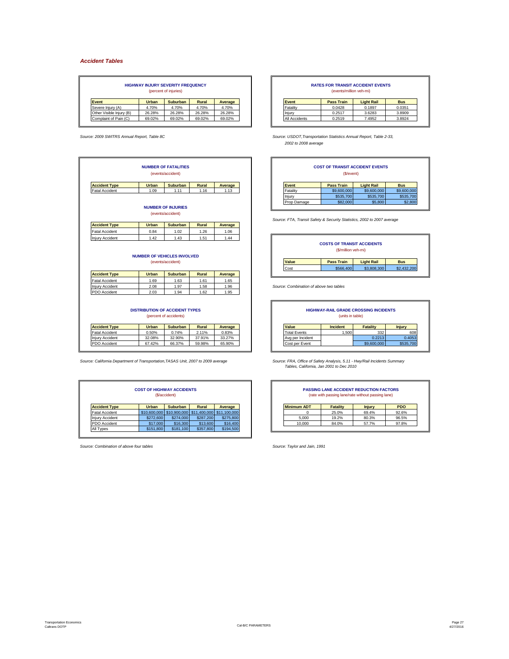### *Accident Tables*

|                          |        | <b>HIGHWAY INJURY SEVERITY FREQUENCY</b><br>(percent of injuries) |        |         |               | <b>RATES FOR TRANSIT ACCIDENT EVENTS</b><br>(events/million veh-mi) |                   |            |
|--------------------------|--------|-------------------------------------------------------------------|--------|---------|---------------|---------------------------------------------------------------------|-------------------|------------|
| <b>Event</b>             | Urban  | <b>Suburban</b>                                                   | Rural  | Average | Event         | <b>Pass Train</b>                                                   | <b>Light Rail</b> | <b>Bus</b> |
| Severe Injury (A)        | 4.70%  | 4.70%                                                             | 4.70%  | 4.70%   | Fatality      | 0.0428                                                              | 0.1897            | 0.0351     |
| Other Visible Injury (B) | 26.28% | 26.28%                                                            | 26.28% | 26.28%  | Injun         | 0.2517                                                              | 3.6283            | 3.8909     |
| Complaint of Pain (C)    | 69.02% | 69.02%                                                            | 69.02% | 69.02%  | All Accidents | 0.2519                                                              | 7.4952            | 3.8924     |

| <b>COST OF TRANSIT ACCIDENT EVENTS</b><br>(\$/event)                                                      |                                         |                  |                  | <b>NUMBER OF FATALITIES</b><br>(events/accident)                |                  |                                                                                         |
|-----------------------------------------------------------------------------------------------------------|-----------------------------------------|------------------|------------------|-----------------------------------------------------------------|------------------|-----------------------------------------------------------------------------------------|
| <b>Pass Train</b><br><b>Light Rail</b><br><b>Bus</b>                                                      | Event                                   | Average          | Rural            | <b>Suburban</b>                                                 | Urban            | <b>Accident Type</b>                                                                    |
| \$9,600,000<br>\$9,600,000<br>\$9,600,000                                                                 | Fatality                                | 1.13             | 1.16             | 1.11                                                            | 1.09             | <b>Fatal Accident</b>                                                                   |
| \$535,700<br>\$535,700<br>\$535,700                                                                       | Injury                                  |                  |                  |                                                                 |                  |                                                                                         |
| \$82,000<br>\$5,800<br>\$2,800<br>Source: FTA, Transit Safety & Security Statistics, 2002 to 2007 average | Prop Damage                             |                  |                  | <b>NUMBER OF INJURIES</b><br>(events/accident)                  |                  |                                                                                         |
|                                                                                                           |                                         | Average          | <b>Rural</b>     | <b>Suburban</b>                                                 | Urban            | <b>Accident Type</b>                                                                    |
|                                                                                                           |                                         | 1.06             | 1.26             | 1.02                                                            | 0.84             | <b>Fatal Accident</b>                                                                   |
|                                                                                                           |                                         | 1.44             | 1.51             | 1.43                                                            | 1.42             | <b>Injury Accident</b>                                                                  |
| <b>COSTS OF TRANSIT ACCIDENTS</b><br>(\$/million veh-mi)                                                  |                                         |                  |                  |                                                                 |                  |                                                                                         |
| <b>Pass Train</b><br><b>Bus</b><br><b>Light Rail</b><br>\$566,400<br>\$3,808,300<br>\$2,432,200           | Value<br>Cost                           |                  |                  | <b>NUMBER OF VEHICLES INVOLVED</b><br>(events/accident)         |                  |                                                                                         |
|                                                                                                           |                                         | Average          | <b>Rural</b>     | Suburban                                                        | Urban            |                                                                                         |
|                                                                                                           |                                         | 1.65             | 1.61             | 1.63                                                            | 1.69             |                                                                                         |
|                                                                                                           | Source: Combination of above two tables | 1.96             | 1.58             | 1.97                                                            | 2.08             |                                                                                         |
|                                                                                                           |                                         | 1.95             | 1.62             | 1.94                                                            | 2.03             |                                                                                         |
| <b>HIGHWAY-RAIL GRADE CROSSING INCIDENTS</b><br>(units in table)                                          |                                         |                  |                  | <b>DISTRIBUTION OF ACCIDENT TYPES</b><br>(percent of accidents) |                  | <b>Accident Type</b><br><b>Fatal Accident</b><br><b>Injury Accident</b><br>PDO Accident |
| Incident<br><b>Fatality</b><br><b>Injury</b>                                                              | Value                                   | Average          | Rural            | Suburban                                                        | Urban            |                                                                                         |
| 1,500<br>332<br>608                                                                                       | <b>Total Events</b>                     | 0.83%            | 2.11%            | 0.74%                                                           | 0.50%            |                                                                                         |
| 0.2213<br>0.4053<br>\$9,600,000<br>\$535,700                                                              | Avg per Incident<br>Cost per Event      | 33.27%<br>65.90% | 37.91%<br>59.98% | 32.90%<br>66.37%                                                | 32.08%<br>67.42% | <b>Accident Type</b><br><b>Fatal Accident</b><br><b>Injury Accident</b><br>PDO Accident |

|                        | <b>COST OF HIGHWAY ACCIDENTS</b> | (\$/accident)   |           |                                        | <b>PASSING LANE ACCIDENT REDUCTION FACTORS</b><br>(rate with passing lane/rate without passing lane) |                 |               |            |
|------------------------|----------------------------------|-----------------|-----------|----------------------------------------|------------------------------------------------------------------------------------------------------|-----------------|---------------|------------|
| <b>Accident Type</b>   | Urban                            | <b>Suburban</b> | Rural     | Average                                | <b>Minimum ADT</b>                                                                                   | <b>Fatality</b> | <b>Injury</b> | <b>PDO</b> |
| <b>Fatal Accident</b>  | \$10,600,000                     |                 |           | \$10,900,000 \$11,400,000 \$11,100,000 |                                                                                                      | 25.0%           | 69.4%         | 92.6%      |
| <b>Iniury Accident</b> | \$272,600                        | \$274,000       | \$287,200 | \$275,800                              | 5.000                                                                                                | 19.2%           | 80.3%         | 96.5%      |
| PDO Accident           | \$17,000                         | \$16,300        | \$13,600  | \$16,400                               | 10,000                                                                                               | 84.0%           | 57.7%         | 97.8%      |
| All Types              | \$151,800                        | \$181,100       | \$357,800 | \$194,500                              |                                                                                                      |                 |               |            |

*Source: Combination of above four tables Source: Taylor and Jain, 1991*

| <b>RATES FOR TRANSIT ACCIDENT EVENTS</b> |  |
|------------------------------------------|--|

| ,,,,,,,,,,,,,,,,,,,,,,,,,,,,,, |                   |                   |            |  |  |  |  |  |
|--------------------------------|-------------------|-------------------|------------|--|--|--|--|--|
| <i>rent</i>                    | <b>Pass Train</b> | <b>Light Rail</b> | <b>Bus</b> |  |  |  |  |  |
| atality                        | 0.0428            | 0.1897            | 0.0351     |  |  |  |  |  |
| iurv                           | 0.2517            | 3.6283            | 3.8909     |  |  |  |  |  |
| Accidente                      | 0.2510            | 7 4052            | 2.902A     |  |  |  |  |  |

*Source: 2009 SWITRS Annual Report, Table 8C Source: USDOT,Transportation Statistics Annual Report, Table 2-33, 2002 to 2008 average*

|              | <b>NUMBER OF FATALITIES</b><br>(events/accident) |       |         |              | <b>COST OF TRANSIT ACCIDENT EVENTS</b><br>(\$/event) |                   |             |
|--------------|--------------------------------------------------|-------|---------|--------------|------------------------------------------------------|-------------------|-------------|
| <b>Urban</b> | <b>Suburban</b>                                  | Rural | Average | <b>Event</b> | <b>Pass Train</b>                                    | <b>Light Rail</b> | <b>Bus</b>  |
| 1.09         | 1.11                                             | 1.16  | 1.13    | Fatality     | \$9,600,000                                          | \$9,600,000       | \$9,600,000 |
|              |                                                  |       |         | Iniury       | \$535,700                                            | \$535,700         | \$535,700   |
|              |                                                  |       |         | Prop Damage  | \$82,000                                             | \$5,800           | \$2,800     |

| .42 | 1.43<br>OF VEHICLES INVOLVED | .51          | 44. ا          |       | <b>COSTS OF TRANSIT ACCIDENTS</b><br>(\$/million veh-mi) |                   |             |
|-----|------------------------------|--------------|----------------|-------|----------------------------------------------------------|-------------------|-------------|
|     | (events/accident)            |              |                | Value | <b>Pass Train</b>                                        | <b>Light Rail</b> | <b>Bus</b>  |
|     |                              |              |                | Cost  | \$566,400                                                | \$3,808,300       | \$2,432,200 |
| han | Suburban                     | <b>Rural</b> | <b>Average</b> |       |                                                          |                   |             |

|              | <b>DISTRIBUTION OF ACCIDENT TYPES</b><br>(percent of accidents) |        |         |                     | <b>HIGHWAY-RAIL GRADE CROSSING INCIDENTS</b><br>(units in table) |                 |               |
|--------------|-----------------------------------------------------------------|--------|---------|---------------------|------------------------------------------------------------------|-----------------|---------------|
| <b>Urban</b> | <b>Suburban</b>                                                 | Rural  | Average | Value               | <b>Incident</b>                                                  | <b>Fatality</b> | <b>Injury</b> |
| 0.50%        | 0.74%                                                           | 2.11%  | 0.83%   | <b>Total Events</b> | .500                                                             | 332             | 608           |
| 32.08%       | 32.90%                                                          | 37.91% | 33.27%  | Ava per Incident    |                                                                  | 0.2213          | 0.4053        |
| 67.42%       | 66.37%                                                          | 59.98% | 65.90%  | Cost per Event      |                                                                  | \$9,600,000     | \$535,700     |

|                 | <b>COST OF HIGHWAY ACCIDENTS</b><br>(\$/accident) |                                        |                                           |
|-----------------|---------------------------------------------------|----------------------------------------|-------------------------------------------|
| <b>Suburban</b> |                                                   |                                        |                                           |
|                 |                                                   | Rural                                  | Average                                   |
|                 |                                                   | \$10,600,000 \$10,900,000 \$11,400,000 | \$11,100,000                              |
| \$274,000       |                                                   | \$287,200                              | \$275,800                                 |
| \$16,300        |                                                   | \$13,600                               | \$16,400                                  |
|                 |                                                   |                                        | <b>Service Contract Contract Contract</b> |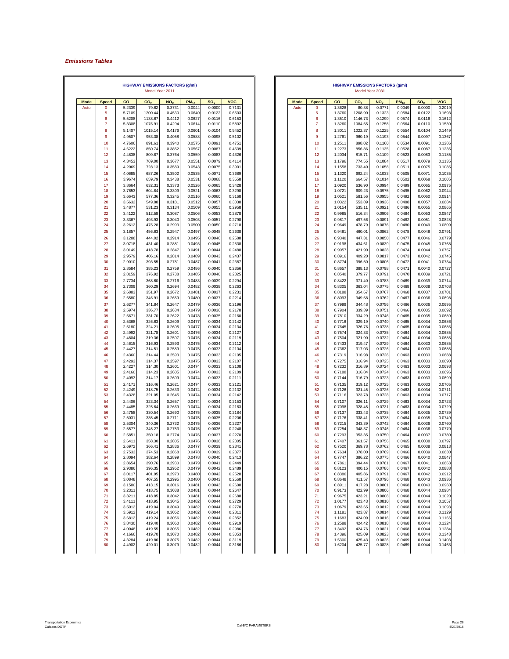### *Emissions Tables*

|             |                |                  | <b>HIGHWAY EMISSIONS FACTORS (g/mi)</b><br>Model Year 2011 |                  |                  |                  |                  |             |              |                  | <b>HIGHWAY EMISSIONS FACTORS (g/mi)</b><br>Model Year 2031 |                  |                  |                  |                  |
|-------------|----------------|------------------|------------------------------------------------------------|------------------|------------------|------------------|------------------|-------------|--------------|------------------|------------------------------------------------------------|------------------|------------------|------------------|------------------|
| <b>Mode</b> | <b>Speed</b>   | co               | CO <sub>2</sub>                                            | NO <sub>x</sub>  | $PM_{10}$        | SO <sub>x</sub>  | <b>VOC</b>       | <b>Mode</b> | <b>Speed</b> | co               | CO <sub>2</sub>                                            | NO <sub>x</sub>  | $PM_{10}$        | SO <sub>x</sub>  | <b>VOC</b>       |
| Auto        | 0              | 5.2339           | 79.62                                                      | 0.3731           | 0.0044           | 0.0000           | 0.7131           | Auto        | $\mathbf 0$  | 1.3628           | 80.38                                                      | 0.0771           | 0.0049           | 0.0000           | 0.2019           |
|             | 5<br>6         | 5.7109<br>5.5208 | 1200.44<br>1138.67                                         | 0.4530<br>0.4412 | 0.0640<br>0.0627 | 0.0122<br>0.0116 | 0.6503<br>0.6153 |             | 5<br>6       | 1.3760<br>1.3510 | 1208.90<br>1146.73                                         | 0.1323<br>0.1290 | 0.0584<br>0.0574 | 0.0122<br>0.0116 | 0.1693<br>0.1612 |
|             | $\overline{7}$ | 5.3308           | 1076.91                                                    | 0.4294           | 0.0614           | 0.0110           | 0.5802           |             | 7            | 1.3260           | 1084.55                                                    | 0.1258           | 0.0564           | 0.0110           | 0.1530           |
|             | 8              | 5.1407           | 1015.14                                                    | 0.4176           | 0.0601           | 0.0104           | 0.5452           |             | 8            | 1.3011           | 1022.37                                                    | 0.1225           | 0.0554           | 0.0104           | 0.1449           |
|             | 9              | 4.9507           | 953.38                                                     | 0.4058           | 0.0588           | 0.0098           | 0.5102           |             | 9            | 1.2761           | 960.19                                                     | 0.1193           | 0.0544           | 0.0097           | 0.1367           |
|             | 10             | 4.7606           | 891.61                                                     | 0.3940           | 0.0575           | 0.0091           | 0.4751           |             | 10           | 1.2511           | 898.02                                                     | 0.1160           | 0.0534           | 0.0091           | 0.1286           |
|             | 11             | 4.6222           | 850.74                                                     | 0.3852           | 0.0567           | 0.0087           | 0.4539           |             | 11           | 1.2273           | 856.86                                                     | 0.1135           | 0.0528           | 0.0087           | 0.1235           |
|             | 12<br>13       | 4.4838<br>4.3453 | 809.87<br>769.00                                           | 0.3764<br>0.3677 | 0.0559<br>0.0551 | 0.0083<br>0.0079 | 0.4326<br>0.4114 |             | 12<br>13     | 1.2034<br>1.1796 | 815.71<br>774.55                                           | 0.1109<br>0.1084 | 0.0523<br>0.0517 | 0.0083<br>0.0079 | 0.1185<br>0.1135 |
|             | 14             | 4.2069           | 728.13                                                     | 0.3589           | 0.0543           | 0.0075           | 0.3901           |             | 14           | 1.1558           | 733.40                                                     | 0.1058           | 0.0511           | 0.0075           | 0.1085           |
|             | 15             | 4.0685           | 687.26                                                     | 0.3502           | 0.0535           | 0.0071           | 0.3689           |             | 15           | 1.1320           | 692.24                                                     | 0.1033           | 0.0505           | 0.0071           | 0.1035           |
|             | 16             | 3.9674           | 659.79                                                     | 0.3438           | 0.0531           | 0.0068           | 0.3558           |             | 16           | 1.1120           | 664.57                                                     | 0.1014           | 0.0502           | 0.0068           | 0.1005           |
|             | 17             | 3.8664           | 632.31                                                     | 0.3373           | 0.0526           | 0.0065           | 0.3428           |             | 17           | 1.0920           | 636.90                                                     | 0.0994           | 0.0499           | 0.0065           | 0.0975           |
|             | 18<br>19       | 3.7653<br>3.6643 | 604.84<br>577.36                                           | 0.3309<br>0.3245 | 0.0521<br>0.0516 | 0.0063<br>0.0060 | 0.3298<br>0.3168 |             | 18<br>19     | 1.0721<br>1.0521 | 609.23<br>581.56                                           | 0.0975<br>0.0955 | 0.0495<br>0.0492 | 0.0062<br>0.0060 | 0.0944<br>0.0914 |
|             | 20             | 3.5632           | 549.88                                                     | 0.3181           | 0.0512           | 0.0057           | 0.3038           |             | 20           | 1.0322           | 553.89                                                     | 0.0936           | 0.0488           | 0.0057           | 0.0884           |
|             | 21             | 3.4877           | 531.23                                                     | 0.3134           | 0.0509           | 0.0055           | 0.2958           |             | 21           | 1.0154           | 535.11                                                     | 0.0921           | 0.0486           | 0.0055           | 0.0865           |
|             | 22             | 3.4122           | 512.58                                                     | 0.3087           | 0.0506           | 0.0053           | 0.2878           |             | 22           | 0.9985           | 516.34                                                     | 0.0906           | 0.0484           | 0.0053           | 0.0847           |
|             | 23             | 3.3367           | 493.93                                                     | 0.3040           | 0.0503           | 0.0051           | 0.2798           |             | 23           | 0.9817           | 497.56                                                     | 0.0891           | 0.0482           | 0.0051           | 0.0828           |
|             | 24             | 3.2612           | 475.28                                                     | 0.2993           | 0.0500           | 0.0050           | 0.2718           |             | 24           | 0.9649           | 478.79                                                     | 0.0876           | 0.0480           | 0.0049           | 0.0809           |
|             | 25<br>26       | 3.1857<br>3.1288 | 456.63<br>444.02                                           | 0.2947<br>0.2914 | 0.0497<br>0.0495 | 0.0048<br>0.0046 | 0.2638<br>0.2588 |             | 25<br>26     | 0.9481<br>0.9340 | 460.01<br>447.31                                           | 0.0862<br>0.0850 | 0.0478<br>0.0477 | 0.0048<br>0.0046 | 0.0791<br>0.0779 |
|             | 27             | 3.0718           | 431.40                                                     | 0.2881           | 0.0493           | 0.0045           | 0.2538           |             | 27           | 0.9198           | 434.61                                                     | 0.0839           | 0.0475           | 0.0045           | 0.0768           |
|             | 28             | 3.0149           | 418.78                                                     | 0.2847           | 0.0491           | 0.0044           | 0.2488           |             | 28           | 0.9057           | 421.90                                                     | 0.0828           | 0.0474           | 0.0044           | 0.0757           |
|             | 29             | 2.9579           | 406.16                                                     | 0.2814           | 0.0489           | 0.0043           | 0.2437           |             | 29           | 0.8916           | 409.20                                                     | 0.0817           | 0.0473           | 0.0042           | 0.0745           |
|             | 30             | 2.9010           | 393.55                                                     | 0.2781           | 0.0487           | 0.0041           | 0.2387           |             | 30           | 0.8774           | 396.50                                                     | 0.0806           | 0.0472           | 0.0041           | 0.0734           |
|             | 31             | 2.8584           | 385.23                                                     | 0.2759           | 0.0486           | 0.0040           | 0.2356           |             | 31           | 0.8657           | 388.13                                                     | 0.0798           | 0.0471           | 0.0040           | 0.0727           |
|             | 32             | 2.8159           | 376.92                                                     | 0.2738           | 0.0485           | 0.0040           | 0.2325           |             | 32           | 0.8540           | 379.77                                                     | 0.0791           | 0.0470           | 0.0039           | 0.0721           |
|             | 33<br>34       | 2.7734<br>2.7309 | 368.60<br>360.29                                           | 0.2716<br>0.2694 | 0.0483<br>0.0482 | 0.0039<br>0.0038 | 0.2294<br>0.2263 |             | 33<br>34     | 0.8422<br>0.8305 | 371.40<br>363.04                                           | 0.0783<br>0.0775 | 0.0469<br>0.0468 | 0.0039<br>0.0038 | 0.0714<br>0.0708 |
|             | 35             | 2.6883           | 351.97                                                     | 0.2672           | 0.0481           | 0.0037           | 0.2231           |             | 35           | 0.8188           | 354.67                                                     | 0.0767           | 0.0468           | 0.0037           | 0.0701           |
|             | 36             | 2.6580           | 346.91                                                     | 0.2659           | 0.0480           | 0.0037           | 0.2214           |             | 36           | 0.8093           | 349.58                                                     | 0.0762           | 0.0467           | 0.0036           | 0.0698           |
|             | 37             | 2.6277           | 341.84                                                     | 0.2647           | 0.0479           | 0.0036           | 0.2196           |             | 37           | 0.7999           | 344.48                                                     | 0.0756           | 0.0466           | 0.0036           | 0.0695           |
|             | 38             | 2.5974           | 336.77                                                     | 0.2634           | 0.0479           | 0.0036           | 0.2178           |             | 38           | 0.7904           | 339.39                                                     | 0.0751           | 0.0466           | 0.0035           | 0.0692           |
|             | 39<br>40       | 2.5671<br>2.5368 | 331.70<br>326.63                                           | 0.2622<br>0.2609 | 0.0478<br>0.0477 | 0.0035<br>0.0034 | 0.2160<br>0.2142 |             | 39<br>40     | 0.7810<br>0.7716 | 334.29<br>329.19                                           | 0.0746<br>0.0740 | 0.0465<br>0.0465 | 0.0035<br>0.0034 | 0.0689<br>0.0686 |
|             | 41             | 2.5180           | 324.21                                                     | 0.2605           | 0.0477           | 0.0034           | 0.2134           |             | 41           | 0.7645           | 326.76                                                     | 0.0738           | 0.0465           | 0.0034           | 0.0686           |
|             | 42             | 2.4992           | 321.78                                                     | 0.2601           | 0.0476           | 0.0034           | 0.2127           |             | 42           | 0.7574           | 324.33                                                     | 0.0735           | 0.0464           | 0.0034           | 0.0685           |
|             | 43             | 2.4804           | 319.36                                                     | 0.2597           | 0.0476           | 0.0034           | 0.2119           |             | 43           | 0.7504           | 321.90                                                     | 0.0732           | 0.0464           | 0.0034           | 0.0685           |
|             | 44<br>45       | 2.4615<br>2.4427 | 316.93<br>314.51                                           | 0.2593<br>0.2589 | 0.0475<br>0.0475 | 0.0034<br>0.0033 | 0.2112<br>0.2104 |             | 44<br>45     | 0.7433<br>0.7362 | 319.47<br>317.03                                           | 0.0729<br>0.0726 | 0.0464<br>0.0464 | 0.0033<br>0.0033 | 0.0685<br>0.0685 |
|             | 46             | 2.4360           | 314.44                                                     | 0.2593           | 0.0475           | 0.0033           | 0.2105           |             | 46           | 0.7319           | 316.98                                                     | 0.0726           | 0.0463           | 0.0033           | 0.0688           |
|             | 47             | 2.4293           | 314.37                                                     | 0.2597           | 0.0475           | 0.0033           | 0.2107           |             | 47           | 0.7275           | 316.94                                                     | 0.0725           | 0.0463           | 0.0033           | 0.0690           |
|             | 48             | 2.4227           | 314.30                                                     | 0.2601           | 0.0474           | 0.0033           | 0.2108           |             | 48           | 0.7232           | 316.89                                                     | 0.0724           | 0.0463           | 0.0033           | 0.0693           |
|             | 49<br>50       | 2.4160<br>2.4093 | 314.23<br>314.17                                           | 0.2605<br>0.2609 | 0.0474<br>0.0474 | 0.0033<br>0.0033 | 0.2109<br>0.2111 |             | 49<br>50     | 0.7188<br>0.7144 | 316.84<br>316.79                                           | 0.0724<br>0.0723 | 0.0463<br>0.0463 | 0.0033<br>0.0033 | 0.0696<br>0.0699 |
|             | 51             | 2.4171           | 316.46                                                     | 0.2621           | 0.0474           | 0.0033           | 0.2121           |             | 51           | 0.7135           | 319.12                                                     | 0.0725           | 0.0463           | 0.0033           | 0.0705           |
|             | 52             | 2.4249           | 318.75                                                     | 0.2633           | 0.0474           | 0.0034           | 0.2132           |             | 52           | 0.7126           | 321.45                                                     | 0.0726           | 0.0463           | 0.0034           | 0.0711           |
|             | 53             | 2.4328           | 321.05                                                     | 0.2645           | 0.0474           | 0.0034           | 0.2142           |             | 53           | 0.7116           | 323.78                                                     | 0.0728           | 0.0463           | 0.0034           | 0.0717           |
|             | 54             | 2.4406           | 323.34                                                     | 0.2657           | 0.0474           | 0.0034           | 0.2153           |             | 54           | 0.7107           | 326.11                                                     | 0.0729           | 0.0463           | 0.0034           | 0.0723           |
|             | 55<br>56       | 2.4485<br>2.4758 | 325.64<br>330.54                                           | 0.2669<br>0.2690 | 0.0474<br>0.0475 | 0.0034<br>0.0035 | 0.2163<br>0.2184 |             | 55<br>56     | 0.7098<br>0.7137 | 328.45<br>333.43                                           | 0.0731<br>0.0735 | 0.0463<br>0.0464 | 0.0034<br>0.0035 | 0.0729<br>0.0739 |
|             | 57             | 2.5031           | 335.45                                                     | 0.2711           | 0.0475           | 0.0035           | 0.2206           |             | 57           | 0.7176           | 338.41                                                     | 0.0738           | 0.0464           | 0.0035           | 0.0749           |
|             | 58             | 2.5304           | 340.36                                                     | 0.2732           | 0.0475           | 0.0036           | 0.2227           |             | 58           | 0.7215           | 343.39                                                     | 0.0742           | 0.0464           | 0.0036           | 0.0760           |
|             | 59             | 2.5577           | 345.27                                                     | 0.2753           | 0.0476           | 0.0036           | 0.2248           |             | 59           | 0.7254           | 348.37                                                     | 0.0746           | 0.0464           | 0.0036           | 0.0770           |
|             | 60<br>61       | 2.5851<br>2.6411 | 350.18<br>358.30                                           | 0.2774<br>0.2805 | 0.0476<br>0.0476 | 0.0037<br>0.0038 | 0.2270<br>0.2305 |             | 60<br>61     | 0.7293<br>0.7407 | 353.35<br>361.57                                           | 0.0750<br>0.0756 | 0.0464<br>0.0465 | 0.0037<br>0.0038 | 0.0780<br>0.0797 |
|             | 62             | 2.6972           | 366.41                                                     | 0.2836           | 0.0477           | 0.0039           | 0.2341           |             | 62           | 0.7520           | 369.78                                                     | 0.0762           | 0.0465           | 0.0038           | 0.0813           |
|             | 63             | 2.7533           | 374.53                                                     | 0.2868           | 0.0478           | 0.0039           | 0.2377           |             | 63           | 0.7634           | 378.00                                                     | 0.0769           | 0.0466           | 0.0039           | 0.0830           |
|             | 64             | 2.8094           | 382.64                                                     | 0.2899           | 0.0478           | 0.0040           | 0.2413           |             | 64           | 0.7747           | 386.22                                                     | 0.0775           | 0.0466           | 0.0040           | 0.0847           |
|             | 65<br>66       | 2.8654<br>2.9386 | 390.76<br>396.35                                           | 0.2930<br>0.2952 | 0.0479<br>0.0479 | 0.0041<br>0.0042 | 0.2449<br>0.2489 |             | 65<br>66     | 0.7861<br>0.8123 | 394.44<br>400.15                                           | 0.0781<br>0.0786 | 0.0467<br>0.0467 | 0.0041<br>0.0042 | 0.0863<br>0.0888 |
|             | 67             | 3.0117           | 401.95                                                     | 0.2973           | 0.0480           | 0.0042           | 0.2528           |             | 67           | 0.8386           | 405.86                                                     | 0.0791           | 0.0467           | 0.0042           | 0.0912           |
|             | 68             | 3.0848           | 407.55                                                     | 0.2995           | 0.0480           | 0.0043           | 0.2568           |             | 68           | 0.8648           | 411.57                                                     | 0.0796           | 0.0468           | 0.0043           | 0.0936           |
|             | 69             | 3.1580           | 413.15                                                     | 0.3016           | 0.0481           | 0.0043           | 0.2608           |             | 69           | 0.8911           | 417.28                                                     | 0.0801           | 0.0468           | 0.0043           | 0.0960           |
|             | 70<br>71       | 3.2311<br>3.3211 | 418.75<br>418.85                                           | 0.3038<br>0.3042 | 0.0481<br>0.0481 | 0.0044<br>0.0044 | 0.2647<br>0.2688 |             | 70<br>71     | 0.9173<br>0.9675 | 422.99<br>423.21                                           | 0.0806<br>0.0808 | 0.0468<br>0.0468 | 0.0044<br>0.0044 | 0.0984<br>0.1020 |
|             | 72             | 3.4111           | 418.95                                                     | 0.3045           | 0.0482           | 0.0044           | 0.2729           |             | 72           | 1.0177           | 423.43                                                     | 0.0810           | 0.0468           | 0.0044           | 0.1057           |
|             | 73             | 3.5012           | 419.04                                                     | 0.3049           | 0.0482           | 0.0044           | 0.2770           |             | 73           | 1.0679           | 423.65                                                     | 0.0812           | 0.0468           | 0.0044           | 0.1093           |
|             | 74             | 3.5912           | 419.14                                                     | 0.3052           | 0.0482           | 0.0044           | 0.2811           |             | 74           | 1.1181           | 423.87                                                     | 0.0814           | 0.0468           | 0.0044           | 0.1129           |
|             | 75<br>76       | 3.6812<br>3.8430 | 419.24<br>419.40                                           | 0.3056<br>0.3060 | 0.0482<br>0.0482 | 0.0044<br>0.0044 | 0.2852<br>0.2919 |             | 75<br>76     | 1.1683<br>1.2588 | 424.09<br>424.42                                           | 0.0816<br>0.0818 | 0.0468<br>0.0468 | 0.0044<br>0.0044 | 0.1165<br>0.1224 |
|             | 77             | 4.0048           | 419.55                                                     | 0.3065           | 0.0482           | 0.0044           | 0.2986           |             | 77           | 1.3492           | 424.76                                                     | 0.0821           | 0.0468           | 0.0044           | 0.1284           |
|             | 78             | 4.1666           | 419.70                                                     | 0.3070           | 0.0482           | 0.0044           | 0.3053           |             | 78           | 1.4396           | 425.09                                                     | 0.0823           | 0.0468           | 0.0044           | 0.1343           |
|             | 79<br>80       | 4.3284           | 419.86                                                     | 0.3075           | 0.0482           | 0.0044           | 0.3119           |             | 79           | 1.5300           | 425.43                                                     | 0.0826           | 0.0469           | 0.0044<br>0.0044 | 0.1403           |
|             |                | 4.4902           | 420.01                                                     | 0.3079           | 0.0482           | 0.0044           | 0.3186           |             | 80           | 1.6204           | 425.77                                                     | 0.0828           | 0.0469           |                  | 0.1463           |

|      |              |                  | <b>HIGHWAY EMISSIONS FACTORS (g/mi)</b><br>Model Year 2011 |                  |                  |                  |                  | <b>HIGHWAY EMISSIONS FACTORS (g/mi)</b><br>Model Year 2031 |             |                |                  |                    |                  |                  |                  |                  |
|------|--------------|------------------|------------------------------------------------------------|------------------|------------------|------------------|------------------|------------------------------------------------------------|-------------|----------------|------------------|--------------------|------------------|------------------|------------------|------------------|
| Mode | <b>Speed</b> | co               | CO <sub>2</sub>                                            | NO <sub>x</sub>  | $PM_{10}$        | SO <sub>x</sub>  | <b>VOC</b>       |                                                            | <b>Mode</b> | <b>Speed</b>   | co               | CO <sub>2</sub>    | NO <sub>x</sub>  | $PM_{10}$        | SO <sub>x</sub>  | <b>VOC</b>       |
| Auto | $\mathbf 0$  | 5.2339           | 79.62                                                      | 0.373            | 0.0044           | 0.0000           | 0.7131           |                                                            | Auto        | $\mathbf 0$    | 1.3628           | 80.38              | 0.0771           | 0.0049           | 0.0000           | 0.2019           |
|      | 5<br>6       | 5.7109<br>5.5208 | 1200.44<br>1138.67                                         | 0.4530<br>0.4412 | 0.0640<br>0.0627 | 0.0122<br>0.0116 | 0.6503<br>0.6153 |                                                            |             | 5<br>6         | 1.3760<br>1.3510 | 1208.90<br>1146.73 | 0.1323<br>0.1290 | 0.0584<br>0.0574 | 0.0122<br>0.0116 | 0.1693<br>0.1612 |
|      | 7            | 5.3308           | 1076.91                                                    | 0.4294           | 0.0614           | 0.0110           | 0.5802           |                                                            |             | $\overline{7}$ | 1.3260           | 1084.55            | 0.1258           | 0.0564           | 0.0110           | 0.1530           |
|      | 8            | 5.1407           | 1015.14                                                    | 0.4176           | 0.0601           | 0.0104           | 0.5452           |                                                            |             | 8              | 1.3011           | 1022.37            | 0.1225           | 0.0554           | 0.0104           | 0.1449           |
|      | 9            | 4.9507           | 953.38                                                     | 0.4058           | 0.0588           | 0.0098           | 0.5102           |                                                            |             | 9              | 1.2761           | 960.19             | 0.1193           | 0.0544           | 0.0097           | 0.1367           |
|      | 10           | 4.7606           | 891.61                                                     | 0.3940           | 0.0575           | 0.0091           | 0.4751           |                                                            |             | 10             | 1.2511           | 898.02             | 0.1160           | 0.0534           | 0.0091           | 0.1286           |
|      | 11<br>12     | 4.6222<br>4.4838 | 850.74<br>809.87                                           | 0.3852<br>0.3764 | 0.0567<br>0.0559 | 0.0087<br>0.0083 | 0.4539<br>0.4326 |                                                            |             | 11<br>12       | 1.2273<br>1.2034 | 856.86<br>815.71   | 0.1135<br>0.1109 | 0.0528<br>0.0523 | 0.0087<br>0.0083 | 0.1235<br>0.1185 |
|      | 13           | 4.3453           | 769.00                                                     | 0.3677           | 0.0551           | 0.0079           | 0.4114           |                                                            |             | 13             | 1.1796           | 774.55             | 0.1084           | 0.0517           | 0.0079           | 0.1135           |
|      | 14           | 4.2069           | 728.13                                                     | 0.3589           | 0.0543           | 0.0075           | 0.3901           |                                                            |             | 14             | 1.1558           | 733.40             | 0.1058           | 0.0511           | 0.0075           | 0.1085           |
|      | 15           | 4.0685           | 687.26                                                     | 0.3502           | 0.0535           | 0.0071           | 0.3689           |                                                            |             | 15             | 1.1320           | 692.24             | 0.1033           | 0.0505           | 0.0071           | 0.1035           |
|      | 16<br>17     | 3.9674<br>3.8664 | 659.79<br>632.31                                           | 0.3438<br>0.3373 | 0.0531<br>0.0526 | 0.0068<br>0.0065 | 0.3558<br>0.3428 |                                                            |             | 16<br>17       | 1.1120<br>1.0920 | 664.57<br>636.90   | 0.1014<br>0.0994 | 0.0502<br>0.0499 | 0.0068<br>0.0065 | 0.1005<br>0.0975 |
|      | 18           | 3.7653           | 604.84                                                     | 0.3309           | 0.0521           | 0.0063           | 0.3298           |                                                            |             | 18             | 1.0721           | 609.23             | 0.0975           | 0.0495           | 0.0062           | 0.0944           |
|      | 19           | 3.6643           | 577.36                                                     | 0.3245           | 0.0516           | 0.0060           | 0.3168           |                                                            |             | 19             | 1.0521           | 581.56             | 0.0955           | 0.0492           | 0.0060           | 0.0914           |
|      | 20<br>21     | 3.5632<br>3.4877 | 549.88<br>531.23                                           | 0.3181<br>0.3134 | 0.0512<br>0.0509 | 0.0057<br>0.0055 | 0.3038<br>0.2958 |                                                            |             | 20<br>21       | 1.0322<br>1.0154 | 553.89<br>535.11   | 0.0936<br>0.0921 | 0.0488<br>0.0486 | 0.0057<br>0.0055 | 0.0884<br>0.0865 |
|      | 22           | 3.4122           | 512.58                                                     | 0.3087           | 0.0506           | 0.0053           | 0.2878           |                                                            |             | 22             | 0.9985           | 516.34             | 0.0906           | 0.0484           | 0.0053           | 0.0847           |
|      | 23           | 3.3367           | 493.93                                                     | 0.3040           | 0.0503           | 0.0051           | 0.2798           |                                                            |             | 23             | 0.9817           | 497.56             | 0.0891           | 0.0482           | 0.0051           | 0.0828           |
|      | 24           | 3.2612           | 475.28                                                     | 0.2993           | 0.0500<br>0.0497 | 0.0050           | 0.2718           |                                                            |             | 24             | 0.9649           | 478.79             | 0.0876           | 0.0480<br>0.0478 | 0.0049           | 0.0809           |
|      | 25<br>26     | 3.1857<br>3.1288 | 456.63<br>444.02                                           | 0.2947<br>0.2914 | 0.0495           | 0.0048<br>0.0046 | 0.2638<br>0.2588 |                                                            |             | 25<br>26       | 0.9481<br>0.9340 | 460.01<br>447.31   | 0.0862<br>0.0850 | 0.0477           | 0.0048<br>0.0046 | 0.0791<br>0.0779 |
|      | 27           | 3.0718           | 431.40                                                     | 0.2881           | 0.0493           | 0.0045           | 0.2538           |                                                            |             | 27             | 0.9198           | 434.61             | 0.0839           | 0.0475           | 0.0045           | 0.0768           |
|      | 28           | 3.0149           | 418.78                                                     | 0.2847           | 0.0491           | 0.0044           | 0.2488           |                                                            |             | 28             | 0.9057           | 421.90             | 0.0828           | 0.0474           | 0.0044           | 0.0757           |
|      | 29           | 2.9579           | 406.16                                                     | 0.2814           | 0.0489           | 0.0043           | 0.2437           |                                                            |             | 29             | 0.8916           | 409.20             | 0.0817           | 0.0473           | 0.0042           | 0.0745           |
|      | 30<br>31     | 2.9010<br>2.8584 | 393.55<br>385.23                                           | 0.2781<br>0.2759 | 0.0487<br>0.0486 | 0.0041<br>0.0040 | 0.2387<br>0.2356 |                                                            |             | 30<br>31       | 0.8774<br>0.8657 | 396.50<br>388.13   | 0.0806<br>0.0798 | 0.0472<br>0.0471 | 0.0041<br>0.0040 | 0.0734<br>0.0727 |
|      | 32           | 2.8159           | 376.92                                                     | 0.2738           | 0.0485           | 0.0040           | 0.2325           |                                                            |             | 32             | 0.8540           | 379.77             | 0.0791           | 0.0470           | 0.0039           | 0.0721           |
|      | 33           | 2.7734           | 368.60                                                     | 0.2716           | 0.0483           | 0.0039           | 0.2294           |                                                            |             | 33             | 0.8422           | 371.40             | 0.0783           | 0.0469           | 0.0039           | 0.0714           |
|      | 34           | 2.7309           | 360.29                                                     | 0.2694           | 0.0482           | 0.0038           | 0.2263           |                                                            |             | 34             | 0.8305           | 363.04             | 0.0775           | 0.0468           | 0.0038           | 0.0708           |
|      | 35<br>36     | 2.6883<br>2.6580 | 351.97<br>346.91                                           | 0.2672<br>0.2659 | 0.0481<br>0.0480 | 0.0037<br>0.0037 | 0.2231<br>0.2214 |                                                            |             | 35<br>36       | 0.8188<br>0.8093 | 354.67<br>349.58   | 0.0767<br>0.0762 | 0.0468<br>0.0467 | 0.0037<br>0.0036 | 0.0701<br>0.0698 |
|      | 37           | 2.6277           | 341.84                                                     | 0.2647           | 0.0479           | 0.0036           | 0.2196           |                                                            |             | 37             | 0.7999           | 344.48             | 0.0756           | 0.0466           | 0.0036           | 0.0695           |
|      | 38           | 2.5974           | 336.77                                                     | 0.2634           | 0.0479           | 0.0036           | 0.2178           |                                                            |             | 38             | 0.7904           | 339.39             | 0.0751           | 0.0466           | 0.0035           | 0.0692           |
|      | 39           | 2.5671           | 331.70                                                     | 0.2622           | 0.0478           | 0.0035           | 0.2160           |                                                            |             | 39<br>40       | 0.7810<br>0.7716 | 334.29             | 0.0746           | 0.0465<br>0.0465 | 0.0035           | 0.0689           |
|      | 40<br>41     | 2.5368<br>2.5180 | 326.63<br>324.21                                           | 0.2609<br>0.2605 | 0.0477<br>0.0477 | 0.0034<br>0.0034 | 0.2142<br>0.2134 |                                                            |             | 41             | 0.7645           | 329.19<br>326.76   | 0.0740<br>0.0738 | 0.0465           | 0.0034<br>0.0034 | 0.0686<br>0.0686 |
|      | 42           | 2.4992           | 321.78                                                     | 0.2601           | 0.0476           | 0.0034           | 0.2127           |                                                            |             | 42             | 0.7574           | 324.33             | 0.0735           | 0.0464           | 0.0034           | 0.0685           |
|      | 43<br>44     | 2.4804<br>2.4615 | 319.36<br>316.93                                           | 0.2597<br>0.2593 | 0.0476<br>0.0475 | 0.0034<br>0.0034 | 0.2119<br>0.2112 |                                                            |             | 43<br>44       | 0.7504<br>0.7433 | 321.90<br>319.47   | 0.0732<br>0.0729 | 0.0464<br>0.0464 | 0.0034<br>0.0033 | 0.0685<br>0.0685 |
|      | 45           | 2.4427           | 314.51                                                     | 0.2589           | 0.0475           | 0.0033           | 0.2104           |                                                            |             | 45             | 0.7362           | 317.03             | 0.0726           | 0.0464           | 0.0033           | 0.0685           |
|      | 46           | 2.4360           | 314.44                                                     | 0.2593           | 0.0475           | 0.0033           | 0.2105           |                                                            |             | 46             | 0.7319           | 316.98             | 0.0726           | 0.0463           | 0.0033           | 0.0688           |
|      | 47           | 2.4293           | 314.37                                                     | 0.2597           | 0.0475           | 0.0033           | 0.2107           |                                                            |             | 47             | 0.7275           | 316.94             | 0.0725           | 0.0463           | 0.0033           | 0.0690           |
|      | 48<br>49     | 2.4227<br>2.4160 | 314.30<br>314.23                                           | 0.2601<br>0.2605 | 0.0474<br>0.0474 | 0.0033<br>0.0033 | 0.2108<br>0.2109 |                                                            |             | 48<br>49       | 0.7232<br>0.7188 | 316.89<br>316.84   | 0.0724<br>0.0724 | 0.0463<br>0.0463 | 0.0033<br>0.0033 | 0.0693<br>0.0696 |
|      | 50           | 2.4093           | 314.17                                                     | 0.2609           | 0.0474           | 0.0033           | 0.2111           |                                                            |             | 50             | 0.7144           | 316.79             | 0.0723           | 0.0463           | 0.0033           | 0.0699           |
|      | 51           | 2.4171           | 316.46                                                     | 0.2621           | 0.0474           | 0.0033           | 0.2121           |                                                            |             | 51             | 0.7135           | 319.12             | 0.0725           | 0.0463           | 0.0033           | 0.0705           |
|      | 52<br>53     | 2.4249<br>2.4328 | 318.75<br>321.05                                           | 0.2633<br>0.2645 | 0.0474<br>0.0474 | 0.0034<br>0.0034 | 0.2132<br>0.2142 |                                                            |             | 52<br>53       | 0.7126<br>0.7116 | 321.45<br>323.78   | 0.0726<br>0.0728 | 0.0463<br>0.0463 | 0.0034<br>0.0034 | 0.0711<br>0.0717 |
|      | 54           | 2.4406           | 323.34                                                     | 0.2657           | 0.0474           | 0.0034           | 0.2153           |                                                            |             | 54             | 0.7107           | 326.11             | 0.0729           | 0.0463           | 0.0034           | 0.0723           |
|      | 55           | 2.4485           | 325.64                                                     | 0.2669           | 0.0474           | 0.0034           | 0.2163           |                                                            |             | 55             | 0.7098           | 328.45             | 0.0731           | 0.0463           | 0.0034           | 0.0729           |
|      | 56<br>57     | 2.4758<br>2.5031 | 330.54<br>335.45                                           | 0.2690<br>0.2711 | 0.0475<br>0.0475 | 0.0035<br>0.0035 | 0.2184<br>0.2206 |                                                            |             | 56<br>57       | 0.7137<br>0.7176 | 333.43<br>338.41   | 0.0735<br>0.0738 | 0.0464<br>0.0464 | 0.0035<br>0.0035 | 0.0739<br>0.0749 |
|      | 58           | 2.5304           | 340.36                                                     | 0.2732           | 0.0475           | 0.0036           | 0.2227           |                                                            |             | 58             | 0.7215           | 343.39             | 0.0742           | 0.0464           | 0.0036           | 0.0760           |
|      | 59           | 2.5577           | 345.27                                                     | 0.2753           | 0.0476           | 0.0036           | 0.2248           |                                                            |             | 59             | 0.7254           | 348.37             | 0.0746           | 0.0464           | 0.0036           | 0.0770           |
|      | 60<br>61     | 2.5851<br>2.6411 | 350.18<br>358.30                                           | 0.2774<br>0.2805 | 0.0476<br>0.0476 | 0.0037<br>0.0038 | 0.2270<br>0.2305 |                                                            |             | 60<br>61       | 0.7293<br>0.7407 | 353.35<br>361.57   | 0.0750<br>0.0756 | 0.0464<br>0.0465 | 0.0037<br>0.0038 | 0.0780<br>0.0797 |
|      | 62           | 2.6972           | 366.41                                                     | 0.2836           | 0.0477           | 0.0039           | 0.2341           |                                                            |             | 62             | 0.7520           | 369.78             | 0.0762           | 0.0465           | 0.0038           | 0.0813           |
|      | 63           | 2.7533           | 374.53                                                     | 0.2868           | 0.0478           | 0.0039           | 0.2377           |                                                            |             | 63             | 0.7634           | 378.00             | 0.0769           | 0.0466           | 0.0039           | 0.0830           |
|      | 64<br>65     | 2.8094<br>2.8654 | 382.64<br>390.76                                           | 0.2899<br>0.2930 | 0.0478<br>0.0479 | 0.0040<br>0.0041 | 0.2413<br>0.2449 |                                                            |             | 64<br>65       | 0.7747<br>0.7861 | 386.22<br>394.44   | 0.0775<br>0.0781 | 0.0466<br>0.0467 | 0.0040<br>0.0041 | 0.0847<br>0.0863 |
|      | 66           | 2.9386           | 396.35                                                     | 0.2952           | 0.0479           | 0.0042           | 0.2489           |                                                            |             | 66             | 0.8123           | 400.15             | 0.0786           | 0.0467           | 0.0042           | 0.0888           |
|      | 67           | 3.0117           | 401.95                                                     | 0.2973           | 0.0480           | 0.0042           | 0.2528           |                                                            |             | 67             | 0.8386           | 405.86             | 0.0791           | 0.0467           | 0.0042           | 0.0912           |
|      | 68<br>69     | 3.0848<br>3.1580 | 407.55<br>413.15                                           | 0.2995<br>0.3016 | 0.0480<br>0.0481 | 0.0043<br>0.0043 | 0.2568<br>0.2608 |                                                            |             | 68<br>69       | 0.8648<br>0.8911 | 411.57<br>417.28   | 0.0796<br>0.0801 | 0.0468<br>0.0468 | 0.0043<br>0.0043 | 0.0936<br>0.0960 |
|      | 70           | 3.2311           | 418.75                                                     | 0.3038           | 0.0481           | 0.0044           | 0.2647           |                                                            |             | 70             | 0.9173           | 422.99             | 0.0806           | 0.0468           | 0.0044           | 0.0984           |
|      | 71           | 3.3211           | 418.85                                                     | 0.3042           | 0.0481           | 0.0044           | 0.2688           |                                                            |             | 71             | 0.9675           | 423.21             | 0.0808           | 0.0468           | 0.0044           | 0.1020           |
|      | 72<br>73     | 3.4111<br>3.5012 | 418.95<br>419.04                                           | 0.3045<br>0.3049 | 0.0482<br>0.0482 | 0.0044<br>0.0044 | 0.2729<br>0.2770 |                                                            |             | 72<br>73       | 1.0177<br>1.0679 | 423.43<br>423.65   | 0.0810<br>0.0812 | 0.0468<br>0.0468 | 0.0044<br>0.0044 | 0.1057<br>0.1093 |
|      | 74           | 3.5912           | 419.14                                                     | 0.3052           | 0.0482           | 0.0044           | 0.2811           |                                                            |             | 74             | 1.1181           | 423.87             | 0.0814           | 0.0468           | 0.0044           | 0.1129           |
|      | 75           | 3.6812           | 419.24                                                     | 0.3056           | 0.0482           | 0.0044           | 0.2852           |                                                            |             | 75             | 1.1683           | 424.09             | 0.0816           | 0.0468           | 0.0044           | 0.1165           |
|      | 76<br>77     | 3.8430<br>4.0048 | 419.40<br>419.55                                           | 0.3060<br>0.3065 | 0.0482<br>0.0482 | 0.0044<br>0.0044 | 0.2919<br>0.2986 |                                                            |             | 76<br>77       | 1.2588<br>1.3492 | 424.42<br>424.76   | 0.0818<br>0.0821 | 0.0468<br>0.0468 | 0.0044<br>0.0044 | 0.1224<br>0.1284 |
|      | 78           | 4.1666           | 419.70                                                     | 0.3070           | 0.0482           | 0.0044           | 0.3053           |                                                            |             | 78             | 1.4396           | 425.09             | 0.0823           | 0.0468           | 0.0044           | 0.1343           |
|      | 79<br>80     | 4.3284<br>4.4902 | 419.86<br>420.01                                           | 0.3075<br>0.3079 | 0.0482<br>0.0482 | 0.0044<br>0.0044 | 0.3119<br>0.3186 |                                                            |             | 79<br>80       | 1.5300<br>1.6204 | 425.43<br>425.77   | 0.0826<br>0.0828 | 0.0469<br>0.0469 | 0.0044<br>0.0044 | 0.1403<br>0.1463 |
|      |              |                  |                                                            |                  |                  |                  |                  |                                                            |             |                |                  |                    |                  |                  |                  |                  |

 $\mathbf{I}$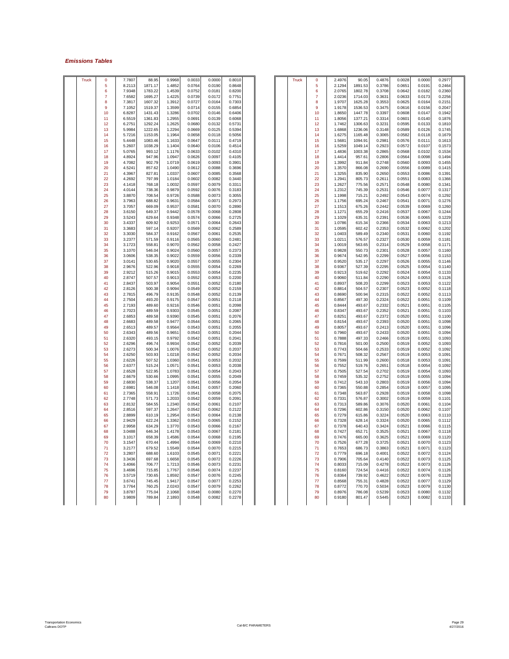### *Emissions Tables*

| Truck | 0              | 7.7807 | 88.95   | 0.9968 | 0.0033 | 0.0000 | 0.8010 |  | Truck | 0              | 2.4976 | 90.05   | 0.4876 | 0.0028 | 0.0000 | 0.2977 |
|-------|----------------|--------|---------|--------|--------|--------|--------|--|-------|----------------|--------|---------|--------|--------|--------|--------|
|       | 5              | 8.2113 | 1871.17 | 1.4852 | 0.0764 | 0.0190 | 0.8648 |  |       | 5              | 2.1294 | 1891.53 | 0.3786 | 0.0651 | 0.0191 | 0.2464 |
|       | 6              | 7.9348 | 1783.22 | 1.4539 | 0.0752 | 0.0181 | 0.8200 |  |       | 6              | 2.0765 | 1802.78 | 0.3708 | 0.0642 | 0.0182 | 0.2360 |
|       | $\overline{7}$ | 7.6582 | 1695.27 | 1.4225 | 0.0739 | 0.0172 | 0.775' |  |       | $\overline{7}$ | 2.0236 | 1714.03 | 0.3631 | 0.0633 | 0.0173 | 0.2256 |
|       | 8              | 7.3817 | 1607.32 | 1.3912 | 0.0727 | 0.0164 | 0.7303 |  |       | 8              | 1.9707 | 1625.28 | 0.3553 | 0.0625 | 0.0164 | 0.2151 |
|       | 9              |        |         |        |        |        |        |  |       |                |        |         |        |        |        |        |
|       |                | 7.1052 | 1519.37 | 1.3599 | 0.0714 | 0.0155 | 0.6854 |  |       | 9              | 1.9178 | 1536.53 | 0.3475 | 0.0616 | 0.0156 | 0.2047 |
|       | 10             | 6.8287 | 1431.43 | 1.3286 | 0.0702 | 0.0146 | 0.6406 |  |       | 10             | 1.8650 | 1447.78 | 0.3397 | 0.0608 | 0.0147 | 0.1942 |
|       | 11             | 6.5519 | 1361.83 | 1.2955 | 0.0691 | 0.0139 | 0.6068 |  |       | 11             | 1.8056 | 1377.21 | 0.3314 | 0.0601 | 0.0140 | 0.1876 |
|       | 12             | 6.2751 | 1292.24 | 1.2625 | 0.0680 | 0.0132 | 0.5731 |  |       | 12             | 1.7462 | 1306.63 | 0.3231 | 0.0595 | 0.0133 | 0.1810 |
|       | 13             | 5.9984 | 1222.65 | 1.2294 | 0.0669 | 0.0125 | 0.5394 |  |       | 13             | 1.6868 | 1236.06 | 0.3148 | 0.0589 | 0.0126 | 0.1745 |
|       | 14             | 5.7216 | 1153.05 | 1.1964 | 0.0658 | 0.0118 | 0.5056 |  |       | 14             | 1.6275 | 1165.48 | 0.3065 | 0.0582 | 0.0118 | 0.1679 |
|       | 15             | 5.4448 | 1083.46 | 1.1633 | 0.0647 | 0.0111 | 0.4719 |  |       | 15             | 1.5681 | 1094.91 | 0.2981 | 0.0576 | 0.0111 | 0.1613 |
|       | 16             | 5.2607 | 1038.29 | 1.1404 | 0.0640 | 0.0106 | 0.4514 |  |       | 16             | 1.5259 | 1049.14 | 0.2923 | 0.0572 | 0.0107 | 0.1573 |
|       | 17             | 5.0765 | 993.12  | 1.1176 | 0.0633 | 0.0102 | 0.4310 |  |       | 17             | 1.4836 | 1003.38 | 0.2865 | 0.0568 | 0.0102 | 0.1534 |
|       | 18             | 4.8924 | 947.96  | 1.0947 | 0.0626 | 0.0097 | 0.4105 |  |       | 18             | 1.4414 | 957.61  | 0.2806 | 0.0564 | 0.0098 | 0.1494 |
|       |                |        |         |        |        |        |        |  |       |                |        |         |        |        |        |        |
|       | 19             | 4.7082 | 902.79  | 1.0719 | 0.0619 | 0.0093 | 0.3901 |  |       | 19             | 1.3992 | 911.84  | 0.2748 | 0.0560 | 0.0093 | 0.1455 |
|       | 20             | 4.5241 | 857.62  | 1.0490 | 0.0612 | 0.0088 | 0.3696 |  |       | 20             | 1.3570 | 866.08  | 0.2690 | 0.0556 | 0.0089 | 0.1415 |
|       | 21             | 4.3967 | 827.81  | 1.0337 | 0.0607 | 0.0085 | 0.3568 |  |       | 21             | 1.3255 | 835.90  | 0.2650 | 0.0553 | 0.0086 | 0.1391 |
|       | 22             | 4.2692 | 797.99  | 1.0184 | 0.0602 | 0.0082 | 0.3440 |  |       | 22             | 1.2941 | 805.73  | 0.2611 | 0.0551 | 0.0083 | 0.1366 |
|       | 23             | 4.1418 | 768.18  | 1.0032 | 0.0597 | 0.0079 | 0.3311 |  |       | 23             | 1.2627 | 775.56  | 0.2571 | 0.0548 | 0.0080 | 0.1341 |
|       | 24             | 4.0144 | 738.36  | 0.9879 | 0.0592 | 0.0076 | 0.3183 |  |       | 24             | 1.2312 | 745.39  | 0.2531 | 0.0546 | 0.0077 | 0.1317 |
|       | 25             | 3.8870 | 708.54  | 0.9726 | 0.0588 | 0.0073 | 0.3055 |  |       | 25             | 1.1998 | 715.21  | 0.2492 | 0.0543 | 0.0074 | 0.1292 |
|       | 26             | 3.7963 | 688.82  | 0.9631 | 0.0584 | 0.0071 | 0.2973 |  |       | 26             | 1.1756 | 695.24  | 0.2467 | 0.0541 | 0.0071 | 0.1276 |
|       | 27             | 3.7057 | 669.09  | 0.9537 | 0.0581 | 0.0070 | 0.2890 |  |       | 27             | 1.1513 | 675.26  | 0.2442 | 0.0539 | 0.0069 | 0.1260 |
|       | 28             | 3.6150 | 649.37  | 0.9442 | 0.0578 | 0.0068 | 0.2808 |  |       | 28             | 1.1271 | 655.29  | 0.2416 | 0.0537 | 0.0067 | 0.1244 |
|       |                |        |         |        |        |        |        |  |       |                |        |         |        |        |        |        |
|       | 29             | 3.5243 | 629.64  | 0.9348 | 0.0574 | 0.0066 | 0.2725 |  |       | 29             | 1.1029 | 635.31  | 0.2391 | 0.0536 | 0.0065 | 0.1229 |
|       | 30             | 3.4337 | 609.92  | 0.9253 | 0.0571 | 0.0064 | 0.2643 |  |       | 30             | 1.0786 | 615.34  | 0.2366 | 0.0534 | 0.0063 | 0.1213 |
|       | 31             | 3.3683 | 597.14  | 0.9207 | 0.0569 | 0.0062 | 0.2589 |  |       | 31             | 1.0595 | 602.42  | 0.2353 | 0.0532 | 0.0062 | 0.1202 |
|       | 32             | 3.3030 | 584.37  | 0.9162 | 0.0567 | 0.0061 | 0.2535 |  |       | 32             | 1.0403 | 589.49  | 0.2340 | 0.0531 | 0.0060 | 0.1192 |
|       | 33             | 3.2377 | 571.59  | 0.9116 | 0.0565 | 0.0060 | 0.2481 |  |       | 33             | 1.0211 | 576.57  | 0.2327 | 0.0530 | 0.0059 | 0.1181 |
|       | 34             | 3.1723 | 558.81  | 0.9070 | 0.0562 | 0.0058 | 0.2427 |  |       | 34             | 1.0019 | 563.65  | 0.2314 | 0.0529 | 0.0058 | 0.1171 |
|       | 35             | 3.1070 | 546.04  | 0.9024 | 0.0560 | 0.0057 | 0.2373 |  |       | 35             | 0.9828 | 550.73  | 0.2301 | 0.0528 | 0.0057 | 0.1160 |
|       | 36             | 3.0606 | 538.35  | 0.9022 | 0.0559 | 0.0056 | 0.2339 |  |       | 36             | 0.9674 | 542.95  | 0.2299 | 0.0527 | 0.0056 | 0.1153 |
|       | 37             | 3.0141 | 530.65  | 0.9020 | 0.0557 | 0.0055 | 0.2304 |  |       | 37             | 0.9520 | 535.17  | 0.2297 | 0.0526 | 0.0055 | 0.1146 |
|       | 38             | 2.9676 | 522.96  | 0.9018 | 0.0555 | 0.0054 | 0.2269 |  |       | 38             | 0.9367 | 527.39  | 0.2295 | 0.0525 | 0.0054 |        |
|       |                |        |         |        |        |        |        |  |       |                |        |         |        |        |        | 0.1140 |
|       | 39             | 2.9212 | 515.26  | 0.9015 | 0.0553 | 0.0054 | 0.2235 |  |       | 39             | 0.9213 | 519.62  | 0.2292 | 0.0524 | 0.0054 | 0.1133 |
|       | 40             | 2.8747 | 507.57  | 0.9013 | 0.0552 | 0.0053 | 0.2200 |  |       | 40             | 0.9060 | 511.84  | 0.2290 | 0.0524 | 0.0053 | 0.1126 |
|       | 41             | 2.8437 | 503.97  | 0.9054 | 0.0551 | 0.0052 | 0.2180 |  |       | 41             | 0.8937 | 508.20  | 0.2299 | 0.0523 | 0.0053 | 0.1122 |
|       | 42             | 2.8126 | 500.38  | 0.9094 | 0.0549 | 0.0052 | 0.2159 |  |       | 42             | 0.8814 | 504.57  | 0.2307 | 0.0523 | 0.0052 | 0.1118 |
|       | 43             | 2.7815 | 496.79  | 0.9135 | 0.0548 | 0.0052 | 0.2139 |  |       | 43             | 0.8690 | 500.94  | 0.2315 | 0.0522 | 0.0052 | 0.1113 |
|       | 44             | 2.7504 | 493.20  | 0.9175 | 0.0547 | 0.0051 | 0.2118 |  |       | 44             | 0.8567 | 497.30  | 0.2324 | 0.0522 | 0.0051 | 0.1109 |
|       | 45             | 2.7193 | 489.60  | 0.9216 | 0.0546 | 0.0051 | 0.2098 |  |       | 45             | 0.8444 | 493.67  | 0.2332 | 0.0521 | 0.0051 | 0.1105 |
|       | 46             | 2.7023 | 489.59  | 0.9303 | 0.0545 | 0.0051 | 0.2087 |  |       | 46             | 0.8347 | 493.67  | 0.2352 | 0.0521 | 0.0051 | 0.1103 |
|       | 47             | 2.6853 | 489.58  | 0.9390 | 0.0545 | 0.0051 | 0.2076 |  |       | 47             | 0.8251 | 493.67  | 0.2372 | 0.0520 | 0.0051 | 0.1100 |
|       | 48             | 2.6683 | 489.58  | 0.9477 | 0.0544 | 0.0051 | 0.2065 |  |       | 48             | 0.8154 | 493.67  | 0.2393 | 0.0520 | 0.0051 | 0.1098 |
|       | 49             |        |         |        |        |        |        |  |       | 49             |        |         |        |        |        |        |
|       |                | 2.6513 | 489.57  | 0.9564 | 0.0543 | 0.0051 | 0.2055 |  |       |                | 0.8057 | 493.67  | 0.2413 | 0.0520 | 0.0051 | 0.1096 |
|       | 50             | 2.6343 | 489.56  | 0.9651 | 0.0543 | 0.0051 | 0.2044 |  |       | 50             | 0.7960 | 493.67  | 0.2433 | 0.0520 | 0.0051 | 0.1094 |
|       | 51             | 2.6320 | 493.15  | 0.9792 | 0.0542 | 0.0051 | 0.2041 |  |       | 51             | 0.7888 | 497.33  | 0.2466 | 0.0519 | 0.0051 | 0.1093 |
|       | 52             | 2.6296 | 496.74  | 0.9934 | 0.0542 | 0.0052 | 0.2039 |  |       | 52             | 0.7816 | 501.00  | 0.2500 | 0.0519 | 0.0052 | 0.1093 |
|       | 53             | 2.6273 | 500.34  | 1.0076 | 0.0542 | 0.0052 | 0.2037 |  |       | 53             | 0.7743 | 504.66  | 0.2533 | 0.0519 | 0.0052 | 0.1092 |
|       | 54             | 2.6250 | 503.93  | 1.0218 | 0.0542 | 0.0052 | 0.2034 |  |       | -54            | 0.7671 | 508.32  | 0.2567 | 0.0519 | 0.0053 | 0.1091 |
|       | 55             | 2.6226 | 507.52  | 1.0360 | 0.0541 | 0.0053 | 0.2032 |  |       | 55             | 0.7599 | 511.99  | 0.2600 | 0.0518 | 0.0053 | 0.1091 |
|       | 56             | 2.6377 | 515.24  | 1.0571 | 0.0541 | 0.0053 | 0.2038 |  |       | 56             | 0.7552 | 519.76  | 0.2651 | 0.0518 | 0.0054 | 0.1092 |
|       | 57             | 2.6528 | 522.95  | 1.0783 | 0.0541 | 0.0054 | 0.2043 |  |       | 57             | 0.7505 | 527.54  | 0.2702 | 0.0519 | 0.0054 | 0.1093 |
|       | 58             | 2.6679 | 530.66  | 1.0995 | 0.0541 | 0.0055 | 0.2049 |  |       | 58             | 0.7459 | 535.32  | 0.2752 | 0.0519 | 0.0055 | 0.1094 |
|       | 59             |        | 538.37  |        |        |        | 0.2054 |  |       | 59             | 0.7412 |         |        |        |        |        |
|       |                | 2.6830 |         | 1.1207 | 0.0541 | 0.0056 |        |  |       |                |        | 543.10  | 0.2803 | 0.0519 | 0.0056 | 0.1094 |
|       | 60             | 2.6981 | 546.08  | 1.1418 | 0.0541 | 0.0057 | 0.2060 |  |       | 60             | 0.7365 | 550.88  | 0.2854 | 0.0519 | 0.0057 | 0.1095 |
|       | 61             | 2.7365 | 558.91  | 1.1726 | 0.0541 | 0.0058 | 0.2075 |  |       | 61             | 0.7348 | 563.87  | 0.2928 | 0.0519 | 0.0058 | 0.1098 |
|       | 62             | 2.7748 | 571.73  | 1.2033 | 0.0542 | 0.0059 | 0.2091 |  |       | 62             | 0.7331 | 576.87  | 0.3002 | 0.0519 | 0.0059 | 0.1101 |
|       | 63             | 2.8132 | 584.55  | 1.2340 | 0.0542 | 0.0061 | 0.2107 |  |       | 63             | 0.7313 | 589.86  | 0.3076 | 0.0520 | 0.0061 | 0.1104 |
|       | 64             | 2.8516 | 597.37  | 1.2647 | 0.0542 | 0.0062 | 0.2122 |  |       | 64             | 0.7296 | 602.86  | 0.3150 | 0.0520 | 0.0062 | 0.1107 |
|       | 65             | 2.8899 | 610.19  | 1.2954 | 0.0543 | 0.0064 | 0.2138 |  |       | 65             | 0.7279 | 615.86  | 0.3224 | 0.0520 | 0.0063 | 0.1110 |
|       | 66             | 2.9429 | 622.24  | 1.3362 | 0.0543 | 0.0065 | 0.2152 |  |       | 66             | 0.7328 | 628.14  | 0.3324 | 0.0520 | 0.0065 | 0.1112 |
|       | 67             | 2.9958 | 634.29  | 1.3770 | 0.0543 | 0.0066 | 0.2167 |  |       | 67             | 0.7378 | 640.43  | 0.3424 | 0.0521 | 0.0066 | 0.1115 |
|       | 68             | 3.0488 | 646.34  | 1.4178 | 0.0543 | 0.0067 | 0.2181 |  |       | 68             | 0.7427 | 652.71  | 0.3525 | 0.0521 | 0.0067 | 0.1118 |
|       |                |        |         |        |        |        |        |  |       |                |        |         |        |        |        |        |
|       | 69             | 3.1017 | 658.39  | 1.4586 | 0.0544 | 0.0068 | 0.2195 |  |       | 69             | 0.7476 | 665.00  | 0.3625 | 0.0521 | 0.0069 | 0.1120 |
|       | 70             | 3.1547 | 670.44  | 1.4994 | 0.0544 | 0.0069 | 0.2210 |  |       | 70             | 0.7526 | 677.28  | 0.3725 | 0.0521 | 0.0070 | 0.1123 |
|       | 71             | 3.2177 | 679.52  | 1.5549 | 0.0544 | 0.0070 | 0.2215 |  |       | 71             | 0.7653 | 686.73  | 0.3863 | 0.0521 | 0.0071 | 0.1123 |
|       | 72             | 3.2807 | 688.60  | 1.6103 | 0.0545 | 0.0071 | 0.2221 |  |       | 72             | 0.7779 | 696.18  | 0.4001 | 0.0522 | 0.0072 | 0.1124 |
|       | 73             | 3.3436 | 697.68  | 1.6658 | 0.0545 | 0.0072 | 0.2226 |  |       | 73             | 0.7906 | 705.64  | 0.4140 | 0.0522 | 0.0073 | 0.1125 |
|       | 74             | 3.4066 | 706.77  | 1.7213 | 0.0546 | 0.0073 | 0.2231 |  |       | 74             | 0.8033 | 715.09  | 0.4278 | 0.0522 | 0.0073 | 0.1126 |
|       | 75             | 3.4696 | 715.85  | 1,7767 | 0.0546 | 0.0074 | 0.2237 |  |       | 75             | 0.8160 | 724.54  | 0.4416 | 0.0522 | 0.0074 | 0.1126 |
|       | 76             | 3.5719 | 730.65  | 1.8592 | 0.0547 | 0.0076 | 0.2245 |  |       | 76             | 0.8364 | 739.92  | 0.4622 | 0.0522 | 0.0076 | 0.1128 |
|       | 77             | 3.6741 | 745.45  | 1.9417 | 0.0547 | 0.0077 | 0.2253 |  |       | 77             | 0.8568 | 755.31  | 0.4828 | 0.0522 | 0.0077 | 0.1129 |
|       | 78             | 3.7764 | 760.25  | 2.0243 | 0.0547 | 0.0079 | 0.2262 |  |       | 78             | 0.8772 | 770.70  | 0.5034 | 0.0523 | 0.0079 | 0.1130 |
|       | 79             | 3.8787 |         |        |        |        | 0.2270 |  |       | 79             | 0.8976 | 786.08  |        | 0.0523 | 0.0080 |        |
|       |                |        | 775.04  | 2.1068 | 0.0548 | 0.0080 |        |  |       |                |        |         | 0.5239 |        |        | 0.1132 |
|       | 80             | 3.9809 | 789.84  | 2.1893 | 0.0548 | 0.0082 | 0.2278 |  |       | 80             | 0.9180 | 801.47  | 0.5445 | 0.0523 | 0.0082 | 0.1133 |

| $\overline{0}$ | 7.7807 | 88.95   | 0.9968 | 0.0033 | 0.0000 | 0.8010             |  | <b>Truck</b> | 0  | 2.4976 | 90.05   | 0.4876 | 0.0028 | 0.0000             | 0.2977 |  |
|----------------|--------|---------|--------|--------|--------|--------------------|--|--------------|----|--------|---------|--------|--------|--------------------|--------|--|
| 5              | 8.2113 | 1871.17 | 1.4852 | 0.0764 | 0.0190 | 0.8648             |  |              | 5  | 2.1294 | 1891.53 | 0.3786 | 0.0651 | 0.0191             | 0.2464 |  |
|                |        |         |        |        |        |                    |  |              |    |        |         |        |        |                    |        |  |
| 6              | 7.9348 | 1783.22 | 1.4539 | 0.0752 | 0.0181 | 0.8200             |  |              | 6  | 2.0765 | 1802.78 | 0.3708 | 0.0642 | 0.0182             | 0.2360 |  |
| 7              | 7.6582 | 1695.27 | 1.4225 | 0.0739 | 0.0172 | 0.7751             |  |              | 7  | 2.0236 | 1714.03 | 0.3631 | 0.0633 | 0.0173             | 0.2256 |  |
| 8              | 7.3817 | 1607.32 | 1.3912 | 0.0727 | 0.0164 | 0.7303             |  |              | 8  | 1.9707 | 1625.28 | 0.3553 | 0.0625 | 0.0164             | 0.2151 |  |
| 9              | 7.1052 | 1519.37 | 1.3599 | 0.0714 | 0.0155 | 0.6854             |  |              | 9  | 1.9178 | 1536.53 | 0.3475 | 0.0616 | 0.0156             | 0.2047 |  |
| 10             | 6.8287 | 1431.43 | 1.3286 | 0.0702 | 0.0146 | 0.6406             |  |              | 10 | 1.8650 | 1447.78 | 0.3397 | 0.0608 | 0.0147             | 0.1942 |  |
| 11             | 6.5519 | 1361.83 | 1.2955 | 0.0691 | 0.0139 | 0.6068             |  |              | 11 | 1.8056 | 1377.21 | 0.3314 | 0.0601 | 0.0140             | 0.1876 |  |
| 12             | 6.2751 | 1292.24 | 1.2625 | 0.0680 | 0.0132 | 0.5731             |  |              | 12 | 1.7462 | 1306.63 | 0.3231 | 0.0595 | 0.0133             | 0.1810 |  |
|                |        |         |        |        |        |                    |  |              |    |        |         |        |        |                    |        |  |
| 13             | 5.9984 | 1222.65 | 1.2294 | 0.0669 | 0.0125 | 0.5394             |  |              | 13 | 1.6868 | 1236.06 | 0.3148 | 0.0589 | 0.0126             | 0.1745 |  |
| 14             | 5.7216 | 1153.05 | 1.1964 | 0.0658 | 0.0118 | 0.5056             |  |              | 14 | 1.6275 | 1165.48 | 0.3065 | 0.0582 | 0.0118             | 0.1679 |  |
| 15             | 5.4448 | 1083.46 | 1.1633 | 0.0647 | 0.0111 | 0.4719             |  |              | 15 | 1.5681 | 1094.91 | 0.2981 | 0.0576 | 0.0111             | 0.1613 |  |
| 16             | 5.2607 | 1038.29 | 1.1404 | 0.0640 | 0.0106 | 0.4514             |  |              | 16 | 1.5259 | 1049.14 | 0.2923 | 0.0572 | 0.0107             | 0.1573 |  |
| 17             | 5.0765 | 993.12  | 1.1176 | 0.0633 | 0.0102 | 0.4310             |  |              | 17 | 1.4836 | 1003.38 | 0.2865 | 0.0568 | 0.0102             | 0.1534 |  |
| 18             | 4.8924 | 947.96  | 1.0947 | 0.0626 | 0.0097 | 0.4105             |  |              | 18 | 1.4414 | 957.61  | 0.2806 | 0.0564 | 0.0098             | 0.1494 |  |
| 19             | 4.7082 | 902.79  | 1.0719 | 0.0619 | 0.0093 | 0.390 <sup>4</sup> |  |              | 19 | 1.3992 | 911.84  | 0.2748 | 0.0560 | 0.0093             | 0.1455 |  |
|                |        |         |        |        |        |                    |  |              |    |        |         |        |        |                    |        |  |
| 20             | 4.5241 | 857.62  | 1.0490 | 0.0612 | 0.0088 | 0.3696             |  |              | 20 | 1.3570 | 866.08  | 0.2690 | 0.0556 | 0.0089             | 0.1415 |  |
| 21             | 4.3967 | 827.81  | 1.0337 | 0.0607 | 0.0085 | 0.3568             |  |              | 21 | 1.3255 | 835.90  | 0.2650 | 0.0553 | 0.0086             | 0.1391 |  |
| 22             | 4.2692 | 797.99  | 1.0184 | 0.0602 | 0.0082 | 0.3440             |  |              | 22 | 1.2941 | 805.73  | 0.2611 | 0.0551 | 0.0083             | 0.1366 |  |
| 23             | 4.1418 | 768.18  | 1.0032 | 0.0597 | 0.0079 | 0.3311             |  |              | 23 | 1.2627 | 775.56  | 0.2571 | 0.0548 | 0.0080             | 0.1341 |  |
| 24             | 4.0144 | 738.36  | 0.9879 | 0.0592 | 0.0076 | 0.3183             |  |              | 24 | 1.2312 | 745.39  | 0.2531 | 0.0546 | 0.0077             | 0.1317 |  |
| 25             | 3.8870 | 708.54  | 0.9726 | 0.0588 | 0.0073 | 0.3055             |  |              | 25 | 1.1998 | 715.21  | 0.2492 | 0.0543 | 0.0074             | 0.1292 |  |
| 26             | 3.7963 | 688.82  | 0.9631 | 0.0584 | 0.0071 | 0.2973             |  |              | 26 | 1.1756 | 695.24  | 0.2467 | 0.0541 | 0.0071             | 0.1276 |  |
|                |        |         |        |        |        |                    |  |              |    |        |         |        |        |                    |        |  |
| 27             | 3.7057 | 669.09  | 0.9537 | 0.0581 | 0.0070 | 0.2890             |  |              | 27 | 1.1513 | 675.26  | 0.2442 | 0.0539 | 0.0069             | 0.1260 |  |
| 28             | 3.6150 | 649.37  | 0.9442 | 0.0578 | 0.0068 | 0.2808             |  |              | 28 | 1.1271 | 655.29  | 0.2416 | 0.0537 | 0.0067             | 0.1244 |  |
| 29             | 3.5243 | 629.64  | 0.9348 | 0.0574 | 0.0066 | 0.2725             |  |              | 29 | 1.1029 | 635.31  | 0.2391 | 0.0536 | 0.0065             | 0.1229 |  |
| 30             | 3.4337 | 609.92  | 0.9253 | 0.0571 | 0.0064 | 0.2643             |  |              | 30 | 1.0786 | 615.34  | 0.2366 | 0.0534 | 0.0063             | 0.1213 |  |
| 31             | 3.3683 | 597.14  | 0.9207 | 0.0569 | 0.0062 | 0.2589             |  |              | 31 | 1.0595 | 602.42  | 0.2353 | 0.0532 | 0.0062             | 0.1202 |  |
| 32             | 3.3030 | 584.37  | 0.9162 | 0.0567 | 0.0061 | 0.2535             |  |              | 32 | 1.0403 | 589.49  | 0.2340 | 0.0531 | 0.0060             | 0.1192 |  |
|                |        |         |        |        |        |                    |  |              |    |        |         |        |        |                    |        |  |
| 33             | 3.2377 | 571.59  | 0.9116 | 0.0565 | 0.0060 | 0.2481             |  |              | 33 | 1.0211 | 576.57  | 0.2327 | 0.0530 | 0.0059             | 0.1181 |  |
| 34             | 3.1723 | 558.81  | 0.9070 | 0.0562 | 0.0058 | 0.2427             |  |              | 34 | 1.0019 | 563.65  | 0.2314 | 0.0529 | 0.0058             | 0.1171 |  |
| 35             | 3.1070 | 546.04  | 0.9024 | 0.0560 | 0.0057 | 0.2373             |  |              | 35 | 0.9828 | 550.73  | 0.2301 | 0.0528 | 0.0057             | 0.1160 |  |
| 36             | 3.0606 | 538.35  | 0.9022 | 0.0559 | 0.0056 | 0.2339             |  |              | 36 | 0.9674 | 542.95  | 0.2299 | 0.0527 | 0.0056             | 0.1153 |  |
| 37             | 3.0141 | 530.65  | 0.9020 | 0.0557 | 0.0055 | 0.2304             |  |              | 37 | 0.9520 | 535.17  | 0.2297 | 0.0526 | 0.0055             | 0.1146 |  |
| 38             | 2.9676 | 522.96  | 0.9018 | 0.0555 | 0.0054 | 0.2269             |  |              | 38 | 0.9367 | 527.39  | 0.2295 | 0.0525 | 0.0054             | 0.1140 |  |
| 39             | 2.9212 | 515.26  | 0.9015 | 0.0553 | 0.0054 | 0.2235             |  |              | 39 | 0.9213 | 519.62  | 0.2292 | 0.0524 | 0.0054             | 0.1133 |  |
|                |        |         |        |        |        |                    |  |              |    |        |         |        |        |                    |        |  |
| 40             | 2.8747 | 507.57  | 0.9013 | 0.0552 | 0.0053 | 0.2200             |  |              | 40 | 0.9060 | 511.84  | 0.2290 | 0.0524 | 0.0053             | 0.1126 |  |
| 41             | 2.8437 | 503.97  | 0.9054 | 0.0551 | 0.0052 | 0.2180             |  |              | 41 | 0.8937 | 508.20  | 0.2299 | 0.0523 | 0.0053             | 0.1122 |  |
| 42             | 2.8126 | 500.38  | 0.9094 | 0.0549 | 0.0052 | 0.2159             |  |              | 42 | 0.8814 | 504.57  | 0.2307 | 0.0523 | 0.0052             | 0.1118 |  |
| 43             | 2.7815 | 496.79  | 0.9135 | 0.0548 | 0.0052 | 0.2139             |  |              | 43 | 0.8690 | 500.94  | 0.2315 | 0.0522 | 0.0052             | 0.1113 |  |
| 44             | 2.7504 | 493.20  | 0.9175 | 0.0547 | 0.0051 | 0.2118             |  |              | 44 | 0.8567 | 497.30  | 0.2324 | 0.0522 | 0.0051             | 0.1109 |  |
| 45             | 2.7193 | 489.60  | 0.9216 | 0.0546 | 0.0051 | 0.2098             |  |              | 45 | 0.8444 | 493.67  | 0.2332 | 0.0521 | 0.0051             | 0.1105 |  |
| 46             | 2.7023 | 489.59  | 0.9303 | 0.0545 | 0.0051 | 0.2087             |  |              | 46 | 0.8347 | 493.67  | 0.2352 | 0.0521 | 0.005 <sup>4</sup> | 0.1103 |  |
|                |        |         |        |        |        |                    |  |              |    |        |         |        |        |                    |        |  |
| 47             | 2.6853 | 489.58  | 0.9390 | 0.0545 | 0.0051 | 0.2076             |  |              | 47 | 0.8251 | 493.67  | 0.2372 | 0.0520 | 0.0051             | 0.1100 |  |
| 48             | 2.6683 | 489.58  | 0.9477 | 0.0544 | 0.0051 | 0.2065             |  |              | 48 | 0.8154 | 493.67  | 0.2393 | 0.0520 | 0.0051             | 0.1098 |  |
| 49             | 2.6513 | 489.57  | 0.9564 | 0.0543 | 0.0051 | 0.2055             |  |              | 49 | 0.8057 | 493.67  | 0.2413 | 0.0520 | 0.0051             | 0.1096 |  |
| 50             | 2.6343 | 489.56  | 0.9651 | 0.0543 | 0.0051 | 0.2044             |  |              | 50 | 0.7960 | 493.67  | 0.2433 | 0.0520 | 0.0051             | 0.1094 |  |
| 51             | 2.6320 | 493.15  | 0.9792 | 0.0542 | 0.0051 | 0.2041             |  |              | 51 | 0.7888 | 497.33  | 0.2466 | 0.0519 | 0.0051             | 0.1093 |  |
| 52             | 2.6296 | 496.74  | 0.9934 | 0.0542 | 0.0052 | 0.2039             |  |              | 52 | 0.7816 | 501.00  | 0.2500 | 0.0519 | 0.0052             | 0.1093 |  |
| 53             | 2.6273 | 500.34  | 1.0076 | 0.0542 | 0.0052 | 0.2037             |  |              | 53 | 0.7743 | 504.66  | 0.2533 | 0.0519 | 0.0052             | 0.1092 |  |
|                |        |         |        |        |        |                    |  |              |    |        |         |        |        |                    |        |  |
| 54             | 2.6250 | 503.93  | 1.0218 | 0.0542 | 0.0052 | 0.2034             |  |              | 54 | 0.7671 | 508.32  | 0.2567 | 0.0519 | 0.0053             | 0.1091 |  |
| 55             | 2.6226 | 507.52  | 1.0360 | 0.0541 | 0.0053 | 0.2032             |  |              | 55 | 0.7599 | 511.99  | 0.2600 | 0.0518 | 0.0053             | 0.1091 |  |
| 56             | 2.6377 | 515.24  | 1.0571 | 0.0541 | 0.0053 | 0.2038             |  |              | 56 | 0.7552 | 519.76  | 0.2651 | 0.0518 | 0.0054             | 0.1092 |  |
| 57             | 2.6528 | 522.95  | 1.0783 | 0.0541 | 0.0054 | 0.2043             |  |              | 57 | 0.7505 | 527.54  | 0.2702 | 0.0519 | 0.0054             | 0.1093 |  |
| 58             | 2.6679 | 530.66  | 1.0995 | 0.0541 | 0.0055 | 0.2049             |  |              | 58 | 0.7459 | 535.32  | 0.2752 | 0.0519 | 0.0055             | 0.1094 |  |
| 59             | 2.6830 | 538.37  | 1.1207 | 0.0541 | 0.0056 | 0.2054             |  |              | 59 | 0.7412 | 543.10  | 0.2803 | 0.0519 | 0.0056             | 0.1094 |  |
| 60             | 2.6981 | 546.08  | 1.1418 | 0.0541 | 0.0057 | 0.2060             |  |              | 60 | 0.7365 | 550.88  | 0.2854 | 0.0519 | 0.0057             | 0.1095 |  |
| 61             | 2.7365 | 558.91  | 1.1726 | 0.0541 | 0.0058 | 0.2075             |  |              | 61 | 0.7348 | 563.87  | 0.2928 | 0.0519 | 0.0058             | 0.1098 |  |
|                |        |         |        |        |        |                    |  |              |    |        |         |        |        |                    |        |  |
| 62             | 2.7748 | 571.73  | 1.2033 | 0.0542 | 0.0059 | 0.2091             |  |              | 62 | 0.7331 | 576.87  | 0.3002 | 0.0519 | 0.0059             | 0.1101 |  |
| 63             | 2.8132 | 584.55  | 1.2340 | 0.0542 | 0.0061 | 0.2107             |  |              | 63 | 0.7313 | 589.86  | 0.3076 | 0.0520 | 0.0061             | 0.1104 |  |
| 64             | 2.8516 | 597.37  | 1.2647 | 0.0542 | 0.0062 | 0.2122             |  |              | 64 | 0.7296 | 602.86  | 0.3150 | 0.0520 | 0.0062             | 0.1107 |  |
| 65             | 2.8899 | 610.19  | 1.2954 | 0.0543 | 0.0064 | 0.2138             |  |              | 65 | 0.7279 | 615.86  | 0.3224 | 0.0520 | 0.0063             | 0.1110 |  |
| 66             | 2.9429 | 622.24  | 1.3362 | 0.0543 | 0.0065 | 0.2152             |  |              | 66 | 0.7328 | 628.14  | 0.3324 | 0.0520 | 0.0065             | 0.1112 |  |
| 67             | 2.9958 | 634.29  | 1.3770 | 0.0543 | 0.0066 | 0.2167             |  |              | 67 | 0.7378 | 640.43  | 0.3424 | 0.0521 | 0.0066             | 0.1115 |  |
|                | 3.0488 | 646.34  | 1.4178 | 0.0543 | 0.0067 | 0.2181             |  |              | 68 | 0.7427 | 652.71  | 0.3525 | 0.0521 | 0.0067             | 0.1118 |  |
| 68             |        |         |        |        |        |                    |  |              |    |        |         |        |        |                    |        |  |
| 69             | 3.1017 | 658.39  | 1.4586 | 0.0544 | 0.0068 | 0.2195             |  |              | 69 | 0.7476 | 665.00  | 0.3625 | 0.0521 | 0.0069             | 0.1120 |  |
| 70             | 3.1547 | 670.44  | 1.4994 | 0.0544 | 0.0069 | 0.2210             |  |              | 70 | 0.7526 | 677.28  | 0.3725 | 0.0521 | 0.0070             | 0.1123 |  |
| 71             | 3.2177 | 679.52  | 1.5549 | 0.0544 | 0.0070 | 0.2215             |  |              | 71 | 0.7653 | 686.73  | 0.3863 | 0.0521 | 0.0071             | 0.1123 |  |
| 72             | 3.2807 | 688.60  | 1.6103 | 0.0545 | 0.0071 | 0.2221             |  |              | 72 | 0.7779 | 696.18  | 0.4001 | 0.0522 | 0.0072             | 0.1124 |  |
| 73             | 3.3436 | 697.68  | 1.6658 | 0.0545 | 0.0072 | 0.2226             |  |              | 73 | 0.7906 | 705.64  | 0.4140 | 0.0522 | 0.0073             | 0.1125 |  |
| 74             | 3.4066 | 706.77  | 1.7213 | 0.0546 | 0.0073 | 0.223              |  |              | 74 | 0.8033 | 715.09  | 0.4278 | 0.0522 | 0.0073             | 0.1126 |  |
| 75             | 3.4696 | 715.85  | 1.7767 | 0.0546 | 0.0074 | 0.2237             |  |              | 75 | 0.8160 | 724.54  | 0.4416 | 0.0522 | 0.0074             | 0.1126 |  |
|                |        |         |        |        |        |                    |  |              |    |        |         |        |        |                    |        |  |
| 76             | 3.5719 | 730.65  | 1.8592 | 0.0547 | 0.0076 | 0.2245             |  |              | 76 | 0.8364 | 739.92  | 0.4622 | 0.0522 | 0.0076             | 0.1128 |  |
| 77             | 3.6741 | 745.45  | 1.9417 | 0.0547 | 0.0077 | 0.2253             |  |              | 77 | 0.8568 | 755.31  | 0.4828 | 0.0522 | 0.0077             | 0.1129 |  |
| 78             | 3.7764 | 760.25  | 2.0243 | 0.0547 | 0.0079 | 0.2262             |  |              | 78 | 0.8772 | 770.70  | 0.5034 | 0.0523 | 0.0079             | 0.1130 |  |
| 79             | 3.8787 | 775.04  | 2.1068 | 0.0548 | 0.0080 | 0.2270             |  |              | 79 | 0.8976 | 786.08  | 0.5239 | 0.0523 | 0.0080             | 0.1132 |  |
| 80             | 3.9809 | 789.84  | 2.1893 | 0.0548 | 0.0082 | 0.2278             |  |              | 80 | 0.9180 | 801.47  | 0.5445 | 0.0523 | 0.0082             | 0.1133 |  |
|                |        |         |        |        |        |                    |  |              |    |        |         |        |        |                    |        |  |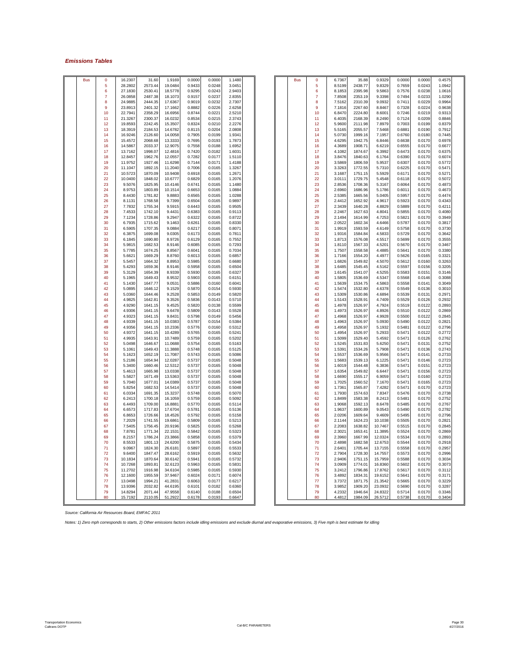### *Emissions Tables*

| <b>Bus</b> | $\mathbf 0$    | 16.2307 | 31.60   | 1.9169  | 0.0000 | 0.0000 | 1.1480 |  | <b>Bus</b> | $\mathbf 0$ | 6.7367 | 35.88   | 0.9329  | 0.0000 | 0.0000 | 0.4575 |  |
|------------|----------------|---------|---------|---------|--------|--------|--------|--|------------|-------------|--------|---------|---------|--------|--------|--------|--|
|            |                |         |         |         |        |        |        |  |            |             |        |         |         |        |        |        |  |
|            | 5              | 28.2802 | 2573.44 | 19.0484 | 0.9433 | 0.0248 | 3.0451 |  |            | 5           | 8.5199 | 2438.77 | 9.8329  | 0.7659 | 0.0243 | 1.0942 |  |
|            | 6              | 27.1830 | 2530.41 | 18.5778 | 0.9295 | 0.0243 | 2.9403 |  |            | 6           | 8.1853 | 2395.98 | 9.5863  | 0.7576 | 0.0238 | 1.0616 |  |
|            | $\overline{7}$ | 26.0858 | 2487.38 | 18,1073 | 0.9157 | 0.0237 | 2.8355 |  |            | 7           | 7.8508 | 2353.19 | 9.3398  | 0.7494 | 0.0233 | 1.0290 |  |
|            |                |         |         |         |        |        |        |  |            |             |        |         |         |        |        |        |  |
|            | 8              | 24.9885 | 2444.35 | 17.6367 | 0.9019 | 0.0232 | 2.7307 |  |            | 8           | 7.5162 | 2310.39 | 9.0932  | 0.7411 | 0.0229 | 0.9964 |  |
|            | 9              | 23.8913 | 2401.32 | 17.1662 | 0.8882 | 0.0226 | 2.6258 |  |            | 9           | 7.1816 | 2267.60 | 8.8467  | 0.7328 | 0.0224 | 0.9638 |  |
|            | 10             | 22.794  | 2358.29 | 16,6956 | 0.8744 | 0.0221 | 2.5210 |  |            | 10          | 6.8470 | 2224.80 | 8.6001  | 0.7246 | 0.0219 | 0.9313 |  |
|            |                |         |         |         |        |        |        |  |            |             |        |         |         |        |        |        |  |
|            | 11             | 21.3267 | 2300.37 | 16.0232 | 0.8534 | 0.0215 | 2.3743 |  |            | 11          | 6.4035 | 2168.39 | 8.2490  | 0.7124 | 0.0209 | 0.8846 |  |
|            | 12             | 19.8593 | 2242.45 | 15.3507 | 0.8324 | 0.0210 | 2.2276 |  |            | 12          | 5.9600 | 2111.98 | 7.8979  | 0.7003 | 0.0199 | 0.8379 |  |
|            | 13             | 18.3919 | 2184.53 | 14.6782 | 0.8115 | 0.0204 | 2.0808 |  |            | 13          | 5.5165 | 2055.57 | 7.5468  | 0.6881 | 0.0190 | 0.7912 |  |
|            |                |         |         |         |        |        |        |  |            |             |        |         |         |        |        |        |  |
|            | 14             | 16.9246 | 2126.60 | 14,0058 | 0.7905 | 0.0199 | 1.9341 |  |            | 14          | 5.0730 | 1999.16 | 7.1957  | 0.6760 | 0.0180 | 0.7445 |  |
|            | 15             | 15.4572 | 2068.68 | 13.3333 | 0.7695 | 0.0193 | 1.7873 |  |            | 15          | 4.6295 | 1942.75 | 6.8446  | 0.6638 | 0.0170 | 0.6978 |  |
|            | 16             | 14.5867 | 2033.37 | 12.9075 | 0.7558 | 0.0188 | 1.6952 |  |            | 16          | 4.3689 | 1908.71 | 6.6219  | 0.6555 | 0.0170 | 0.6677 |  |
|            |                |         |         |         |        |        |        |  |            |             |        |         |         |        |        |        |  |
|            | 17             | 13.7162 | 1998.07 | 12.4816 | 0.7420 | 0.0182 | 1.6031 |  |            | 17          | 4.1082 | 1874.67 | 6.3992  | 0.6473 | 0.0170 | 0.6375 |  |
|            | 18             | 12.8457 | 1962.76 | 12.0557 | 0.7282 | 0.0177 | 1.5110 |  |            | 18          | 3.8476 | 1840.63 | 6.1764  | 0.6390 | 0.0170 | 0.6074 |  |
|            | 19             | 11.9752 | 1927.46 | 11.6298 | 0.7144 | 0.0171 | 1.4188 |  |            | 19          | 3.5869 | 1806.59 | 5.9537  | 0.6307 | 0.0170 | 0.5772 |  |
|            |                |         |         |         |        |        |        |  |            |             |        |         |         |        |        |        |  |
|            | 20             | 11.1047 | 1892.15 | 11.2040 | 0.7006 | 0.0165 | 1.3267 |  |            | 20          | 3.3263 | 1772.55 | 5.7310  | 0.6225 | 0.0170 | 0.5471 |  |
|            | 21             | 10.5723 | 1870.09 | 10.9408 | 0.6918 | 0.0165 | 1.2671 |  |            | 21          | 3.1687 | 1751.15 | 5.5929  | 0.6171 | 0.0170 | 0.5271 |  |
|            | 22             | 10.0400 | 1848.02 | 10.6777 | 0.6829 | 0.0165 | 1.2076 |  |            | 22          | 3.0111 | 1729.75 | 5.4548  | 0.6118 | 0.0170 | 0.5072 |  |
|            |                |         |         |         |        |        |        |  |            |             |        |         |         |        |        |        |  |
|            | 23             | 9.5076  | 1825.95 | 10.4146 | 0.6741 | 0.0165 | 1.1480 |  |            | 23          | 2.8536 | 1708.36 | 5.3167  | 0.6064 | 0.0170 | 0.4873 |  |
|            | 24             | 8.9753  | 1803.89 | 10.1514 | 0.6653 | 0.0165 | 1.0884 |  |            | 24          | 2.6960 | 1686.96 | 5.1786  | 0.6011 | 0.0170 | 0.4673 |  |
|            | 25             | 8.4430  | 1781.82 | 9,8883  | 0.6565 | 0.0165 | 1.0288 |  |            | 25          | 2.5385 | 1665.56 | 5.0405  | 0.5957 | 0.0170 | 0.4474 |  |
|            |                |         |         |         |        |        |        |  |            |             |        |         |         |        |        |        |  |
|            | 26             | 8.1131  | 1768.58 | 9.7399  | 0.6504 | 0.0165 | 0.9897 |  |            | 26          | 2.4412 | 1652.92 | 4.9617  | 0.5923 | 0.0170 | 0.4343 |  |
|            | 27             | 7.7832  | 1755.34 | 9.5915  | 0.6443 | 0.0165 | 0.9505 |  |            | 27          | 2.3439 | 1640.28 | 4.8829  | 0.5889 | 0.0170 | 0.4211 |  |
|            | 28             | 7.4533  | 1742.10 | 9.4431  | 0.6383 | 0.0165 | 0.9113 |  |            | 28          | 2.2467 | 1627.63 | 4.8041  | 0.5855 | 0.0170 | 0.4080 |  |
|            | 29             | 7.1234  | 1728.86 | 9.2947  | 0.6322 | 0.0165 | 0.8722 |  |            | 29          | 2.1494 | 1614.99 | 4.7253  | 0.5821 | 0.0170 | 0.3949 |  |
|            |                |         |         |         |        |        |        |  |            |             |        |         |         |        |        |        |  |
|            | 30             | 6.7935  | 1715.62 | 9.1463  | 0.6261 | 0.0165 | 0.8330 |  |            | 30          | 2.0522 | 1602.34 | 4.6466  | 0.5787 | 0.0170 | 0.3817 |  |
|            | 31             | 6.5905  | 1707.35 | 9.0884  | 0.6217 | 0.0165 | 0.8071 |  |            | 31          | 1.9919 | 1593.59 | 4.6149  | 0.5758 | 0.0170 | 0.3730 |  |
|            | 32             | 6.3875  | 1699.08 | 9.0305  | 0.6173 | 0.0165 | 0.7811 |  |            | 32          | 1.9316 | 1584.84 | 4.5833  | 0.5729 | 0.0170 | 0.3642 |  |
|            |                |         |         |         |        |        |        |  |            |             |        |         |         |        |        |        |  |
|            | 33             | 6.1845  | 1690.80 | 8.9726  | 0.6129 | 0.0165 | 0.7552 |  |            | 33          | 1.8713 | 1576.08 | 4.5517  | 0.5699 | 0.0170 | 0.3555 |  |
|            | 34             | 5.9815  | 1682.53 | 8.9146  | 0.6085 | 0.0165 | 0.7293 |  |            | 34          | 1.8110 | 1567.33 | 4.5201  | 0.5670 | 0.0170 | 0.3467 |  |
|            | 35             | 5.7785  | 1674.25 | 8.8567  | 0.6041 | 0.0165 | 0.7034 |  |            | 35          | 1.7507 | 1558.58 | 4.4885  | 0.5641 | 0.0170 | 0.3380 |  |
|            |                |         |         |         |        |        |        |  |            |             |        |         |         |        |        |        |  |
|            | 36             | 5.6621  | 1669.29 | 8.8760  | 0.6013 | 0.0165 | 0.6857 |  |            | 36          | 1.7166 | 1554.20 | 4.4977  | 0.5626 | 0.0165 | 0.3321 |  |
|            | 37             | 5.5457  | 1664.32 | 8.8953  | 0.5985 | 0.0165 | 0.6680 |  |            | 37          | 1.6826 | 1549.82 | 4.5070  | 0.5612 | 0.0160 | 0.3263 |  |
|            | 38             | 5.4293  | 1659.36 | 8.9146  | 0.5958 | 0.0165 | 0.6504 |  |            | 38          | 1.6485 | 1545.45 | 4.5162  | 0.5597 | 0.0156 | 0.3205 |  |
|            | 39             | 5.3129  | 1654.39 | 8.9339  | 0.5930 | 0.0165 | 0.6327 |  |            | 39          | 1.6145 | 1541.07 | 4.5255  | 0.5583 | 0.0151 | 0.3146 |  |
|            |                |         |         |         |        |        |        |  |            |             |        |         |         |        |        |        |  |
|            | 40             | 5.1965  | 1649.43 | 8.9532  | 0.5903 | 0.0165 | 0.6151 |  |            | 40          | 1.5805 | 1536.69 | 4.5347  | 0.5568 | 0.0146 | 0.3088 |  |
|            | 41             | 5.1430  | 1647.77 | 9.0531  | 0.5886 | 0.0160 | 0.6041 |  |            | 41          | 1.5639 | 1534.75 | 4.5863  | 0.5558 | 0.0141 | 0.3049 |  |
|            | 42             | 5.0895  | 1646.12 | 9.1529  | 0.5870 | 0.0154 | 0.5930 |  |            | 42          | 1.5474 | 1532.80 | 4.6378  | 0.5549 | 0.0136 | 0.3010 |  |
|            | 43             | 5.0360  | 1644.46 | 9.2528  | 0.5853 | 0.0149 | 0.5820 |  |            | 43          | 1.5309 | 1530.86 | 4.6894  | 0.5539 | 0.0131 | 0.2971 |  |
|            |                |         |         |         |        |        |        |  |            |             |        |         |         |        |        |        |  |
|            | 44             | 4.9825  | 1642.81 | 9.3526  | 0.5836 | 0.0143 | 0.5710 |  |            | 44          | 1.5143 | 1528.91 | 4.7409  | 0.5529 | 0.0126 | 0.2932 |  |
|            | 45             | 4.9290  | 1641.15 | 9.4525  | 0.5820 | 0.0138 | 0.5599 |  |            | 45          | 1.4978 | 1526.97 | 4.7924  | 0.5519 | 0.0122 | 0.2893 |  |
|            | 46             | 4.9306  | 1641.15 | 9.6478  | 0.5809 | 0.0143 | 0.5528 |  |            | 46          | 1.4973 | 1526.97 | 4.8926  | 0.5510 | 0.0122 | 0.2869 |  |
|            |                |         |         |         |        |        |        |  |            |             |        |         |         |        |        |        |  |
|            | 47             | 4.9323  | 1641.15 | 9.8431  | 0.5798 | 0.0149 | 0.5456 |  |            | 47          | 1.4968 | 1526.97 | 4.9928  | 0.5500 | 0.0122 | 0.2845 |  |
|            | 48             | 4.9339  | 1641.15 | 10.0383 | 0.5787 | 0.0154 | 0.5384 |  |            | 48          | 1.4963 | 1526.97 | 5.0930  | 0.5490 | 0.0122 | 0.2821 |  |
|            | 49             | 4.9356  | 1641.15 | 10.2336 | 0.5776 | 0.0160 | 0.5312 |  |            | 49          | 1.4958 | 1526.97 | 5.1932  | 0.5481 | 0.0122 | 0.2796 |  |
|            |                |         |         |         |        |        |        |  |            |             |        |         |         |        |        |        |  |
|            | 50             | 4.9372  | 1641.15 | 10.4289 | 0.5765 | 0.0165 | 0.5241 |  |            | 50          | 1.4954 | 1526.97 | 5.2933  | 0.5471 | 0.0122 | 0.2772 |  |
|            | 51             | 4.9935  | 1643.91 | 10.7489 | 0.5759 | 0.0165 | 0.5202 |  |            | 51          | 1.5099 | 1529.40 | 5.4592  | 0.5471 | 0.0126 | 0.2762 |  |
|            | 52             | 5.0498  | 1646.67 | 11.0688 | 0.5754 | 0.0165 | 0.5163 |  |            | 52          | 1.5245 | 1531.83 | 5.6250  | 0.5471 | 0.0131 | 0.2752 |  |
|            |                | 5.1061  |         | 11.3888 |        |        | 0.5125 |  |            | 53          | 1.5391 | 1534.26 | 5.7908  | 0.5471 |        | 0.2743 |  |
|            | 53             |         | 1649.43 |         | 0.5748 | 0.0165 |        |  |            |             |        |         |         |        | 0.0136 |        |  |
|            | 54             | 5.1623  | 1652.19 | 11.7087 | 0.5743 | 0.0165 | 0.5086 |  |            | 54          | 1.5537 | 1536.69 | 5.9566  | 0.5471 | 0.0141 | 0.2733 |  |
|            | 55             | 5.2186  | 1654.94 | 12.0287 | 0.5737 | 0.0165 | 0.5048 |  |            | 55          | 1.5683 | 1539.13 | 6.1225  | 0.5471 | 0.0146 | 0.2723 |  |
|            |                |         |         |         |        |        |        |  |            |             |        |         |         |        |        |        |  |
|            | 56             | 5.3400  | 1660.46 | 12.5312 | 0.5737 | 0.0165 | 0.5048 |  |            | 56          | 1.6019 | 1544.48 | 6.3836  | 0.547  | 0.0151 | 0.2723 |  |
|            | 57             | 5.4613  | 1665.98 | 13.0338 | 0.5737 | 0.0165 | 0.5048 |  |            | 57          | 1.6354 | 1549.82 | 6.6447  | 0.5471 | 0.0156 | 0.2723 |  |
|            | 58             | 5.5827  | 1671.49 | 13.5363 | 0.5737 | 0.0165 | 0.5048 |  |            | 58          | 1.6690 | 1555.17 | 6.9059  | 0.5471 | 0.0160 | 0.2723 |  |
|            | 59             | 5.7040  | 1677.01 | 14.0389 | 0.5737 | 0.0165 | 0.5048 |  |            | 59          | 1.7025 | 1560.52 | 7.1670  | 0.5471 | 0.0165 | 0.2723 |  |
|            |                |         |         |         |        |        |        |  |            |             |        |         |         |        |        |        |  |
|            | 60             | 5.8254  | 1682.53 | 14.5414 | 0.5737 | 0.0165 | 0.5048 |  |            | 60          | 1.7361 | 1565.87 | 7.4282  | 0.5471 | 0.0170 | 0.2723 |  |
|            | 61             | 6.0334  | 1691.35 | 15.3237 | 0.5748 | 0.0165 | 0.5070 |  |            | 61          | 1.7930 | 1574.63 | 7.8347  | 0.5476 | 0.0170 | 0.2738 |  |
|            | 62             | 6.2413  | 1700.18 | 16.1059 | 0.5759 | 0.0165 | 0.5092 |  |            | 62          | 1.8499 | 1583.38 | 8.2413  | 0.5481 | 0.0170 | 0.2752 |  |
|            | 63             | 6.4493  | 1709.00 | 16.8881 | 0.5770 | 0.0165 | 0.5114 |  |            | 63          | 1.9068 | 1592.13 | 8.6478  | 0.5485 | 0.0170 | 0.2767 |  |
|            |                |         |         |         |        |        |        |  |            |             |        |         |         |        |        |        |  |
|            | 64             | 6.6573  | 1717.83 | 17.6704 | 0.5781 | 0.0165 | 0.5136 |  |            | 64          | 1.9637 | 1600.89 | 9.0543  | 0.5490 | 0.0170 | 0.2782 |  |
|            | 65             | 6.8653  | 1726.66 | 18.4526 | 0.5792 | 0.0165 | 0.5158 |  |            | 65          | 2.0206 | 1609.64 | 9.4609  | 0.5495 | 0.0170 | 0.2796 |  |
|            | 66             | 7.2029  | 1741.55 | 19.6861 | 0.5809 | 0.0165 | 0.5213 |  |            | 66          | 2.1144 | 1624.23 | 10.1038 | 0.5505 | 0.0170 | 0.2821 |  |
|            |                |         |         |         |        |        |        |  |            |             |        |         |         |        |        |        |  |
|            | 67             | 7.5405  | 1756.45 | 20.9196 | 0.5825 | 0.0165 | 0.5268 |  |            | 67          | 2.2083 | 1638.82 | 10.7467 | 0.5515 | 0.0170 | 0.2845 |  |
|            | 68             | 7.8781  | 1771.34 | 22.1531 | 0.5842 | 0.0165 | 0.5323 |  |            | 68          | 2.3021 | 1653.41 | 11.3895 | 0.5524 | 0.0170 | 0.2869 |  |
|            | 69             | 8.2157  | 1786.24 | 23.3866 | 0.5858 | 0.0165 | 0.5379 |  |            | 69          | 2.3960 | 1667.99 | 12.0324 | 0.5534 | 0.0170 | 0.2893 |  |
|            | 70             | 8.5533  | 1801.13 | 24,6200 | 0.5875 | 0.0165 | 0.5434 |  |            | 70          | 2.4898 | 1682.58 | 12.6753 | 0.5544 | 0.0170 | 0.2918 |  |
|            |                |         |         |         |        |        |        |  |            |             |        |         |         |        |        |        |  |
|            | 71             | 9.0967  | 1824.30 | 26.6181 | 0.5897 | 0.0165 | 0.5533 |  |            | 71          | 2.6401 | 1705.44 | 13.7155 | 0.5558 | 0.0170 | 0.2957 |  |
|            | 72             | 9.6400  | 1847.47 | 28.6162 | 0.5919 | 0.0165 | 0.5632 |  |            | 72          | 2.7904 | 1728.30 | 14.7557 | 0.5573 | 0.0170 | 0.2996 |  |
|            | 73             | 10.1834 | 1870.64 | 30.6142 | 0.5941 | 0.0165 | 0.5732 |  |            | 73          | 2.9406 | 1751.15 | 15.7959 | 0.5588 | 0.0170 | 0.3034 |  |
|            |                |         |         |         |        |        |        |  |            | 74          |        |         |         |        |        |        |  |
|            | 74             | 10.7268 | 1893.81 | 32.6123 | 0.5963 | 0.0165 | 0.5831 |  |            |             | 3.0909 | 1774.01 | 16.8360 | 0.5602 | 0.0170 | 0.3073 |  |
|            | 75             | 11.2702 | 1916.98 | 34,6104 | 0.5985 | 0.0165 | 0.5930 |  |            | 75          | 3.2412 | 1796.86 | 17.8762 | 0.5617 | 0.0170 | 0.3112 |  |
|            | 76             | 12.1600 | 1955.59 | 37.9467 | 0.6024 | 0.0171 | 0.6074 |  |            | 76          | 3.4892 | 1834.31 | 19.6152 | 0.5641 | 0.0170 | 0.3171 |  |
|            | 77             | 13.0498 | 1994.21 | 41.2831 | 0.6063 | 0.0177 | 0.6217 |  |            | 77          | 3.7372 | 1871.75 | 21.3542 | 0.5665 | 0.0170 | 0.3229 |  |
|            |                |         |         |         |        |        |        |  |            |             |        |         |         |        |        |        |  |
|            | 78             | 13.9396 | 2032.82 | 44.6195 | 0.6101 | 0.0182 | 0.6360 |  |            | 78          | 3.9852 | 1909.20 | 23.0932 | 0.5690 | 0.0170 | 0.3287 |  |
|            | 79             | 14.8294 | 2071.44 | 47.9558 | 0.6140 | 0.0188 | 0.6504 |  |            | 79          | 4.2332 | 1946.64 | 24.8322 | 0.5714 | 0.0170 | 0.3346 |  |
|            | 80             | 15.7192 | 2110.05 | 51.2922 | 0.6178 | 0.0193 | 0.6647 |  |            | 80          | 4.4812 | 1984.09 | 26.5712 | 0.5738 | 0.0170 | 0.3404 |  |
|            |                |         |         |         |        |        |        |  |            |             |        |         |         |        |        |        |  |

*Source: California Air Resources Board, EMFAC 2011*

*Notes: 1) Zero mph corresponds to starts, 2) Other emissions factors include idling emissions and exclude diurnal and evaporative emissions, 3) Five mph is best estimate for idling*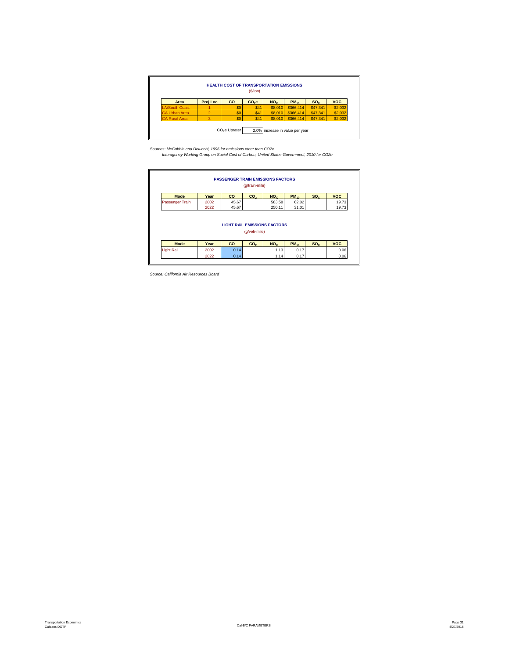|                       |          | <b>HEALTH COST OF TRANSPORTATION EMISSIONS</b> | (S/ton) |                 |                     |          |            |
|-----------------------|----------|------------------------------------------------|---------|-----------------|---------------------|----------|------------|
| Area                  | Proj Loc | CO                                             | $CO2$ e | NO <sub>x</sub> | $PM_{10}$           | $SO_{Y}$ | <b>VOC</b> |
| <b>LA/South Coast</b> |          | \$0                                            | \$41    | \$8,010         | \$366,414           | \$47,341 | \$2,032    |
| <b>CA Urban Area</b>  |          | \$0                                            | \$41    | \$8,010         | \$366,414           | \$47,341 | \$2,032    |
| <b>CA Rural Area</b>  |          | \$0                                            | \$41    |                 | $$8,010$ $$366,414$ | \$47,341 | \$2,032    |

*Sources: McCubbin and Delucchi, 1996 for emissions other than CO2e Interagency Working Group on Social Cost of Carbon, United States Government, 2010 for CO2e*

|                   |      |           | (g/train-mile)  | <b>PASSENGER TRAIN EMISSIONS FACTORS</b> |           |                 |            |
|-------------------|------|-----------|-----------------|------------------------------------------|-----------|-----------------|------------|
| <b>Mode</b>       | Year | <b>CO</b> | CO <sub>2</sub> | NO <sub>x</sub>                          | $PM_{10}$ | SO <sub>x</sub> | <b>VOC</b> |
| Passenger Train   | 2002 | 45.67     |                 | 583.58                                   | 62.02     |                 | 19.73      |
|                   | 2022 | 45.67     |                 | 250.11                                   | 31.01     |                 | 19.73      |
|                   |      |           |                 |                                          |           |                 |            |
|                   |      |           | (g/veh-mile)    | <b>LIGHT RAIL EMISSIONS FACTORS</b>      |           |                 |            |
| <b>Mode</b>       | Year | <b>CO</b> | CO <sub>2</sub> | NO <sub>x</sub>                          | $PM_{10}$ | $SO_{Y}$        | <b>VOC</b> |
| <b>Light Rail</b> | 2002 | 0.14      |                 | 1.13                                     | 0.17      |                 | 0.06       |

*Source: California Air Resources Board*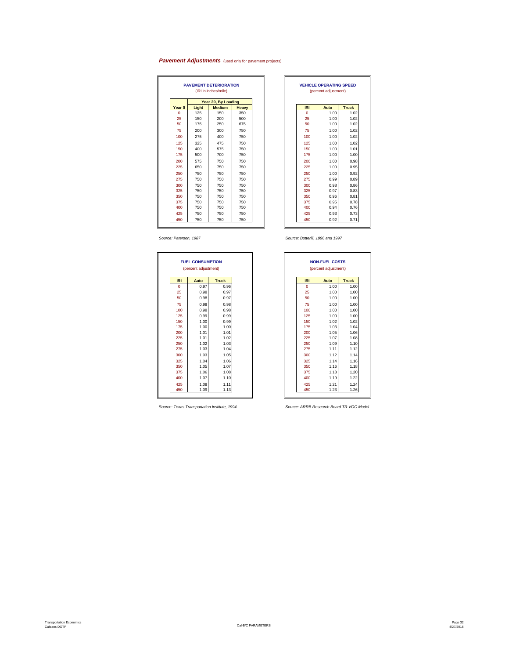### **Pavement Adjustments** (used only for pavement projects)

|          |       | <b>PAVEMENT DETERIORATION</b><br>(IRI in inches/mile) |       |  |            | <b>VEHICLE OPERATING SPEED</b><br>(percent adjustment) |              |
|----------|-------|-------------------------------------------------------|-------|--|------------|--------------------------------------------------------|--------------|
|          |       | Year 20, By Loading                                   |       |  |            |                                                        |              |
| Year 0   | Light | <b>Medium</b>                                         | Heavy |  | <b>IRI</b> | Auto                                                   | <b>Truck</b> |
| $\Omega$ | 125   | 150                                                   | 350   |  | $\Omega$   | 1.00                                                   |              |
| 25       | 150   | 200                                                   | 500   |  | 25         | 1.00                                                   |              |
| 50       | 175   | 250                                                   | 675   |  | 50         | 1.00                                                   |              |
| 75       | 200   | 300                                                   | 750   |  | 75         | 1.00                                                   |              |
| 100      | 275   | 400                                                   | 750   |  | 100        | 1.00                                                   |              |
| 125      | 325   | 475                                                   | 750   |  | 125        | 1.00                                                   |              |
| 150      | 400   | 575                                                   | 750   |  | 150        | 1.00                                                   |              |
| 175      | 500   | 700                                                   | 750   |  | 175        | 1.00                                                   |              |
| 200      | 575   | 750                                                   | 750   |  | 200        | 1.00                                                   |              |
| 225      | 650   | 750                                                   | 750   |  | 225        | 1.00                                                   |              |
| 250      | 750   | 750                                                   | 750   |  | 250        | 1.00                                                   |              |
| 275      | 750   | 750                                                   | 750   |  | 275        | 0.99                                                   |              |
| 300      | 750   | 750                                                   | 750   |  | 300        | 0.98                                                   |              |
| 325      | 750   | 750                                                   | 750   |  | 325        | 0.97                                                   |              |
| 350      | 750   | 750                                                   | 750   |  | 350        | 0.96                                                   |              |
| 375      | 750   | 750                                                   | 750   |  | 375        | 0.95                                                   |              |
| 400      | 750   | 750                                                   | 750   |  | 400        | 0.94                                                   |              |
| 425      | 750   | 750                                                   | 750   |  | 425        | 0.93                                                   |              |
| 450      | 750   | 750                                                   | 750   |  | 450        | 0.92                                                   |              |

|       | <b>PAVEMENT DETERIORATION</b><br>(IRI in inches/mile) |              |             | <b>VEHICLE OPERATING SPEED</b><br>(percent adjustment) |              |
|-------|-------------------------------------------------------|--------------|-------------|--------------------------------------------------------|--------------|
|       | Year 20, By Loading                                   |              |             |                                                        |              |
| Light | <b>Medium</b>                                         | <b>Heavy</b> | <b>IRI</b>  | Auto                                                   | <b>Truck</b> |
| 125   | 150                                                   | 350          | $\mathbf 0$ | 1.00                                                   | 1.02         |
| 150   | 200                                                   | 500          | 25          | 1.00                                                   | 1.02         |
| 175   | 250                                                   | 675          | 50          | 1.00                                                   | 1.02         |
| 200   | 300                                                   | 750          | 75          | 1.00                                                   | 1.02         |
| 275   | 400                                                   | 750          | 100         | 1.00                                                   | 1.02         |
| 325   | 475                                                   | 750          | 125         | 1.00                                                   | 1.02         |
| 400   | 575                                                   | 750          | 150         | 1.00                                                   | 1.01         |
| 500   | 700                                                   | 750          | 175         | 1.00                                                   | 1.00         |
| 575   | 750                                                   | 750          | 200         | 1.00                                                   | 0.98         |
| 650   | 750                                                   | 750          | 225         | 1.00                                                   | 0.95         |
| 750   | 750                                                   | 750          | 250         | 1.00                                                   | 0.92         |
| 750   | 750                                                   | 750          | 275         | 0.99                                                   | 0.89         |
| 750   | 750                                                   | 750          | 300         | 0.98                                                   | 0.86         |
| 750   | 750                                                   | 750          | 325         | 0.97                                                   | 0.83         |
| 750   | 750                                                   | 750          | 350         | 0.96                                                   | 0.81         |
| 750   | 750                                                   | 750          | 375         | 0.95                                                   | 0.78         |
| 750   | 750                                                   | 750          | 400         | 0.94                                                   | 0.76         |
| 750   | 750                                                   | 750          | 425         | 0.93                                                   | 0.73         |
| 750   | 750                                                   | 750          | 450         | 0.92                                                   | 0.71         |

|            | <b>FUEL CONSUMPTION</b> |              |
|------------|-------------------------|--------------|
|            | (percent adjustment)    |              |
| <b>IRI</b> | Auto                    | <b>Truck</b> |
| $\Omega$   | 0.97                    | 0.96         |
| 25         | 0.98                    | 0.97         |
| 50         | 0.98                    | 0.97         |
| 75         | 0.98                    | 0.98         |
| 100        | 0.98                    | 0.98         |
| 125        | 0.99                    | 0.99         |
| 150        | 1.00                    | 0.99         |
| 175        | 1.00                    | 1.00         |
| 200        | 1.01                    | 1.01         |
| 225        | 1.01                    | 1.02         |
| 250        | 1.02                    | 1.03         |
| 275        | 1.03                    | 1.04         |
| 300        | 1.03                    | 1.05         |
| 325        | 1.04                    | 1.06         |
| 350        | 1.05                    | 1.07         |
| 375        | 1.06                    | 1.08         |
| 400        | 1.07                    | 1.10         |
| 425        | 1.08                    | 1.11         |
| 450        | 1.09                    | 1.13         |

*Source: Paterson, 1987 Source: Botterill, 1996 and 1997*

|             | <b>FUEL CONSUMPTION</b> |              |  |  |             | <b>NON-FUEL COSTS</b> |              |
|-------------|-------------------------|--------------|--|--|-------------|-----------------------|--------------|
|             | (percent adjustment)    |              |  |  |             | (percent adjustment)  |              |
|             |                         |              |  |  | <b>IRI</b>  |                       |              |
| <b>IRI</b>  | Auto                    | <b>Truck</b> |  |  |             | Auto                  | <b>Truck</b> |
| $\mathbf 0$ | 0.97                    | 0.96         |  |  | $\mathbf 0$ | 1.00                  | 1.00         |
| 25          | 0.98                    | 0.97         |  |  | 25          | 1.00                  | 1.00         |
| 50          | 0.98                    | 0.97         |  |  | 50          | 1.00                  | 1.00         |
| 75          | 0.98                    | 0.98         |  |  | 75          | 1.00                  | 1.00         |
| 100         | 0.98                    | 0.98         |  |  | 100         | 1.00                  | 1.00         |
| 125         | 0.99                    | 0.99         |  |  | 125         | 1.00                  | 1.00         |
| 150         | 1.00                    | 0.99         |  |  | 150         | 1.02                  | 1.02         |
| 175         | 1.00                    | 1.00         |  |  | 175         | 1.03                  | 1.04         |
| 200         | 1.01                    | 1.01         |  |  | 200         | 1.05                  | 1.06         |
| 225         | 1.01                    | 1.02         |  |  | 225         | 1.07                  | 1.08         |
| 250         | 1.02                    | 1.03         |  |  | 250         | 1.09                  | 1.10         |
| 275         | 1.03                    | 1.04         |  |  | 275         | 1.11                  | 1.12         |
| 300         | 1.03                    | 1.05         |  |  | 300         | 1.12                  | 1.14         |
| 325         | 1.04                    | 1.06         |  |  | 325         | 1.14                  | 1.16         |
| 350         | 1.05                    | 1.07         |  |  | 350         | 1.16                  | 1.18         |
| 375         | 1.06                    | 1.08         |  |  | 375         | 1.18                  | 1.20         |
| 400         | 1.07                    | 1.10         |  |  | 400         | 1.19                  | 1.22         |
| 425         | 1.08                    | 1.11         |  |  | 425         | 1.21                  | 1.24         |
| 450         | 1.09                    | 1.13         |  |  | 450         | 1.23                  | 1.26         |

*Source: Texas Transportation Institute, 1994 Source: ARRB Research Board TR VOC Model*